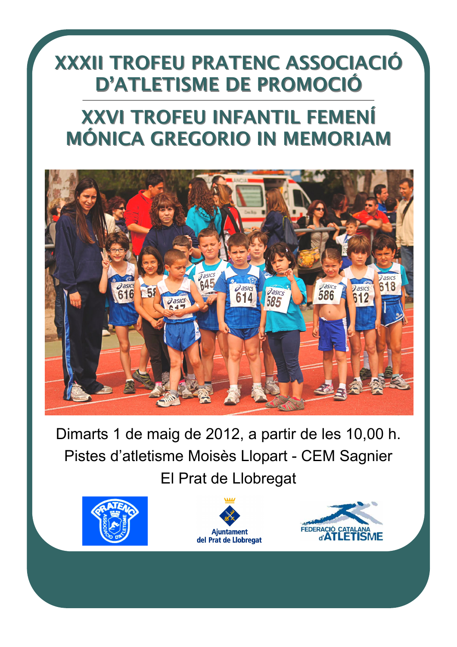# **XXXII TROFEU PRATENC ASSOCIACIÓ** D'ATLETISME DE PROMOCIÓ

# XXVI TROFEU INFANTIL FEMENÍ XXVI TROFEU INFANTIL FEMENÍ MÓNICA GREGORIO IN MEMORIAM



Dimarts 1 de maig de 2012, a partir de les 10,00 h. Pistes d'atletisme Moisès Llopart - CEM Sagnier El Prat de Llobregat





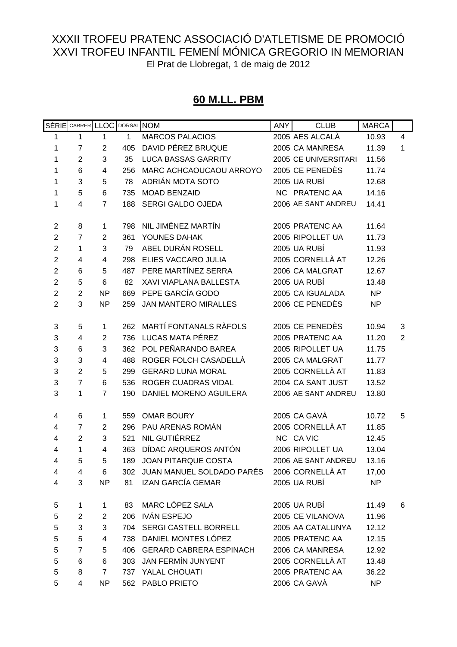# **60 M.LL. PBM**

|                |                | SÈRIE CARRER LLOC |              | DORSAL NOM                                     | <b>ANY</b> | <b>CLUB</b>          | <b>MARCA</b> |   |
|----------------|----------------|-------------------|--------------|------------------------------------------------|------------|----------------------|--------------|---|
| 1              | 1              | 1                 | $\mathbf{1}$ | <b>MARCOS PALACIOS</b>                         |            | 2005 AES ALCALÀ      | 10.93        | 4 |
| 1              | $\overline{7}$ | $\overline{2}$    | 405          | DAVID PÉREZ BRUQUE                             |            | 2005 CA MANRESA      | 11.39        | 1 |
| 1              | $\overline{2}$ | 3                 | 35           | <b>LUCA BASSAS GARRITY</b>                     |            | 2005 CE UNIVERSITARI | 11.56        |   |
| 1              | 6              | 4                 | 256          | MARC ACHCAOUCAOU ARROYO                        |            | 2005 CE PENEDÈS      | 11.74        |   |
| $\mathbf{1}$   | 3              | 5                 | 78           | ADRIÁN MOTA SOTO                               |            | 2005 UA RUBÍ         | 12.68        |   |
| 1              | 5              | 6                 | 735          | <b>MOAD BENZAID</b>                            |            | NC PRATENC AA        | 14.16        |   |
| 1              | 4              | $\overline{7}$    | 188          | SERGI GALDO OJEDA                              |            | 2006 AE SANT ANDREU  | 14.41        |   |
|                |                |                   |              |                                                |            |                      |              |   |
| $\overline{2}$ | 8              | 1                 | 798          | NIL JIMÉNEZ MARTÍN                             |            | 2005 PRATENC AA      | 11.64        |   |
| $\overline{c}$ | $\overline{7}$ | $\overline{2}$    | 361          | YOUNES DAHAK                                   |            | 2005 RIPOLLET UA     | 11.73        |   |
| $\mathbf 2$    | 1              | 3                 | 79           | ABEL DURÁN ROSELL                              |            | 2005 UA RUBÍ         | 11.93        |   |
| $\overline{c}$ | 4              | 4                 | 298          | ELIES VACCARO JULIA                            |            | 2005 CORNELLÀ AT     | 12.26        |   |
| $\overline{c}$ | 6              | 5                 | 487          | PERE MARTÍNEZ SERRA                            |            | 2006 CA MALGRAT      | 12.67        |   |
| $\overline{2}$ | 5              | $6\phantom{1}6$   | 82           | <b>XAVI VIAPLANA BALLESTA</b>                  |            | 2005 UA RUBÍ         | 13.48        |   |
| $\mathbf 2$    | $\overline{2}$ | <b>NP</b>         | 669          | PEPE GARCÍA GODO                               |            | 2005 CA IGUALADA     | <b>NP</b>    |   |
| $\overline{2}$ | 3              | <b>NP</b>         | 259          | <b>JAN MANTERO MIRALLES</b>                    |            | 2006 CE PENEDÈS      | <b>NP</b>    |   |
| 3              | 5              | 1                 | 262          | MARTÍ FONTANALS RÀFOLS                         |            | 2005 CE PENEDÈS      | 10.94        | 3 |
| 3              | 4              | $\overline{2}$    | 736          | LUCAS MATA PÉREZ                               |            | 2005 PRATENC AA      | 11.20        | 2 |
| 3              | 6              | 3                 | 362          | POL PEÑARANDO BAREA                            |            | 2005 RIPOLLET UA     | 11.75        |   |
| 3              | 3              | 4                 | 488          | ROGER FOLCH CASADELLÀ                          |            | 2005 CA MALGRAT      | 11.77        |   |
| 3              | $\overline{2}$ | 5                 | 299          | <b>GERARD LUNA MORAL</b>                       |            | 2005 CORNELLÀ AT     |              |   |
|                |                |                   |              |                                                |            |                      | 11.83        |   |
| 3              | $\overline{7}$ | 6                 | 536          | ROGER CUADRAS VIDAL                            |            | 2004 CA SANT JUST    | 13.52        |   |
| 3              | 1              | $\overline{7}$    | 190          | DANIEL MORENO AGUILERA                         |            | 2006 AE SANT ANDREU  | 13.80        |   |
| 4              | 6              | 1                 | 559          | <b>OMAR BOURY</b>                              |            | 2005 CA GAVÀ         | 10.72        | 5 |
| 4              | $\overline{7}$ | $\overline{2}$    | 296          | PAU ARENAS ROMÁN                               |            | 2005 CORNELLÀ AT     | 11.85        |   |
| 4              | $\overline{2}$ | 3                 | 521          | NIL GUTIÉRREZ                                  |            | NC CA VIC            | 12.45        |   |
| 4              | 1              | $\overline{4}$    | 363          | DÍDAC ARQUEROS ANTÓN                           |            | 2006 RIPOLLET UA     | 13.04        |   |
| 4              | 5              | 5                 |              | 189 JOAN PITARQUE COSTA                        |            | 2006 AE SANT ANDREU  | 13 16        |   |
| 4              | 4              | 6                 |              | 302 JUAN MANUEL SOLDADO PARÉS 2006 CORNELLÀ AT |            |                      | 17,00        |   |
| 4              | 3              | NP                | 81           | IZAN GARCÍA GEMAR                              |            | 2005 UA RUBÍ         | NP           |   |
|                |                |                   |              |                                                |            |                      |              |   |
| 5              | 1              | 1                 | 83           | MARC LÓPEZ SALA                                |            | 2005 UA RUBÍ         | 11.49        | 6 |
| 5              | $\overline{2}$ | $\overline{2}$    |              | 206 IVÁN ESPEJO                                |            | 2005 CE VILANOVA     | 11.96        |   |
| 5              | 3              | 3                 |              | 704 SERGI CASTELL BORRELL                      |            | 2005 AA CATALUNYA    | 12.12        |   |
| 5              | 5              | 4                 | 738          | DANIEL MONTES LÓPEZ                            |            | 2005 PRATENC AA      | 12.15        |   |
| 5              | $\overline{7}$ | 5                 |              | 406 GERARD CABRERA ESPINACH                    |            | 2006 CA MANRESA      | 12.92        |   |
| 5              | 6              | 6                 | 303          | JAN FERMÍN JUNYENT                             |            | 2005 CORNELLÀ AT     | 13.48        |   |
| 5              | 8              | $\overline{7}$    |              | 737 YALAL CHOUATI                              |            | 2005 PRATENC AA      | 36.22        |   |
| 5              | 4              | NP                |              | 562 PABLO PRIETO                               |            | 2006 CA GAVÀ         | <b>NP</b>    |   |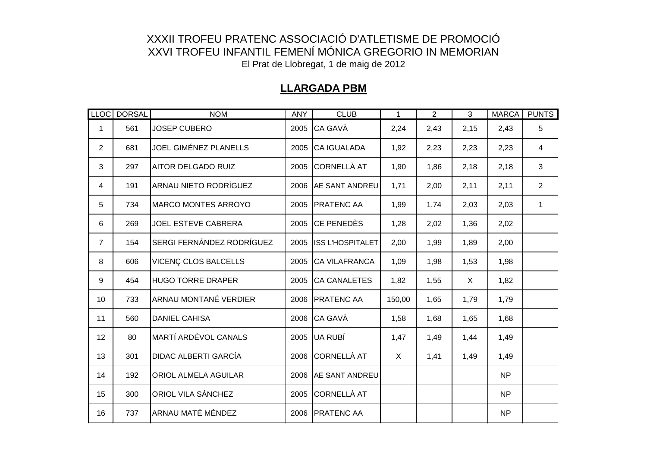#### **LLARGADA PBM**

|                | LLOC DORSAL | <b>NOM</b>                  | <b>ANY</b> | <b>CLUB</b>             | $\mathbf{1}$ | $\overline{2}$ | 3    | <b>MARCA</b>   | <b>PUNTS</b>   |
|----------------|-------------|-----------------------------|------------|-------------------------|--------------|----------------|------|----------------|----------------|
| 1              | 561         | <b>JOSEP CUBERO</b>         | 2005       | <b>CA GAVÀ</b>          | 2,24         | 2,43           | 2,15 | 2,43           | 5              |
| $\overline{2}$ | 681         | JOEL GIMÉNEZ PLANELLS       | 2005       | <b>CA IGUALADA</b>      | 1,92         | 2,23           | 2,23 | 2,23           | $\overline{4}$ |
| 3              | 297         | <b>AITOR DELGADO RUIZ</b>   | 2005       | <b>CORNELLÀ AT</b>      | 1,90         | 1,86           | 2,18 | 2,18           | 3              |
| 4              | 191         | ARNAU NIETO RODRÍGUEZ       | 2006       | <b>AE SANT ANDREU</b>   | 1,71         | 2,00           | 2,11 | 2,11           | $\overline{2}$ |
| 5              | 734         | <b>MARCO MONTES ARROYO</b>  | 2005       | <b>PRATENC AA</b>       | 1,99         | 1,74           | 2,03 | 2,03           | $\mathbf{1}$   |
| 6              | 269         | JOEL ESTEVE CABRERA         | 2005       | <b>CE PENEDÈS</b>       | 1,28         | 2,02           | 1,36 | 2,02           |                |
| $\overline{7}$ | 154         | SERGI FERNÁNDEZ RODRÍGUEZ   | 2005       | <b>ISS L'HOSPITALET</b> | 2,00         | 1,99           | 1,89 | 2,00           |                |
| 8              | 606         | VICENÇ CLOS BALCELLS        | 2005       | <b>CA VILAFRANCA</b>    | 1,09         | 1,98           | 1,53 | 1,98           |                |
| 9              | 454         | <b>HUGO TORRE DRAPER</b>    | 2005       | <b>CA CANALETES</b>     | 1,82         | 1,55           | X    | 1,82           |                |
| 10             | 733         | ARNAU MONTANÉ VERDIER       | 2006       | <b>PRATENC AA</b>       | 150,00       | 1,65           | 1,79 | 1,79           |                |
| 11             | 560         | <b>DANIEL CAHISA</b>        | 2006       | <b>CA GAVÀ</b>          | 1,58         | 1,68           | 1,65 | 1,68           |                |
| 12             | 80          | <b>MARTÍ ARDÉVOL CANALS</b> | 2005       | UA RUBÍ                 | 1,47         | 1,49           | 1,44 | 1,49           |                |
| 13             | 301         | <b>DIDAC ALBERTI GARCÍA</b> | 2006       | <b>CORNELLÀ AT</b>      | X            | 1,41           | 1,49 | 1,49           |                |
| 14             | 192         | <b>ORIOL ALMELA AGUILAR</b> | 2006       | <b>AE SANT ANDREU</b>   |              |                |      | NP             |                |
| 15             | 300         | <b>ORIOL VILA SÁNCHEZ</b>   | 2005       | <b>CORNELLÀ AT</b>      |              |                |      | N <sub>P</sub> |                |
| 16             | 737         | ARNAU MATÉ MÉNDEZ           | 2006       | <b>PRATENC AA</b>       |              |                |      | NP.            |                |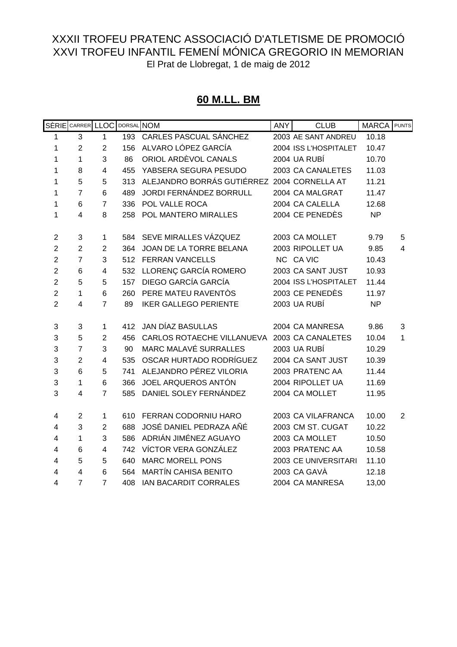#### **60 M.LL. BM**

|                | SÈRIE CARRER LLOC DORSAL NOM |                 |     |                                             | <b>ANY</b> | <b>CLUB</b>           | <b>MARCA</b> PUNTS |                |
|----------------|------------------------------|-----------------|-----|---------------------------------------------|------------|-----------------------|--------------------|----------------|
| 1              | 3                            | 1               | 193 | CARLES PASCUAL SÁNCHEZ                      |            | 2003 AE SANT ANDREU   | 10.18              |                |
| 1              | $\overline{2}$               | $\overline{2}$  | 156 | ALVARO LÓPEZ GARCÍA                         |            | 2004 ISS L'HOSPITALET | 10.47              |                |
| 1              | 1                            | 3               | 86  | ORIOL ARDÈVOL CANALS                        |            | 2004 UA RUBÍ          | 10.70              |                |
| 1              | 8                            | 4               | 455 | YABSERA SEGURA PESUDO                       |            | 2003 CA CANALETES     | 11.03              |                |
| 1              | 5                            | 5               | 313 | ALEJANDRO BORRÁS GUTIÉRREZ 2004 CORNELLA AT |            |                       | 11.21              |                |
| 1              | $\overline{7}$               | 6               | 489 | JORDI FERNÁNDEZ BORRULL                     |            | 2004 CA MALGRAT       | 11.47              |                |
| 1              | 6                            | $\overline{7}$  | 336 | POL VALLE ROCA                              |            | 2004 CA CALELLA       | 12.68              |                |
| 1              | 4                            | 8               | 258 | POL MANTERO MIRALLES                        |            | 2004 CE PENEDÈS       | <b>NP</b>          |                |
| $\mathbf 2$    | 3                            | 1               | 584 | SEVE MIRALLES VÁZQUEZ                       |            | 2003 CA MOLLET        | 9.79               | 5              |
| $\overline{c}$ | $\overline{2}$               | $\overline{2}$  | 364 | JOAN DE LA TORRE BELANA                     |            | 2003 RIPOLLET UA      | 9.85               | 4              |
| $\overline{2}$ | $\overline{7}$               | 3               | 512 | <b>FERRAN VANCELLS</b>                      |            | NC CA VIC             | 10.43              |                |
| $\overline{2}$ | $6\phantom{1}$               | 4               | 532 | LLORENÇ GARCÍA ROMERO                       |            | 2003 CA SANT JUST     | 10.93              |                |
| $\overline{2}$ | 5                            | 5               | 157 | DIEGO GARCÍA GARCÍA                         |            | 2004 ISS L'HOSPITALET | 11.44              |                |
| $\overline{2}$ | $\mathbf{1}$                 | $6\phantom{1}6$ | 260 | PERE MATEU RAVENTOS                         |            | 2003 CE PENEDÈS       | 11.97              |                |
| $\overline{2}$ | $\overline{4}$               | $\overline{7}$  | 89  | <b>IKER GALLEGO PERIENTE</b>                |            | 2003 UA RUBÍ          | <b>NP</b>          |                |
| 3              | 3                            | 1               | 412 | JAN DÍAZ BASULLAS                           |            | 2004 CA MANRESA       | 9.86               | 3              |
| 3              | 5                            | $\overline{2}$  | 456 | CARLOS ROTAECHE VILLANUEVA                  |            | 2003 CA CANALETES     | 10.04              | 1              |
| 3              | $\overline{7}$               | 3               | 90  | <b>MARC MALAVÉ SURRALLES</b>                |            | 2003 UA RUBÍ          | 10.29              |                |
| 3              | $\overline{2}$               | 4               | 535 | OSCAR HURTADO RODRÍGUEZ                     |            | 2004 CA SANT JUST     | 10.39              |                |
| 3              | 6                            | 5               | 741 | ALEJANDRO PÉREZ VILORIA                     |            | 2003 PRATENC AA       | 11.44              |                |
| 3              | $\mathbf{1}$                 | 6               | 366 | JOEL ARQUEROS ANTÓN                         |            | 2004 RIPOLLET UA      | 11.69              |                |
| 3              | $\overline{4}$               | $\overline{7}$  | 585 | DANIEL SOLEY FERNÁNDEZ                      |            | 2004 CA MOLLET        | 11.95              |                |
|                |                              |                 |     |                                             |            |                       |                    |                |
| 4              | $\overline{2}$               | 1               | 610 | <b>FERRAN CODORNIU HARO</b>                 |            | 2003 CA VILAFRANCA    | 10.00              | $\overline{2}$ |
| 4              | 3                            | $\overline{2}$  | 688 | JOSÉ DANIEL PEDRAZA AÑÉ                     |            | 2003 CM ST. CUGAT     | 10.22              |                |
| 4              | 1                            | 3               | 586 | ADRIÁN JIMÉNEZ AGUAYO                       |            | 2003 CA MOLLET        | 10.50              |                |
| 4              | 6                            | 4               | 742 | VÍCTOR VERA GONZÁLEZ                        |            | 2003 PRATENC AA       | 10.58              |                |
| 4              | 5                            | 5               | 640 | <b>MARC MORELL PONS</b>                     |            | 2003 CE UNIVERSITARI  | 11.10              |                |
| 4              | $\overline{4}$               | 6               | 564 | <b>MARTÍN CAHISA BENITO</b>                 |            | 2003 CA GAVÀ          | 12.18              |                |
| 4              | $\overline{7}$               | $\overline{7}$  | 408 | IAN BACARDIT CORRALES                       |            | 2004 CA MANRESA       | 13,00              |                |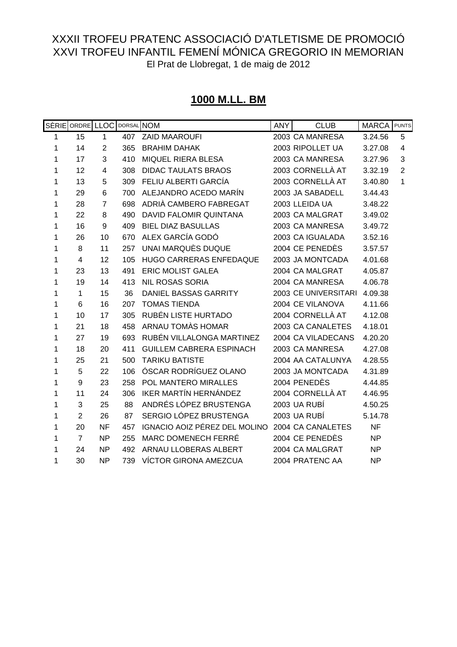# **1000 M.LL. BM**

|   | SÈRIE ORDRE LLOC DORSAL NOM |                |     |                                 | <b>ANY</b> | <b>CLUB</b>          | <b>MARCA</b> | <b>PUNTS</b>   |
|---|-----------------------------|----------------|-----|---------------------------------|------------|----------------------|--------------|----------------|
| 1 | 15                          | $\mathbf{1}$   | 407 | <b>ZAID MAAROUFI</b>            |            | 2003 CA MANRESA      | 3.24.56      | 5              |
| 1 | 14                          | $\overline{2}$ | 365 | <b>BRAHIM DAHAK</b>             |            | 2003 RIPOLLET UA     | 3.27.08      | $\overline{4}$ |
| 1 | 17                          | 3              | 410 | MIQUEL RIERA BLESA              |            | 2003 CA MANRESA      | 3.27.96      | 3              |
| 1 | 12                          | 4              | 308 | <b>DIDAC TAULATS BRAOS</b>      |            | 2003 CORNELLÀ AT     | 3.32.19      | $\overline{2}$ |
| 1 | 13                          | 5              | 309 | FELIU ALBERTI GARCÍA            |            | 2003 CORNELLÀ AT     | 3.40.80      | 1              |
| 1 | 29                          | 6              | 700 | ALEJANDRO ACEDO MARÍN           |            | 2003 JA SABADELL     | 3.44.43      |                |
| 1 | 28                          | 7              | 698 | ADRIÀ CAMBERO FABREGAT          |            | 2003 LLEIDA UA       | 3.48.22      |                |
| 1 | 22                          | 8              | 490 | DAVID FALOMIR QUINTANA          |            | 2003 CA MALGRAT      | 3.49.02      |                |
| 1 | 16                          | 9              | 409 | <b>BIEL DIAZ BASULLAS</b>       |            | 2003 CA MANRESA      | 3.49.72      |                |
| 1 | 26                          | 10             | 670 | ALEX GARCÍA GODÓ                |            | 2003 CA IGUALADA     | 3.52.16      |                |
| 1 | 8                           | 11             | 257 | UNAI MARQUÈS DUQUE              |            | 2004 CE PENEDÈS      | 3.57.57      |                |
| 1 | 4                           | 12             | 105 | HUGO CARRERAS ENFEDAQUE         |            | 2003 JA MONTCADA     | 4.01.68      |                |
| 1 | 23                          | 13             | 491 | <b>ERIC MOLIST GALEA</b>        |            | 2004 CA MALGRAT      | 4.05.87      |                |
| 1 | 19                          | 14             | 413 | <b>NIL ROSAS SORIA</b>          |            | 2004 CA MANRESA      | 4.06.78      |                |
| 1 | 1                           | 15             | 36  | DANIEL BASSAS GARRITY           |            | 2003 CE UNIVERSITARI | 4.09.38      |                |
| 1 | 6                           | 16             | 207 | <b>TOMAS TIENDA</b>             |            | 2004 CE VILANOVA     | 4.11.66      |                |
| 1 | 10                          | 17             | 305 | RUBÉN LISTE HURTADO             |            | 2004 CORNELLÀ AT     | 4.12.08      |                |
| 1 | 21                          | 18             | 458 | ARNAU TOMÀS HOMAR               |            | 2003 CA CANALETES    | 4.18.01      |                |
| 1 | 27                          | 19             | 693 | RUBÉN VILLALONGA MARTINEZ       |            | 2004 CA VILADECANS   | 4.20.20      |                |
| 1 | 18                          | 20             | 411 | <b>GUILLEM CABRERA ESPINACH</b> |            | 2003 CA MANRESA      | 4.27.08      |                |
| 1 | 25                          | 21             | 500 | <b>TARIKU BATISTE</b>           |            | 2004 AA CATALUNYA    | 4.28.55      |                |
| 1 | 5                           | 22             | 106 | ÓSCAR RODRÍGUEZ OLANO           |            | 2003 JA MONTCADA     | 4.31.89      |                |
| 1 | $\boldsymbol{9}$            | 23             | 258 | POL MANTERO MIRALLES            |            | 2004 PENEDÈS         | 4.44.85      |                |
| 1 | 11                          | 24             | 306 | <b>IKER MARTÍN HERNÁNDEZ</b>    |            | 2004 CORNELLÀ AT     | 4.46.95      |                |
| 1 | 3                           | 25             | 88  | ANDRÉS LÓPEZ BRUSTENGA          |            | 2003 UA RUBÍ         | 4.50.25      |                |
| 1 | $\overline{2}$              | 26             | 87  | SERGIO LÓPEZ BRUSTENGA          |            | 2003 UA RUBÍ         | 5.14.78      |                |
| 1 | 20                          | <b>NF</b>      | 457 | IGNACIO AOIZ PÉREZ DEL MOLINO   |            | 2004 CA CANALETES    | <b>NF</b>    |                |
| 1 | $\overline{7}$              | <b>NP</b>      | 255 | <b>MARC DOMENECH FERRÉ</b>      |            | 2004 CE PENEDÈS      | <b>NP</b>    |                |
| 1 | 24                          | <b>NP</b>      | 492 | ARNAU LLOBERAS ALBERT           |            | 2004 CA MALGRAT      | <b>NP</b>    |                |
| 1 | 30                          | <b>NP</b>      | 739 | VÍCTOR GIRONA AMEZCUA           |            | 2004 PRATENC AA      | <b>NP</b>    |                |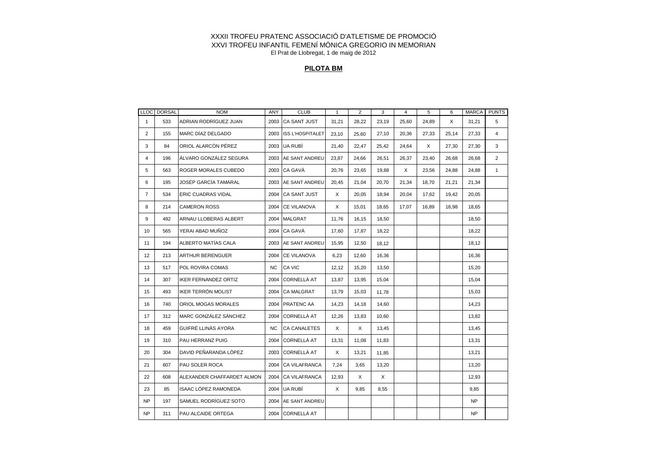#### **PILOTA BM**

|                | LLOC DORSAL | <b>NOM</b>                 | ANY       | <b>CLUB</b>           | $\mathbf{1}$ | 2     | 3     | 4     | 5     | 6     | MARCA PUNTS |                |
|----------------|-------------|----------------------------|-----------|-----------------------|--------------|-------|-------|-------|-------|-------|-------------|----------------|
| $\mathbf{1}$   | 533         | ADRIAN RODRÍGUEZ JUAN      |           | 2003 CA SANT JUST     | 31,21        | 28,22 | 23,19 | 25,60 | 24,89 | X     | 31,21       | 5              |
| $\overline{2}$ | 155         | MARC DÍAZ DELGADO          |           | 2003 ISS L'HOSPITALET | 23,10        | 25,60 | 27,10 | 20,36 | 27,33 | 25,14 | 27,33       | $\overline{4}$ |
| 3              | 84          | ORIOL ALARCÓN PÉREZ        |           | 2003 UA RUBÍ          | 21,40        | 22,47 | 25,42 | 24,64 | X     | 27,30 | 27,30       | 3              |
| 4              | 196         | ÁLVARO GONZÁLEZ SEGURA     | 2003      | <b>AE SANT ANDREU</b> | 23,87        | 24,66 | 26,51 | 26,37 | 23,40 | 26,68 | 26,68       | $\overline{2}$ |
| 5              | 563         | ROGER MORALES CUBEDO       |           | 2003 CA GAVÀ          | 20.76        | 23,65 | 19,88 | X     | 23,56 | 24,88 | 24,88       | $\mathbf{1}$   |
| 6              | 195         | JOSEP GARCÍA TAMARAL       |           | 2003 AE SANT ANDREU   | 20,45        | 21,04 | 20,70 | 21,34 | 18,70 | 21,21 | 21,34       |                |
| $\overline{7}$ | 534         | <b>ERIC CUADRAS VIDAL</b>  |           | 2004 CA SANT JUST     | X            | 20,05 | 18,94 | 20,04 | 17,62 | 19,42 | 20,05       |                |
| 8              | 214         | <b>CAMERON ROSS</b>        |           | 2004 CE VILANOVA      | X            | 15,01 | 18,65 | 17,07 | 16,89 | 16,98 | 18,65       |                |
| 9              | 492         | ARNAU LLOBERAS ALBERT      | 2004      | <b>MALGRAT</b>        | 11,76        | 16,15 | 18,50 |       |       |       | 18,50       |                |
| 10             | 565         | YERAI ABAD MUÑOZ           | 2004      | CA GAVÀ               | 17,60        | 17,87 | 18,22 |       |       |       | 18,22       |                |
| 11             | 194         | ALBERTO MATÍAS CALA        | 2003      | <b>AE SANT ANDREU</b> | 15,95        | 12,50 | 18,12 |       |       |       | 18,12       |                |
| 12             | 213         | <b>ARTHUR BERENGUER</b>    | 2004      | <b>CE VILANOVA</b>    | 6,23         | 12,60 | 16,36 |       |       |       | 16,36       |                |
| 13             | 517         | POL ROVIRA COMAS           | <b>NC</b> | CA VIC                | 12,12        | 15,20 | 13,50 |       |       |       | 15,20       |                |
| 14             | 307         | IKER FERNANDEZ ORTIZ       | 2004      | CORNELLÀ AT           | 13,87        | 13,95 | 15,04 |       |       |       | 15,04       |                |
| 15             | 493         | IKER TERRÓN MOLIST         | 2004      | <b>CA MALGRAT</b>     | 13,79        | 15,03 | 11,78 |       |       |       | 15,03       |                |
| 16             | 740         | ORIOL MOGAS MORALES        |           | 2004 PRATENC AA       | 14,23        | 14,18 | 14,60 |       |       |       | 14,23       |                |
| 17             | 312         | MARC GONZÁLEZ SÁNCHEZ      | 2004      | CORNELLÀ AT           | 12,26        | 13,83 | 10,60 |       |       |       | 13,82       |                |
| 18             | 459         | GUIFRÉ LLINÀS AYORA        | <b>NC</b> | <b>CA CANALETES</b>   | X            | X     | 13,45 |       |       |       | 13,45       |                |
| 19             | 310         | PAU HERRANZ PUIG           | 2004      | <b>CORNELLÀ AT</b>    | 13,31        | 11,08 | 11,83 |       |       |       | 13,31       |                |
| 20             | 304         | DAVID PEÑARANDA LÓPEZ      |           | 2003 CORNELLÀ AT      | X            | 13,21 | 11,85 |       |       |       | 13,21       |                |
| 21             | 607         | PAU SOLER ROCA             |           | 2004 CA VILAFRANCA    | 7,24         | 3,65  | 13,20 |       |       |       | 13,20       |                |
| 22             | 608         | ALEXANDER CHAFFARDET ALMON |           | 2004 CA VILAFRANCA    | 12,93        | X     | X     |       |       |       | 12,93       |                |
| 23             | 85          | ISAAC LÓPEZ RAMONEDA       |           | 2004 UA RUBÍ          | $\times$     | 9,85  | 8,55  |       |       |       | 9,85        |                |
| <b>NP</b>      | 197         | SAMUEL RODRÍGUEZ SOTO      |           | 2004 AE SANT ANDREU   |              |       |       |       |       |       | <b>NP</b>   |                |
| <b>NP</b>      | 311         | PAU ALCAIDE ORTEGA         |           | 2004 CORNELLÀ AT      |              |       |       |       |       |       | <b>NP</b>   |                |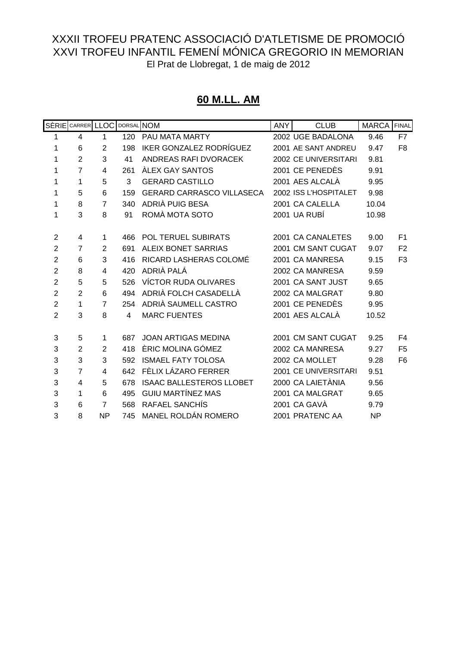#### **60 M.LL. AM**

|                | SÈRIE CARRER LLOC DORSAL NOM |                |     |                                  | <b>ANY</b> | <b>CLUB</b>                 | <b>MARCA</b> | <b>FINAL</b>   |
|----------------|------------------------------|----------------|-----|----------------------------------|------------|-----------------------------|--------------|----------------|
| 1              | 4                            | $\mathbf{1}$   | 120 | PAU MATA MARTY                   |            | 2002 UGE BADALONA           | 9.46         | F7             |
| 1              | 6                            | $\overline{2}$ | 198 | <b>IKER GONZALEZ RODRÍGUEZ</b>   |            | 2001 AE SANT ANDREU         | 9.47         | F <sub>8</sub> |
| 1              | $\overline{2}$               | 3              | 41  | ANDREAS RAFI DVORACEK            |            | 2002 CE UNIVERSITARI        | 9.81         |                |
| 1              | $\overline{7}$               | 4              | 261 | <b>ALEX GAY SANTOS</b>           |            | 2001 CE PENEDÈS             | 9.91         |                |
| 1              | 1                            | 5              | 3   | <b>GERARD CASTILLO</b>           |            | 2001 AES ALCALÀ             | 9.95         |                |
| 1              | 5                            | 6              | 159 | <b>GERARD CARRASCO VILLASECA</b> |            | 2002 ISS L'HOSPITALET       | 9.98         |                |
| 1              | 8                            | $\overline{7}$ | 340 | ADRIÀ PUIG BESA                  |            | 2001 CA CALELLA             | 10.04        |                |
| 1              | 3                            | 8              | 91  | ROMÀ MOTA SOTO                   |            | 2001 UA RUBÍ                | 10.98        |                |
| $\overline{2}$ | 4                            | 1              | 466 | POL TERUEL SUBIRATS              |            | 2001 CA CANALETES           | 9.00         | F <sub>1</sub> |
| $\overline{2}$ | $\overline{7}$               | 2              | 691 | <b>ALEIX BONET SARRIAS</b>       |            | 2001 CM SANT CUGAT          | 9.07         | F <sub>2</sub> |
| $\overline{2}$ | 6                            | 3              | 416 | RICARD LASHERAS COLOMÉ           |            | 2001 CA MANRESA             | 9.15         | F <sub>3</sub> |
| $\overline{2}$ | 8                            | 4              | 420 | ADRIÀ PALÁ                       |            | 2002 CA MANRESA             | 9.59         |                |
| $\overline{2}$ | 5                            | 5              | 526 | <b>VÍCTOR RUDA OLIVARES</b>      |            | 2001 CA SANT JUST           | 9.65         |                |
| $\overline{2}$ | $\overline{2}$               | 6              | 494 | ADRIÀ FOLCH CASADELLÀ            |            | 2002 CA MALGRAT             | 9.80         |                |
| $\overline{2}$ | 1                            | $\overline{7}$ | 254 | ADRIÀ SAUMELL CASTRO             |            | 2001 CE PENEDÈS             | 9.95         |                |
| $\overline{2}$ | 3                            | 8              | 4   | <b>MARC FUENTES</b>              |            | 2001 AES ALCALÀ             | 10.52        |                |
| 3              | 5                            | $\mathbf 1$    | 687 | <b>JOAN ARTIGAS MEDINA</b>       |            | 2001 CM SANT CUGAT          | 9.25         | F4             |
| 3              | $\overline{2}$               | $\overline{2}$ | 418 | ÈRIC MOLINA GÓMEZ                |            | 2002 CA MANRESA             | 9.27         | F <sub>5</sub> |
| 3              | 3                            | 3              | 592 | <b>ISMAEL FATY TOLOSA</b>        |            | 2002 CA MOLLET              | 9.28         | F <sub>6</sub> |
| 3              | $\overline{7}$               | 4              | 642 | FÈLIX LÁZARO FERRER              |            | <b>2001 CE UNIVERSITARI</b> | 9.51         |                |
| 3              | 4                            | 5              | 678 | <b>ISAAC BALLESTEROS LLOBET</b>  |            | 2000 CA LAIETÀNIA           | 9.56         |                |
| 3              | 1                            | 6              | 495 | <b>GUIU MARTÍNEZ MAS</b>         |            | 2001 CA MALGRAT             | 9.65         |                |
| 3              | 6                            | $\overline{7}$ | 568 | RAFAEL SANCHIS                   |            | 2001 CA GAVÀ                | 9.79         |                |
| 3              | 8                            | <b>NP</b>      | 745 | MANEL ROLDÁN ROMERO              |            | 2001 PRATENC AA             | <b>NP</b>    |                |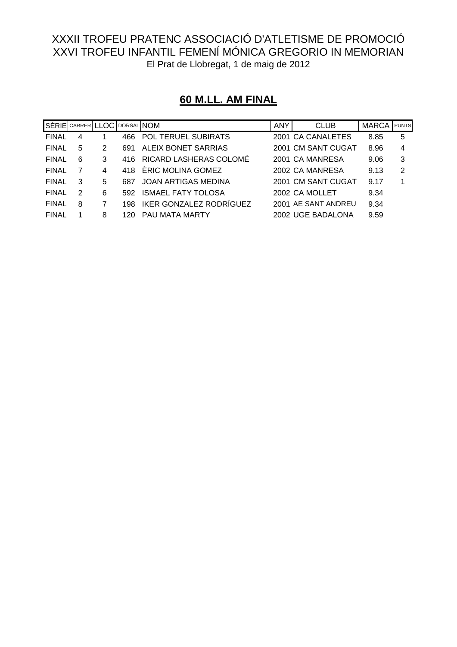| SÈRIE CARRER LLOC DORSAL NOM |   |   |     |                                | <b>ANY</b> | <b>CLUB</b>         | <b>MARCA</b> | <b>PUNTS</b> |
|------------------------------|---|---|-----|--------------------------------|------------|---------------------|--------------|--------------|
| <b>FINAL</b>                 | 4 |   | 466 | <b>POL TERUEL SUBIRATS</b>     |            | 2001 CA CANALETES   | 8.85         | 5            |
| <b>FINAL</b>                 | 5 | 2 | 691 | ALEIX BONET SARRIAS            |            | 2001 CM SANT CUGAT  | 8.96         | 4            |
| <b>FINAL</b>                 | 6 | 3 | 416 | RICARD LASHERAS COLOMÉ         |            | 2001 CA MANRESA     | 9.06         | 3            |
| <b>FINAL</b>                 |   | 4 | 418 | ÉRIC MOLINA GOMEZ              |            | 2002 CA MANRESA     | 9.13         | 2            |
| <b>FINAL</b>                 | 3 | 5 | 687 | JOAN ARTIGAS MEDINA            |            | 2001 CM SANT CUGAT  | 9.17         | 1            |
| <b>FINAL</b>                 | 2 | 6 | 592 | <b>ISMAEL FATY TOLOSA</b>      |            | 2002 CA MOLLET      | 9.34         |              |
| <b>FINAL</b>                 | 8 |   | 198 | <b>IKER GONZALEZ RODRÍGUEZ</b> |            | 2001 AE SANT ANDREU | 9.34         |              |
| <b>FINAL</b>                 |   | 8 | 120 | PAU MATA MARTY                 |            | 2002 UGE BADALONA   | 9.59         |              |

# **60 M.LL. AM FINAL**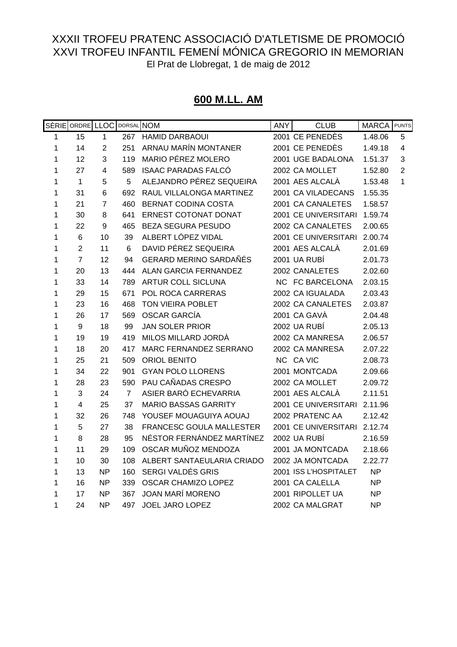#### **600 M.LL. AM**

|   | SÈRIE ORDRE LLOC        |                | DORSAL NOM     |                               | <b>ANY</b> | <b>CLUB</b>           | <b>MARCA</b> | <b>PUNTS</b>            |
|---|-------------------------|----------------|----------------|-------------------------------|------------|-----------------------|--------------|-------------------------|
| 1 | 15                      | $\mathbf{1}$   | 267            | <b>HAMID DARBAOUI</b>         |            | 2001 CE PENEDÈS       | 1.48.06      | 5                       |
| 1 | 14                      | $\overline{2}$ | 251            | ARNAU MARÍN MONTANER          |            | 2001 CE PENEDÈS       | 1.49.18      | $\overline{\mathbf{4}}$ |
| 1 | 12                      | 3              | 119            | <b>MARIO PÉREZ MOLERO</b>     |            | 2001 UGE BADALONA     | 1.51.37      | 3                       |
| 1 | 27                      | 4              | 589            | <b>ISAAC PARADAS FALCÓ</b>    |            | 2002 CA MOLLET        | 1.52.80      | $\overline{2}$          |
| 1 | $\mathbf{1}$            | 5              | 5              | ALEJANDRO PÉREZ SEQUEIRA      |            | 2001 AES ALCALÀ       | 1.53.48      | 1                       |
| 1 | 31                      | 6              | 692            | RAUL VILLALONGA MARTINEZ      |            | 2001 CA VILADECANS    | 1.55.35      |                         |
| 1 | 21                      | $\overline{7}$ | 460            | BERNAT CODINA COSTA           |            | 2001 CA CANALETES     | 1.58.57      |                         |
| 1 | 30                      | 8              | 641            | <b>ERNEST COTONAT DONAT</b>   |            | 2001 CE UNIVERSITARI  | 1.59.74      |                         |
| 1 | 22                      | 9              | 465            | BEZA SEGURA PESUDO            |            | 2002 CA CANALETES     | 2.00.65      |                         |
| 1 | 6                       | 10             | 39             | ALBERT LÓPEZ VIDAL            |            | 2001 CE UNIVERSITARI  | 2.00.74      |                         |
| 1 | $\overline{2}$          | 11             | 6              | DAVID PÉREZ SEQUEIRA          |            | 2001 AES ALCALÀ       | 2.01.69      |                         |
| 1 | $\overline{7}$          | 12             | 94             | <b>GERARD MERINO SARDAÑÉS</b> |            | 2001 UA RUBÍ          | 2.01.73      |                         |
| 1 | 20                      | 13             | 444            | ALAN GARCIA FERNANDEZ         |            | 2002 CANALETES        | 2.02.60      |                         |
| 1 | 33                      | 14             | 789            | <b>ARTUR COLL SICLUNA</b>     |            | NC FC BARCELONA       | 2.03.15      |                         |
| 1 | 29                      | 15             | 671            | POL ROCA CARRERAS             |            | 2002 CA IGUALADA      | 2.03.43      |                         |
| 1 | 23                      | 16             | 468            | TON VIEIRA POBLET             |            | 2002 CA CANALETES     | 2.03.87      |                         |
| 1 | 26                      | 17             | 569            | <b>OSCAR GARCÍA</b>           |            | 2001 CA GAVÀ          | 2.04.48      |                         |
| 1 | 9                       | 18             | 99             | <b>JAN SOLER PRIOR</b>        |            | 2002 UA RUBÍ          | 2.05.13      |                         |
| 1 | 19                      | 19             | 419            | MILOS MILLARD JORDÀ           |            | 2002 CA MANRESA       | 2.06.57      |                         |
| 1 | 18                      | 20             | 417            | MARC FERNANDEZ SERRANO        |            | 2002 CA MANRESA       | 2.07.22      |                         |
| 1 | 25                      | 21             | 509            | <b>ORIOL BENITO</b>           |            | NC CA VIC             | 2.08.73      |                         |
| 1 | 34                      | 22             | 901            | <b>GYAN POLO LLORENS</b>      |            | 2001 MONTCADA         | 2.09.66      |                         |
| 1 | 28                      | 23             | 590            | PAU CAÑADAS CRESPO            |            | 2002 CA MOLLET        | 2.09.72      |                         |
| 1 | 3                       | 24             | $\overline{7}$ | ASIER BARÓ ECHEVARRIA         |            | 2001 AES ALCALÀ       | 2.11.51      |                         |
| 1 | $\overline{\mathbf{4}}$ | 25             | 37             | <b>MARIO BASSAS GARRITY</b>   |            | 2001 CE UNIVERSITARI  | 2.11.96      |                         |
| 1 | 32                      | 26             | 748            | YOUSEF MOUAGUIYA AOUAJ        |            | 2002 PRATENC AA       | 2.12.42      |                         |
| 1 | 5                       | 27             | 38             | FRANCESC GOULA MALLESTER      |            | 2001 CE UNIVERSITARI  | 2.12.74      |                         |
| 1 | 8                       | 28             | 95             | NÉSTOR FERNÁNDEZ MARTÍNEZ     |            | 2002 UA RUBÍ          | 2.16.59      |                         |
| 1 | 11                      | 29             | 109            | OSCAR MUÑOZ MENDOZA           |            | 2001 JA MONTCADA      | 2.18.66      |                         |
| 1 | 10                      | 30             | 108            | ALBERT SANTAEULARIA CRIADO    |            | 2002 JA MONTCADA      | 2.22.77      |                         |
| 1 | 13                      | <b>NP</b>      | 160            | SERGI VALDÉS GRIS             |            | 2001 ISS L'HOSPITALET | <b>NP</b>    |                         |
| 1 | 16                      | <b>NP</b>      | 339            | OSCAR CHAMIZO LOPEZ           |            | 2001 CA CALELLA       | NP           |                         |
| 1 | 17                      | <b>NP</b>      | 367            | <b>JOAN MARÍ MORENO</b>       |            | 2001 RIPOLLET UA      | <b>NP</b>    |                         |
| 1 | 24                      | <b>NP</b>      | 497            | <b>JOEL JARO LOPEZ</b>        |            | 2002 CA MALGRAT       | <b>NP</b>    |                         |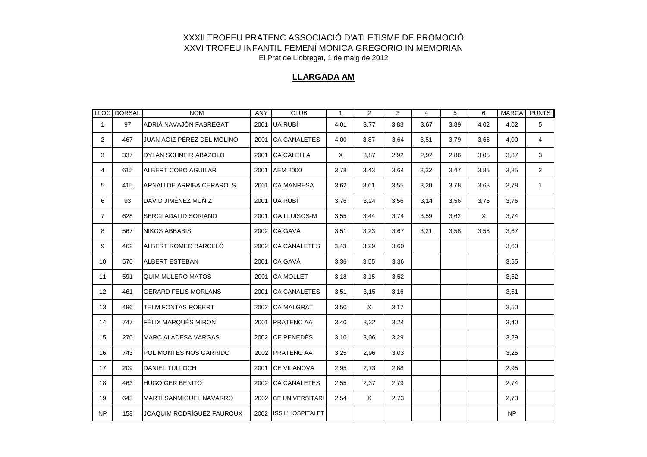#### **LLARGADA AM**

|                | LLOC DORSAL | <b>NOM</b>                    | ANY  | <b>CLUB</b>           | $\mathbf{1}$ | $\overline{2}$ | 3    | $\overline{4}$ | 5    | 6        | <b>MARCA</b> | <b>PUNTS</b>   |
|----------------|-------------|-------------------------------|------|-----------------------|--------------|----------------|------|----------------|------|----------|--------------|----------------|
| $\mathbf{1}$   | 97          | ADRIÀ NAVAJÓN FABREGAT        |      | 2001 UA RUBÍ          | 4,01         | 3,77           | 3,83 | 3,67           | 3,89 | 4,02     | 4.02         | 5              |
| $\overline{2}$ | 467         | JUAN AOIZ PÉREZ DEL MOLINO    |      | 2001 CA CANALETES     | 4,00         | 3,87           | 3,64 | 3,51           | 3,79 | 3,68     | 4,00         | 4              |
| 3              | 337         | DYLAN SCHNEIR ABAZOLO         | 2001 | <b>CA CALELLA</b>     | X            | 3,87           | 2,92 | 2,92           | 2,86 | 3,05     | 3,87         | 3              |
| 4              | 615         | ALBERT COBO AGUILAR           |      | 2001 AEM 2000         | 3,78         | 3,43           | 3,64 | 3,32           | 3,47 | 3,85     | 3,85         | $\overline{2}$ |
| 5              | 415         | ARNAU DE ARRIBA CERAROLS      |      | 2001 CA MANRESA       | 3,62         | 3,61           | 3,55 | 3,20           | 3,78 | 3,68     | 3,78         | $\mathbf{1}$   |
| 6              | 93          | IDAVID JIMÉNEZ MUÑIZ          |      | 2001 UA RUBÍ          | 3,76         | 3,24           | 3,56 | 3,14           | 3,56 | 3,76     | 3,76         |                |
| $\overline{7}$ | 628         | <b>SERGI ADALID SORIANO</b>   |      | 2001 GA LLUISOS-M     | 3,55         | 3,44           | 3,74 | 3,59           | 3,62 | $\times$ | 3,74         |                |
| 8              | 567         | <b>NIKOS ABBABIS</b>          |      | 2002 CA GAVÀ          | 3,51         | 3,23           | 3.67 | 3,21           | 3,58 | 3,58     | 3,67         |                |
| 9              | 462         | IALBERT ROMEO BARCELÓ         |      | 2002 CA CANALETES     | 3,43         | 3,29           | 3,60 |                |      |          | 3,60         |                |
| 10             | 570         | <b>ALBERT ESTEBAN</b>         |      | 2001 CA GAVÀ          | 3,36         | 3,55           | 3,36 |                |      |          | 3,55         |                |
| 11             | 591         | QUIM MULERO MATOS             |      | 2001 CA MOLLET        | 3,18         | 3,15           | 3,52 |                |      |          | 3,52         |                |
| 12             | 461         | <b>IGERARD FELIS MORLANS</b>  | 2001 | <b>CA CANALETES</b>   | 3,51         | 3,15           | 3,16 |                |      |          | 3,51         |                |
| 13             | 496         | <b>TELM FONTAS ROBERT</b>     |      | 2002 CA MALGRAT       | 3,50         | $\times$       | 3,17 |                |      |          | 3,50         |                |
| 14             | 747         | FÈLIX MARQUÉS MIRON           |      | 2001 PRATENC AA       | 3,40         | 3,32           | 3,24 |                |      |          | 3,40         |                |
| 15             | 270         | <b>IMARC ALADESA VARGAS</b>   |      | 2002 CE PENEDÈS       | 3,10         | 3,06           | 3,29 |                |      |          | 3,29         |                |
| 16             | 743         | <b>POL MONTESINOS GARRIDO</b> |      | 2002 PRATENC AA       | 3,25         | 2,96           | 3,03 |                |      |          | 3,25         |                |
| 17             | 209         | <b>DANIEL TULLOCH</b>         |      | 2001 ICE VILANOVA     | 2,95         | 2,73           | 2,88 |                |      |          | 2,95         |                |
| 18             | 463         | <b>HUGO GER BENITO</b>        |      | 2002 CA CANALETES     | 2,55         | 2,37           | 2,79 |                |      |          | 2,74         |                |
| 19             | 643         | MARTÍ SANMIGUEL NAVARRO       |      | 2002 CE UNIVERSITARI  | 2,54         | $\times$       | 2,73 |                |      |          | 2,73         |                |
| <b>NP</b>      | 158         | JOAQUIM RODRÍGUEZ FAUROUX     |      | 2002 ISS L'HOSPITALET |              |                |      |                |      |          | <b>NP</b>    |                |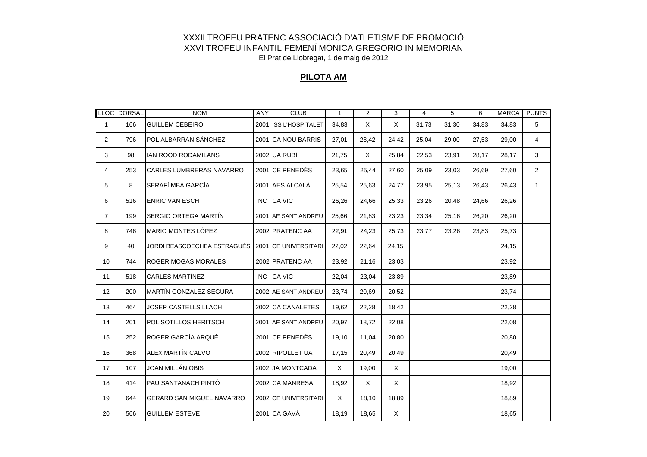#### **PILOTA AM**

|                | LLOC DORSAL | <b>NOM</b>                       | <b>ANY</b> | <b>CLUB</b>           | $\mathbf{1}$ | 2        | 3        | $\overline{4}$ | 5     | 6     | <b>MARCA</b> | <b>PUNTS</b>   |
|----------------|-------------|----------------------------------|------------|-----------------------|--------------|----------|----------|----------------|-------|-------|--------------|----------------|
| 1              | 166         | <b>GUILLEM CEBEIRO</b>           |            | 2001 ISS L'HOSPITALET | 34,83        | $\times$ | $\times$ | 31,73          | 31,30 | 34,83 | 34,83        | 5              |
| $\overline{2}$ | 796         | POL ALBARRAN SÁNCHEZ             |            | 2001 CA NOU BARRIS    | 27,01        | 28,42    | 24,42    | 25,04          | 29,00 | 27,53 | 29,00        | 4              |
| 3              | 98          | IAN ROOD RODAMILANS              |            | 2002 UA RUBÍ          | 21,75        | X        | 25,84    | 22,53          | 23,91 | 28,17 | 28,17        | 3              |
| 4              | 253         | <b>CARLES LUMBRERAS NAVARRO</b>  |            | 2001 CE PENEDÈS       | 23,65        | 25,44    | 27,60    | 25,09          | 23,03 | 26,69 | 27,60        | $\overline{2}$ |
| 5              | 8           | SERAFÍ MBA GARCÍA                |            | 2001 AES ALCALA       | 25,54        | 25,63    | 24,77    | 23,95          | 25,13 | 26,43 | 26,43        | $\mathbf{1}$   |
| 6              | 516         | <b>ENRIC VAN ESCH</b>            |            | NC CA VIC             | 26,26        | 24,66    | 25,33    | 23,26          | 20,48 | 24,66 | 26,26        |                |
| $\overline{7}$ | 199         | SERGIO ORTEGA MARTÍN             |            | 2001 AE SANT ANDREU   | 25,66        | 21,83    | 23,23    | 23,34          | 25,16 | 26,20 | 26,20        |                |
| 8              | 746         | <b>MARIO MONTES LÓPEZ</b>        |            | 2002 PRATENC AA       | 22,91        | 24,23    | 25,73    | 23,77          | 23,26 | 23,83 | 25,73        |                |
| 9              | 40          | JORDI BEASCOECHEA ESTRAGUÉS      |            | 2001 CE UNIVERSITARI  | 22,02        | 22,64    | 24,15    |                |       |       | 24,15        |                |
| 10             | 744         | <b>ROGER MOGAS MORALES</b>       |            | 2002 PRATENC AA       | 23,92        | 21,16    | 23,03    |                |       |       | 23,92        |                |
| 11             | 518         | <b>CARLES MARTÍNEZ</b>           |            | NC CA VIC             | 22,04        | 23,04    | 23,89    |                |       |       | 23,89        |                |
| 12             | 200         | <b>MARTÍN GONZALEZ SEGURA</b>    |            | 2002 AE SANT ANDREU   | 23,74        | 20,69    | 20,52    |                |       |       | 23,74        |                |
| 13             | 464         | JOSEP CASTELLS LLACH             |            | 2002 CA CANALETES     | 19,62        | 22,28    | 18,42    |                |       |       | 22,28        |                |
| 14             | 201         | POL SOTILLOS HERITSCH            |            | 2001 AE SANT ANDREU   | 20,97        | 18,72    | 22,08    |                |       |       | 22,08        |                |
| 15             | 252         | ROGER GARCÍA ARQUÉ               |            | 2001 CE PENEDÈS       | 19,10        | 11,04    | 20,80    |                |       |       | 20,80        |                |
| 16             | 368         | ALEX MARTÍN CALVO                |            | 2002 RIPOLLET UA      | 17,15        | 20,49    | 20,49    |                |       |       | 20,49        |                |
| 17             | 107         | JOAN MILLÁN OBIS                 |            | 2002 JA MONTCADA      | X            | 19,00    | X        |                |       |       | 19,00        |                |
| 18             | 414         | PAU SANTANACH PINTÓ              |            | 2002 CA MANRESA       | 18,92        | $\times$ | $\times$ |                |       |       | 18,92        |                |
| 19             | 644         | <b>GERARD SAN MIGUEL NAVARRO</b> |            | 2002 CE UNIVERSITARI  | X            | 18,10    | 18,89    |                |       |       | 18,89        |                |
| 20             | 566         | <b>GUILLEM ESTEVE</b>            |            | 2001 CA GAVÀ          | 18,19        | 18,65    | X        |                |       |       | 18,65        |                |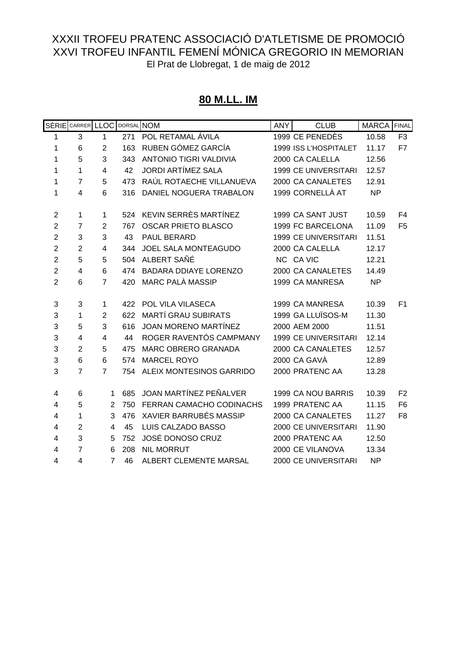#### **80 M.LL. IM**

|                         | SÈRIE CARRER LLOC |                | DORSAL NOM |                               | <b>ANY</b> | <b>CLUB</b>                 | <b>MARCA</b> | FINAL          |
|-------------------------|-------------------|----------------|------------|-------------------------------|------------|-----------------------------|--------------|----------------|
| 1                       | 3                 | 1              | 271        | POL RETAMAL ÁVILA             |            | 1999 CE PENEDÈS             | 10.58        | F <sub>3</sub> |
| 1                       | 6                 | $\overline{2}$ | 163        | RUBEN GÓMEZ GARCÍA            |            | 1999 ISS L'HOSPITALET       | 11.17        | F7             |
| 1                       | 5                 | 3              | 343        | <b>ANTONIO TIGRI VALDIVIA</b> |            | 2000 CA CALELLA             | 12.56        |                |
| 1                       | 1                 | $\overline{4}$ | 42         | <b>JORDI ARTÍMEZ SALA</b>     |            | <b>1999 CE UNIVERSITARI</b> | 12.57        |                |
| 1                       | $\overline{7}$    | 5              | 473        | RAÚL ROTAECHE VILLANUEVA      |            | 2000 CA CANALETES           | 12.91        |                |
| 1                       | 4                 | 6              | 316        | DANIEL NOGUERA TRABALON       |            | 1999 CORNELLÀ AT            | <b>NP</b>    |                |
| $\overline{2}$          | 1                 | 1              | 524        | KEVIN SERRÈS MARTÍNEZ         |            | 1999 CA SANT JUST           | 10.59        | F <sub>4</sub> |
| $\overline{2}$          | $\overline{7}$    | $\overline{2}$ | 767        | <b>OSCAR PRIETO BLASCO</b>    |            | 1999 FC BARCELONA           | 11.09        | F <sub>5</sub> |
| $\mathbf 2$             | 3                 | 3              | 43         | PAUL BERARD                   |            | <b>1999 CE UNIVERSITARI</b> | 11.51        |                |
| $\overline{c}$          | $\overline{2}$    | 4              | 344        | <b>JOEL SALA MONTEAGUDO</b>   |            | 2000 CA CALELLA             | 12.17        |                |
| $\overline{2}$          | 5                 | 5              | 504        | ALBERT SAÑÉ                   |            | NC CA VIC                   | 12.21        |                |
| $\overline{2}$          | $\overline{4}$    | 6              | 474        | <b>BADARA DDIAYE LORENZO</b>  |            | 2000 CA CANALETES           | 14.49        |                |
| $\overline{2}$          | 6                 | $\overline{7}$ | 420        | <b>MARC PALÀ MASSIP</b>       |            | 1999 CA MANRESA             | <b>NP</b>    |                |
| 3                       | 3                 | 1              | 422        | POL VILA VILASECA             |            | 1999 CA MANRESA             | 10.39        | F <sub>1</sub> |
| 3                       | 1                 | $\overline{2}$ | 622        | <b>MARTÍ GRAU SUBIRATS</b>    |            | 1999 GA LLUÏSOS-M           | 11.30        |                |
| 3                       | 5                 | 3              | 616        | <b>JOAN MORENO MARTÍNEZ</b>   |            | 2000 AEM 2000               | 11.51        |                |
| 3                       | $\overline{4}$    | 4              | 44         | ROGER RAVENTÓS CAMPMANY       |            | <b>1999 CE UNIVERSITARI</b> | 12.14        |                |
| 3                       | $\overline{2}$    | 5              | 475        | MARC OBRERO GRANADA           |            | 2000 CA CANALETES           | 12.57        |                |
| 3                       | 6                 | 6              | 574        | <b>MARCEL ROYO</b>            |            | 2000 CA GAVÀ                | 12.89        |                |
| 3                       | $\overline{7}$    | $\overline{7}$ | 754        | ALEIX MONTESINOS GARRIDO      |            | 2000 PRATENC AA             | 13.28        |                |
| 4                       | 6                 | 1              | 685        | JOAN MARTÍNEZ PEÑALVER        |            | 1999 CA NOU BARRIS          | 10.39        | F <sub>2</sub> |
| 4                       | 5                 | 2              | 750        | FERRAN CAMACHO CODINACHS      |            | 1999 PRATENC AA             | 11.15        | F <sub>6</sub> |
| $\overline{\mathbf{4}}$ | 1                 | 3              | 476        | XAVIER BARRUBÉS MASSIP        |            | 2000 CA CANALETES           | 11.27        | F <sub>8</sub> |
| 4                       | $\overline{2}$    | 4              | 45         | LUIS CALZADO BASSO            |            | 2000 CE UNIVERSITARI        | 11.90        |                |
| $\overline{\mathbf{4}}$ | 3                 | 5              | 752        | JOSÉ DONOSO CRUZ              |            | 2000 PRATENC AA             | 12.50        |                |
| 4                       | $\overline{7}$    | 6              | 208        | <b>NIL MORRUT</b>             |            | 2000 CE VILANOVA            | 13.34        |                |
| 4                       | 4                 | $\overline{7}$ | 46         | <b>ALBERT CLEMENTE MARSAL</b> |            | 2000 CE UNIVERSITARI        | <b>NP</b>    |                |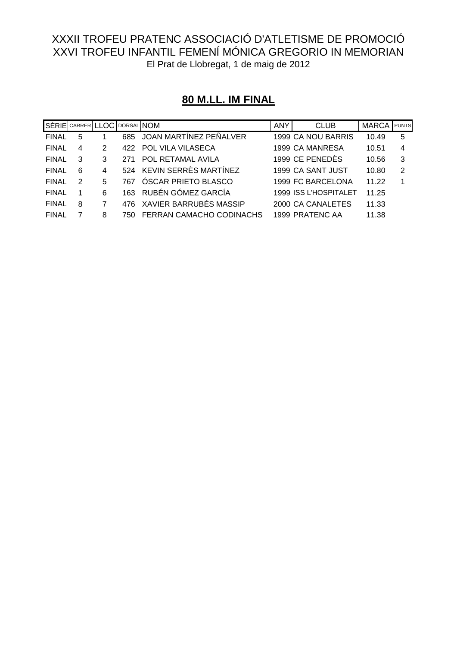# **80 M.LL. IM FINAL**

| SÈRIE CARRER LLOC DORSAL NOM |   |   |     |                            | <b>ANY</b> | <b>CLUB</b>           | <b>MARCA</b> | PUNTS          |
|------------------------------|---|---|-----|----------------------------|------------|-----------------------|--------------|----------------|
| <b>FINAL</b>                 | 5 |   |     | 685 JOAN MARTINEZ PEÑALVER |            | 1999 CA NOU BARRIS    | 10.49        | 5              |
| <b>FINAL</b>                 | 4 | 2 | 422 | <b>POL VILA VILASECA</b>   |            | 1999 CA MANRESA       | 10.51        | $\overline{4}$ |
| <b>FINAL</b>                 | 3 | 3 | 271 | POL RETAMAL AVILA          |            | 1999 CE PENEDÈS       | 10.56        | -3             |
| <b>FINAL</b>                 | 6 | 4 |     | 524 KEVIN SERRÈS MARTÍNEZ  |            | 1999 CA SANT JUST     | 10.80        | 2              |
| <b>FINAL</b>                 | 2 | 5 | 767 | ÓSCAR PRIETO BLASCO        |            | 1999 FC BARCELONA     | 11.22        | -1             |
| <b>FINAL</b>                 |   | 6 | 163 | RUBÉN GÓMEZ GARCÍA         |            | 1999 ISS L'HOSPITALET | 11.25        |                |
| <b>FINAL</b>                 | 8 | 7 | 476 | XAVIER BARRUBÉS MASSIP     |            | 2000 CA CANALETES     | 11.33        |                |
| <b>FINAL</b>                 |   | 8 | 750 | FERRAN CAMACHO CODINACHS   |            | 1999 PRATENC AA       | 11.38        |                |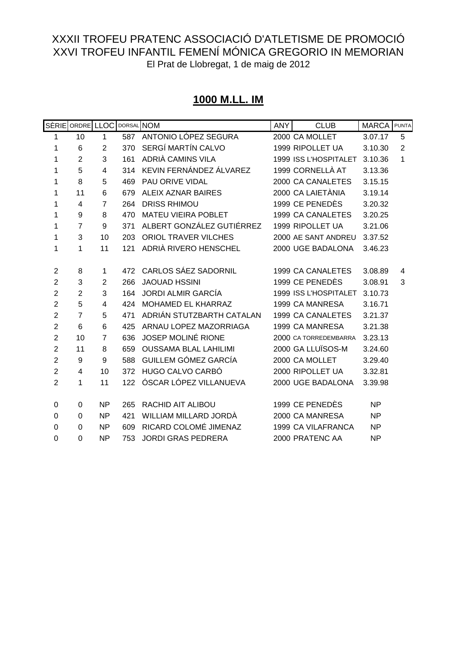# **1000 M.LL. IM**

|                | SÈRIE ORDRE LLOC |                | DORSAL NOM |                              | <b>ANY</b> | <b>CLUB</b>           | <b>MARCA</b> | PUNTA |
|----------------|------------------|----------------|------------|------------------------------|------------|-----------------------|--------------|-------|
| 1              | 10               | 1              | 587        | ANTONIO LÓPEZ SEGURA         |            | 2000 CA MOLLET        | 3.07.17      | 5     |
| 1              | 6                | $\overline{2}$ | 370        | SERGÍ MARTÍN CALVO           |            | 1999 RIPOLLET UA      | 3.10.30      | 2     |
| 1              | $\overline{2}$   | 3              | 161        | ADRIÀ CAMINS VILA            |            | 1999 ISS L'HOSPITALET | 3.10.36      | 1     |
| 1              | 5                | 4              | 314        | KEVIN FERNÁNDEZ ÁLVAREZ      |            | 1999 CORNELLÀ AT      | 3.13.36      |       |
| 1              | 8                | 5              | 469        | PAU ORIVE VIDAL              |            | 2000 CA CANALETES     | 3.15.15      |       |
| 1              | 11               | 6              | 679        | ALEIX AZNAR BAIRES           |            | 2000 CA LAIETÀNIA     | 3.19.14      |       |
| 1              | 4                | $\overline{7}$ | 264        | <b>DRISS RHIMOU</b>          |            | 1999 CE PENEDÈS       | 3.20.32      |       |
| 1              | 9                | 8              | 470        | <b>MATEU VIEIRA POBLET</b>   |            | 1999 CA CANALETES     | 3.20.25      |       |
| 1              | $\overline{7}$   | 9              | 371        | ALBERT GONZÁLEZ GUTIÉRREZ    |            | 1999 RIPOLLET UA      | 3.21.06      |       |
| 1              | 3                | 10             | 203        | <b>ORIOL TRAVER VILCHES</b>  |            | 2000 AE SANT ANDREU   | 3.37.52      |       |
| 1              | 1                | 11             | 121        | ADRIÀ RIVERO HENSCHEL        |            | 2000 UGE BADALONA     | 3.46.23      |       |
|                |                  |                |            |                              |            |                       |              |       |
| $\overline{2}$ | 8                | 1              | 472        | CARLOS SÁEZ SADORNIL         |            | 1999 CA CANALETES     | 3.08.89      | 4     |
| $\overline{2}$ | 3                | $\overline{2}$ | 266        | <b>JAOUAD HSSINI</b>         |            | 1999 CE PENEDÈS       | 3.08.91      | 3     |
| $\overline{2}$ | $\overline{2}$   | 3              | 164        | <b>JORDI ALMIR GARCÍA</b>    |            | 1999 ISS L'HOSPITALET | 3.10.73      |       |
| $\overline{c}$ | 5                | $\overline{4}$ | 424        | MOHAMED EL KHARRAZ           |            | 1999 CA MANRESA       | 3.16.71      |       |
| $\overline{c}$ | $\overline{7}$   | 5              | 471        | ADRIÁN STUTZBARTH CATALAN    |            | 1999 CA CANALETES     | 3.21.37      |       |
| $\overline{2}$ | 6                | 6              | 425        | ARNAU LOPEZ MAZORRIAGA       |            | 1999 CA MANRESA       | 3.21.38      |       |
| $\overline{2}$ | 10               | $\overline{7}$ | 636        | <b>JOSEP MOLINÉ RIONE</b>    |            | 2000 CA TORREDEMBARRA | 3.23.13      |       |
| $\overline{2}$ | 11               | 8              | 659        | <b>OUSSAMA BLAL LAHILIMI</b> |            | 2000 GA LLUÏSOS-M     | 3.24.60      |       |
| $\overline{2}$ | 9                | 9              | 588        | GUILLEM GÓMEZ GARCÍA         |            | 2000 CA MOLLET        | 3.29.40      |       |
| $\overline{c}$ | 4                | 10             | 372        | HUGO CALVO CARBÓ             |            | 2000 RIPOLLET UA      | 3.32.81      |       |
| $\overline{c}$ | 1                | 11             | 122        | ÓSCAR LÓPEZ VILLANUEVA       |            | 2000 UGE BADALONA     | 3.39.98      |       |
|                |                  |                |            |                              |            |                       |              |       |
| 0              | 0                | <b>NP</b>      | 265        | RACHID AIT ALIBOU            |            | 1999 CE PENEDÈS       | <b>NP</b>    |       |
| $\mathbf 0$    | 0                | <b>NP</b>      | 421        | WILLIAM MILLARD JORDÀ        |            | 2000 CA MANRESA       | <b>NP</b>    |       |
| 0              | $\Omega$         | <b>NP</b>      | 609        | RICARD COLOMÉ JIMENAZ        |            | 1999 CA VILAFRANCA    | <b>NP</b>    |       |
| $\mathbf 0$    | $\overline{0}$   | <b>NP</b>      | 753        | <b>JORDI GRAS PEDRERA</b>    |            | 2000 PRATENC AA       | <b>NP</b>    |       |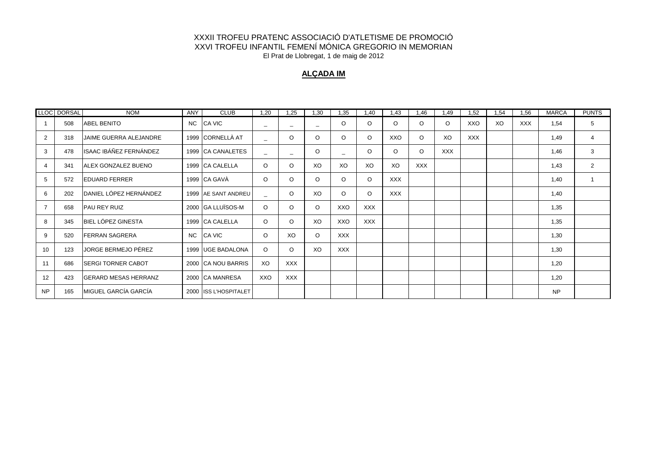#### **ALÇADA IM**

|                | LLOC DORSAL | <b>NOM</b>                  | ANY       | <b>CLUB</b>           | 1,20                     | 1,25                     | 1,30    | 1,35                     | 1,40       | 1,43       | 1,46       | 1,49       | 1,52       | 1,54 | 1,56       | <b>MARCA</b> | <b>PUNTS</b>   |
|----------------|-------------|-----------------------------|-----------|-----------------------|--------------------------|--------------------------|---------|--------------------------|------------|------------|------------|------------|------------|------|------------|--------------|----------------|
|                | 508         | <b>ABEL BENITO</b>          | <b>NC</b> | CA VIC                | -                        | $\overline{\phantom{a}}$ | -       | O                        | $\circ$    | $\circ$    | $\circ$    | $\circ$    | XXO        | XO   | <b>XXX</b> | 1,54         | 5              |
| 2              | 318         | JAIME GUERRA ALEJANDRE      |           | 1999 CORNELLÀ AT      | $\equiv$                 | $\circ$                  | $\circ$ | O                        | $\circ$    | XXO        | $\circ$    | XO         | <b>XXX</b> |      |            | 1,49         | $\overline{4}$ |
| 3              | 478         | ISAAC IBÁÑEZ FERNÁNDEZ      |           | 1999 CA CANALETES     | $\equiv$                 | $\equiv$                 | $\circ$ | $\overline{\phantom{a}}$ | $\circ$    | $\circ$    | $\circ$    | <b>XXX</b> |            |      |            | 1,46         | 3              |
| $\overline{4}$ | 341         | ALEX GONZALEZ BUENO         |           | 1999 CA CALELLA       | $\circ$                  | $\circ$                  | XO      | XO                       | XO         | XO         | <b>XXX</b> |            |            |      |            | 1,43         | 2              |
| 5              | 572         | <b>EDUARD FERRER</b>        |           | 1999 CA GAVÀ          | $\circ$                  | $\circ$                  | $\circ$ | $\circ$                  | $\circ$    | <b>XXX</b> |            |            |            |      |            | 1,40         |                |
| 6              | 202         | DANIEL LÓPEZ HERNÁNDEZ      |           | 1999 AE SANT ANDREU   | $\overline{\phantom{0}}$ | $\circ$                  | XO      | O                        | $\circ$    | <b>XXX</b> |            |            |            |      |            | 1,40         |                |
| $\overline{7}$ | 658         | <b>PAU REY RUIZ</b>         |           | 2000 GA LLUÏSOS-M     | $\circ$                  | $\circ$                  | $\circ$ | XXO                      | <b>XXX</b> |            |            |            |            |      |            | 1,35         |                |
| 8              | 345         | BIEL LÓPEZ GINESTA          |           | 1999 CA CALELLA       | $\circ$                  | $\circ$                  | XO      | XXO                      | <b>XXX</b> |            |            |            |            |      |            | 1,35         |                |
| 9              | 520         | <b>FERRAN SAGRERA</b>       | NC        | CA VIC                | $\circ$                  | XO                       | $\circ$ | <b>XXX</b>               |            |            |            |            |            |      |            | 1,30         |                |
| 10             | 123         | JORGE BERMEJO PÉREZ         |           | 1999 UGE BADALONA     | $\circ$                  | $\circ$                  | XO      | <b>XXX</b>               |            |            |            |            |            |      |            | 1,30         |                |
| 11             | 686         | <b>SERGI TORNER CABOT</b>   |           | 2000 CA NOU BARRIS    | XO                       | <b>XXX</b>               |         |                          |            |            |            |            |            |      |            | 1,20         |                |
| 12             | 423         | <b>GERARD MESAS HERRANZ</b> |           | 2000 CA MANRESA       | XXO                      | <b>XXX</b>               |         |                          |            |            |            |            |            |      |            | 1,20         |                |
| <b>NP</b>      | 165         | MIGUEL GARCÍA GARCÍA        |           | 2000 ISS L'HOSPITALET |                          |                          |         |                          |            |            |            |            |            |      |            | <b>NP</b>    |                |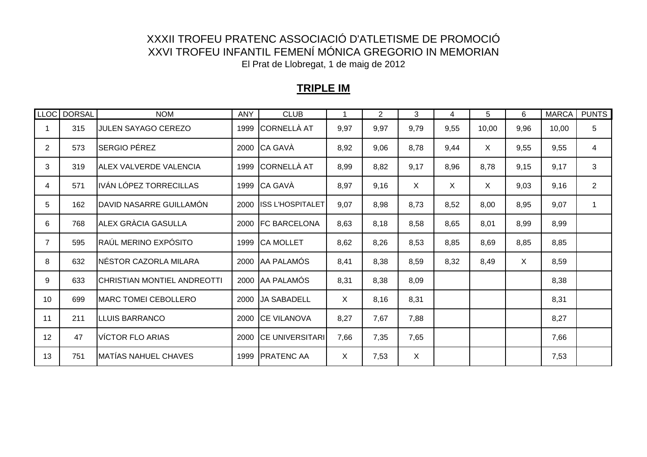# **TRIPLE IM**

|                | LLOC DORSAL | <b>NOM</b>                    | <b>ANY</b> | <b>CLUB</b>           |              | $\overline{2}$ | 3    | 4            | 5            | 6    | <b>MARCA</b> | <b>PUNTS</b>   |
|----------------|-------------|-------------------------------|------------|-----------------------|--------------|----------------|------|--------------|--------------|------|--------------|----------------|
|                | 315         | JULEN SAYAGO CEREZO           | 1999       | CORNELLÀ AT           | 9,97         | 9,97           | 9,79 | 9,55         | 10,00        | 9,96 | 10,00        | 5              |
| $\overline{2}$ | 573         | <b>SERGIO PÉREZ</b>           |            | 2000 CA GAVÀ          | 8,92         | 9,06           | 8,78 | 9,44         | $\mathsf{X}$ | 9,55 | 9,55         | 4              |
| 3              | 319         | <b>ALEX VALVERDE VALENCIA</b> | 1999       | CORNELLÀ AT           | 8,99         | 8,82           | 9,17 | 8,96         | 8,78         | 9,15 | 9,17         | 3              |
| 4              | 571         | IVÁN LÓPEZ TORRECILLAS        |            | 1999 CA GAVÀ          | 8,97         | 9,16           | X    | $\mathsf{X}$ | $\times$     | 9,03 | 9,16         | $\overline{2}$ |
| 5              | 162         | IDAVID NASARRE GUILLAMÓN      |            | 2000 ISS L'HOSPITALET | 9,07         | 8,98           | 8,73 | 8,52         | 8,00         | 8,95 | 9,07         |                |
| 6              | 768         | ALEX GRÀCIA GASULLA           |            | 2000   FC BARCELONA   | 8,63         | 8,18           | 8,58 | 8,65         | 8,01         | 8,99 | 8,99         |                |
| $\overline{7}$ | 595         | RAÚL MERINO EXPÓSITO          |            | 1999 CA MOLLET        | 8,62         | 8,26           | 8,53 | 8,85         | 8,69         | 8,85 | 8,85         |                |
| 8              | 632         | NÉSTOR CAZORLA MILARA         |            | 2000 AA PALAMÓS       | 8,41         | 8,38           | 8,59 | 8,32         | 8,49         | X    | 8,59         |                |
| 9              | 633         | CHRISTIAN MONTIEL ANDREOTTI   |            | 2000 AA PALAMÓS       | 8,31         | 8,38           | 8,09 |              |              |      | 8,38         |                |
| 10             | 699         | <b>MARC TOMEI CEBOLLERO</b>   |            | 2000 JA SABADELL      | X            | 8,16           | 8,31 |              |              |      | 8,31         |                |
| 11             | 211         | <b>LLUIS BARRANCO</b>         |            | 2000 CE VILANOVA      | 8,27         | 7,67           | 7,88 |              |              |      | 8,27         |                |
| 12             | 47          | <b>VÍCTOR FLO ARIAS</b>       |            | 2000 ICE UNIVERSITARI | 7,66         | 7,35           | 7,65 |              |              |      | 7,66         |                |
| 13             | 751         | <b>MATÍAS NAHUEL CHAVES</b>   | 1999       | <b>IPRATENC AA</b>    | $\mathsf{X}$ | 7,53           | X    |              |              |      | 7,53         |                |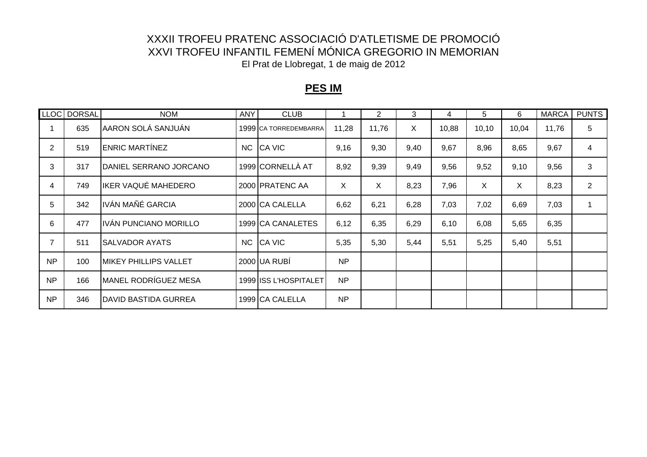### **PES IM**

|           | LLOC DORSAL | <b>NOM</b>                   | ANY       | <b>CLUB</b>           |           | $\overline{2}$ | 3    | 4     | 5      | 6     | <b>MARCA</b> | <b>PUNTS</b>   |
|-----------|-------------|------------------------------|-----------|-----------------------|-----------|----------------|------|-------|--------|-------|--------------|----------------|
|           | 635         | AARON SOLÁ SANJUÁN           |           | 1999 CA TORREDEMBARRA | 11,28     | 11,76          | X.   | 10,88 | 10, 10 | 10,04 | 11,76        | 5              |
| 2         | 519         | <b>ENRIC MARTÍNEZ</b>        | <b>NC</b> | <b>CA VIC</b>         | 9,16      | 9,30           | 9,40 | 9,67  | 8,96   | 8,65  | 9,67         | 4              |
| 3         | 317         | DANIEL SERRANO JORCANO       |           | 1999 CORNELLÀ AT      | 8,92      | 9,39           | 9,49 | 9,56  | 9,52   | 9,10  | 9,56         | 3              |
| 4         | 749         | IKER VAQUÉ MAHEDERO          |           | 2000 PRATENC AA       | X         | $\sf X$        | 8,23 | 7,96  | X      | X     | 8,23         | $\overline{2}$ |
| 5         | 342         | IVÁN MAÑÉ GARCIA             |           | 2000 CA CALELLA       | 6,62      | 6,21           | 6,28 | 7,03  | 7,02   | 6,69  | 7,03         | 1              |
| 6         | 477         | IVÁN PUNCIANO MORILLO        |           | 1999 CA CANALETES     | 6,12      | 6,35           | 6,29 | 6,10  | 6,08   | 5,65  | 6,35         |                |
|           | 511         | <b>SALVADOR AYATS</b>        | NC        | <b>CA VIC</b>         | 5,35      | 5,30           | 5,44 | 5,51  | 5,25   | 5,40  | 5,51         |                |
| NP        | 100         | <b>MIKEY PHILLIPS VALLET</b> |           | 2000 UA RUBÍ          | <b>NP</b> |                |      |       |        |       |              |                |
| <b>NP</b> | 166         | <b>MANEL RODRÍGUEZ MESA</b>  |           | 1999 ISS L'HOSPITALET | <b>NP</b> |                |      |       |        |       |              |                |
| <b>NP</b> | 346         | DAVID BASTIDA GURREA         |           | 1999 CA CALELLA       | <b>NP</b> |                |      |       |        |       |              |                |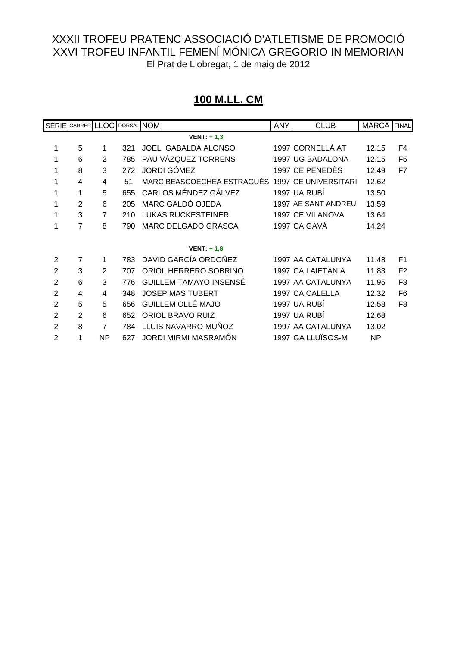# **100 M.LL. CM**

|                | SÈRIE CARRER LLOC DORSAL NOM |                |     |                               | <b>ANY</b> | <b>CLUB</b>          | MARCA FINAL |                |
|----------------|------------------------------|----------------|-----|-------------------------------|------------|----------------------|-------------|----------------|
|                |                              |                |     | VENT: $+1,3$                  |            |                      |             |                |
| 1              | 5                            | 1              | 321 | JOEL GABALDÀ ALONSO           |            | 1997 CORNELLÀ AT     | 12.15       | F4             |
| 1              | 6                            | 2              | 785 | PAU VÁZQUEZ TORRENS           |            | 1997 UG BADALONA     | 12.15       | F <sub>5</sub> |
| 1              | 8                            | 3              | 272 | <b>JORDI GÓMEZ</b>            |            | 1997 CE PENEDÈS      | 12.49       | F7             |
| 1              | 4                            | 4              | 51  | MARC BEASCOECHEA ESTRAGUÉS    |            | 1997 CE UNIVERSITARI | 12.62       |                |
| 1              | 1                            | 5              | 655 | CARLOS MÉNDEZ GÁLVEZ          |            | 1997 UA RUBI         | 13.50       |                |
| 1              | 2                            | 6              | 205 | MARC GALDÓ OJEDA              |            | 1997 AE SANT ANDREU  | 13.59       |                |
| 1              | 3                            | $\overline{7}$ | 210 | <b>LUKAS RUCKESTEINER</b>     |            | 1997 CE VILANOVA     | 13.64       |                |
| 1              | 7                            | 8              | 790 | MARC DELGADO GRASCA           |            | 1997 CA GAVA         | 14.24       |                |
|                |                              |                |     |                               |            |                      |             |                |
|                |                              |                |     | VENT: $+1,8$                  |            |                      |             |                |
| $\overline{2}$ | $\overline{7}$               |                | 783 | DAVID GARCÍA ORDOÑEZ          |            | 1997 AA CATALUNYA    | 11.48       | F <sub>1</sub> |
| $\overline{2}$ | 3                            | 2              | 707 | ORIOL HERRERO SOBRINO         |            | 1997 CA LAIETÀNIA    | 11.83       | F <sub>2</sub> |
| $\overline{2}$ | 6                            | 3              | 776 | <b>GUILLEM TAMAYO INSENSE</b> |            | 1997 AA CATALUNYA    | 11.95       | F <sub>3</sub> |
| $\overline{2}$ | 4                            | 4              | 348 | <b>JOSEP MAS TUBERT</b>       |            | 1997 CA CALELLA      | 12.32       | F <sub>6</sub> |
| $\overline{2}$ | 5                            | 5              | 656 | GUILLEM OLLÉ MAJO             |            | 1997 UA RUBÍ         | 12.58       | F <sub>8</sub> |
| $\overline{2}$ | $\overline{2}$               | 6              | 652 | <b>ORIOL BRAVO RUIZ</b>       |            | 1997 UA RUBÍ         | 12.68       |                |
| $\overline{2}$ | 8                            | $\overline{7}$ | 784 | LLUIS NAVARRO MUÑOZ           |            | 1997 AA CATALUNYA    | 13.02       |                |
| $\overline{2}$ | 1                            | <b>NP</b>      | 627 | JORDI MIRMI MASRAMÓN          |            | 1997 GA LLUÏSOS-M    | <b>NP</b>   |                |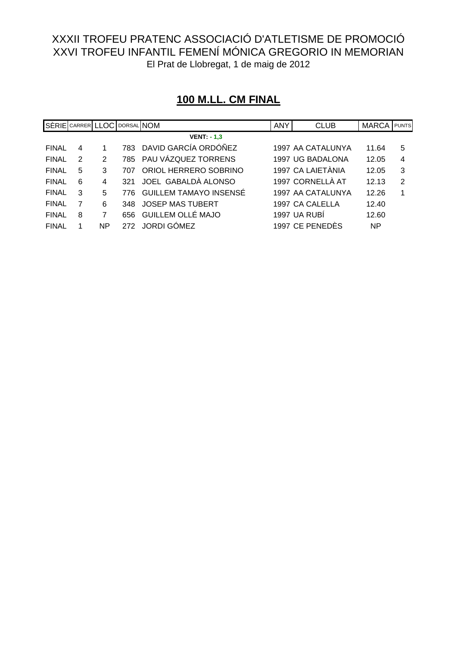|              | SÈRIE CARRER LLOC DORSAL NOM |    |     |                               | <b>ANY</b> | <b>CLUB</b>       | <b>MARCA</b> | PUNTS |
|--------------|------------------------------|----|-----|-------------------------------|------------|-------------------|--------------|-------|
|              |                              |    |     | <b>VENT: - 1,3</b>            |            |                   |              |       |
| <b>FINAL</b> | 4                            |    |     | 783 DAVID GARCÍA ORDÓÑEZ      |            | 1997 AA CATALUNYA | 11.64        | 5     |
| <b>FINAL</b> | 2                            | 2  |     | 785 PAU VÁZQUEZ TORRENS       |            | 1997 UG BADALONA  | 12.05        | 4     |
| <b>FINAL</b> | 5                            | 3  | 707 | ORIOL HERRERO SOBRINO         |            | 1997 CA LAIETÀNIA | 12.05        | 3     |
| <b>FINAL</b> | 6                            | 4  | 321 | JOEL GABALDÀ ALONSO           |            | 1997 CORNELLÀ AT  | 12.13        | 2     |
| <b>FINAL</b> | 3                            | 5  | 776 | <b>GUILLEM TAMAYO INSENSE</b> |            | 1997 AA CATALUNYA | 12.26        | 1     |
| <b>FINAL</b> |                              | 6  | 348 | <b>JOSEP MAS TUBERT</b>       |            | 1997 CA CALELLA   | 12.40        |       |
| <b>FINAL</b> | 8                            | 7  | 656 | GUILLEM OLLÉ MAJO             |            | 1997 UA RUBÍ      | 12.60        |       |
| <b>FINAL</b> |                              | NΡ | 272 | <b>JORDI GÓMEZ</b>            |            | 1997 CE PENEDÉS   | NP           |       |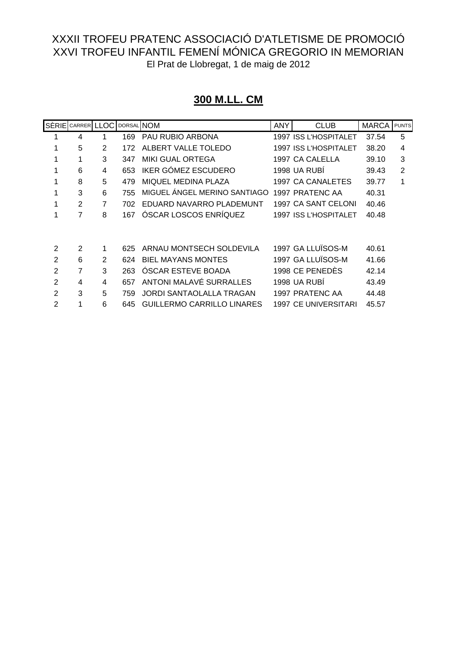# **300 M.LL. CM**

|                | SÈRIE CARRER LLOC |                | DORSAL NOM |                              | <b>ANY</b> | <b>CLUB</b>           | <b>MARCA</b> | <b>PUNTS</b> |
|----------------|-------------------|----------------|------------|------------------------------|------------|-----------------------|--------------|--------------|
|                | 4                 | 1              | 169        | PAU RUBIO ARBONA             |            | 1997 ISS L'HOSPITALET | 37.54        | 5            |
|                | 5                 | $\mathfrak{p}$ | 172        | ALBERT VALLE TOLEDO          |            | 1997 ISS L'HOSPITALET | 38.20        | 4            |
|                |                   | 3              | 347        | <b>MIKI GUAL ORTEGA</b>      |            | 1997 CA CALELLA       | 39.10        | 3            |
|                | 6                 | 4              | 653        | IKER GÓMEZ ESCUDERO          |            | 1998 UA RUBI          | 39.43        | 2            |
|                | 8                 | 5              | 479        | MIQUEL MEDINA PLAZA          |            | 1997 CA CANALETES     | 39.77        | 1            |
|                | 3                 | 6              | 755        | MIGUEL ÁNGEL MERINO SANTIAGO |            | 1997 PRATENC AA       | 40.31        |              |
| 1              | 2                 | 7              | 702        | EDUARD NAVARRO PLADEMUNT     |            | 1997 CA SANT CELONI   | 40.46        |              |
|                | $\overline{7}$    | 8              | 167        | ÓSCAR LOSCOS ENRÍQUEZ        |            | 1997 ISS L'HOSPITALET | 40.48        |              |
|                |                   |                |            |                              |            |                       |              |              |
| 2              | 2                 | 1              | 625        | ARNAU MONTSECH SOLDEVILA     |            | 1997 GA LLUÏSOS-M     | 40.61        |              |
| 2              | 6                 | $\mathfrak{p}$ | 624        | <b>BIEL MAYANS MONTES</b>    |            | 1997 GA LLUÏSOS-M     | 41.66        |              |
| $\overline{2}$ | 7                 | 3              | 263        | <b>OSCAR ESTEVE BOADA</b>    |            | 1998 CE PENEDÈS       | 42.14        |              |
| 2              | 4                 | 4              | 657        | ANTONI MALAVÉ SURRALLES      |            | 1998 UA RUBI          | 43.49        |              |
| 2              | 3                 | 5              | 759        | JORDI SANTAOLALLA TRAGAN     |            | 1997 PRATENC AA       | 44.48        |              |
| 2              |                   | 6              | 645        | GUILLERMO CARRILLO LINARES   |            | 1997 CE UNIVERSITARI  | 45.57        |              |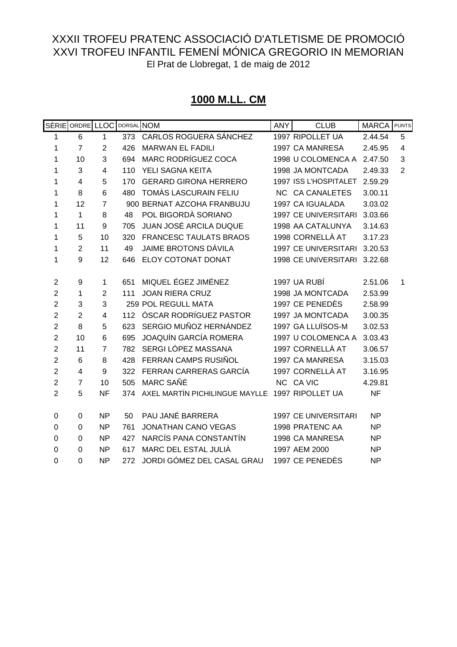# **1000 M.LL. CM**

|                | SÈRIE ORDRE LLOC |                         | DORSAL NOM |                                                 | <b>ANY</b> | <b>CLUB</b>                 | <b>MARCA</b> | <b>PUNTS</b>            |
|----------------|------------------|-------------------------|------------|-------------------------------------------------|------------|-----------------------------|--------------|-------------------------|
| 1              | 6                | 1                       | 373        | CARLOS ROGUERA SÁNCHEZ                          |            | 1997 RIPOLLET UA            | 2.44.54      | 5                       |
| 1              | $\overline{7}$   | $\overline{2}$          | 426        | <b>MARWAN EL FADILI</b>                         |            | 1997 CA MANRESA             | 2.45.95      | $\overline{\mathbf{4}}$ |
| 1              | 10               | 3                       | 694        | <b>MARC RODRÍGUEZ COCA</b>                      |            | 1998 U COLOMENCA A          | 2.47.50      | 3                       |
| 1              | 3                | $\overline{\mathbf{4}}$ | 110        | YELI SAGNA KEITA                                |            | 1998 JA MONTCADA            | 2.49.33      | $\overline{2}$          |
| 1              | $\overline{4}$   | 5                       | 170        | <b>GERARD GIRONA HERRERO</b>                    |            | 1997 ISS L'HOSPITALET       | 2.59.29      |                         |
| 1              | 8                | 6                       | 480        | <b>TOMÀS LASCURAIN FELIU</b>                    |            | NC CA CANALETES             | 3.00.11      |                         |
| 1              | 12               | $\overline{7}$          |            | 900 BERNAT AZCOHA FRANBUJU                      |            | 1997 CA IGUALADA            | 3.03.02      |                         |
| 1              | $\mathbf{1}$     | 8                       | 48         | POL BIGORDÀ SORIANO                             |            | 1997 CE UNIVERSITARI        | 3.03.66      |                         |
| 1              | 11               | 9                       | 705        | <b>JUAN JOSÉ ARCILA DUQUE</b>                   |            | 1998 AA CATALUNYA           | 3.14.63      |                         |
| 1              | 5                | 10                      | 320        | <b>FRANCESC TAULATS BRAOS</b>                   |            | 1998 CORNELLÀ AT            | 3.17.23      |                         |
| 1              | $\overline{2}$   | 11                      | 49         | <b>JAIME BROTONS DÁVILA</b>                     |            | <b>1997 CE UNIVERSITARI</b> | 3.20.53      |                         |
| 1              | 9                | 12                      | 646        | ELOY COTONAT DONAT                              |            | <b>1998 CE UNIVERSITARI</b> | 3.22.68      |                         |
|                |                  |                         |            |                                                 |            |                             |              |                         |
| $\overline{2}$ | $\boldsymbol{9}$ | 1                       | 651        | MIQUEL ÉGEZ JIMÉNEZ                             |            | 1997 UA RUBÍ                | 2.51.06      | 1                       |
| $\overline{2}$ | 1                | $\overline{2}$          | 111        | <b>JOAN RIERA CRUZ</b>                          |            | 1998 JA MONTCADA            | 2.53.99      |                         |
| $\overline{2}$ | 3                | 3                       |            | 259 POL REGULL MATA                             |            | 1997 CE PENEDÈS             | 2.58.99      |                         |
| $\overline{2}$ | $\overline{2}$   | 4                       | 112        | ÓSCAR RODRÍGUEZ PASTOR                          |            | 1997 JA MONTCADA            | 3.00.35      |                         |
| $\mathbf 2$    | 8                | 5                       | 623        | SERGIO MUÑOZ HERNÁNDEZ                          |            | 1997 GA LLUÏSOS-M           | 3.02.53      |                         |
| $\overline{2}$ | 10               | 6                       | 695        | <b>JOAQUÍN GARCÍA ROMERA</b>                    |            | 1997 U COLOMENCA A          | 3.03.43      |                         |
| $\overline{2}$ | 11               | $\overline{7}$          | 782        | SERGI LÓPEZ MASSANA                             |            | 1997 CORNELLÀ AT            | 3.06.57      |                         |
| $\overline{2}$ | 6                | 8                       | 428        | FERRAN CAMPS RUSIÑOL                            |            | 1997 CA MANRESA             | 3.15.03      |                         |
| $\overline{2}$ | 4                | 9                       | 322        | FERRAN CARRERAS GARCÍA                          |            | 1997 CORNELLÀ AT            | 3.16.95      |                         |
| $\mathbf 2$    | $\overline{7}$   | 10                      | 505        | <b>MARC SAÑÉ</b>                                |            | NC CA VIC                   | 4.29.81      |                         |
| $\overline{2}$ | 5                | <b>NF</b>               | 374        | AXEL MARTÍN PICHILINGUE MAYLLE 1997 RIPOLLET UA |            |                             | <b>NF</b>    |                         |
|                |                  |                         |            |                                                 |            |                             |              |                         |
| $\mathbf 0$    | $\boldsymbol{0}$ | <b>NP</b>               | 50         | PAU JANÉ BARRERA                                |            | <b>1997 CE UNIVERSITARI</b> | <b>NP</b>    |                         |
| 0              | 0                | <b>NP</b>               | 761        | <b>JONATHAN CANO VEGAS</b>                      |            | 1998 PRATENC AA             | <b>NP</b>    |                         |
| $\mathbf 0$    | $\mathbf 0$      | <b>NP</b>               | 427        | NARCÍS PANA CONSTANTÍN                          |            | 1998 CA MANRESA             | <b>NP</b>    |                         |
| 0              | $\Omega$         | <b>NP</b>               | 617        | MARC DEL ESTAL JULIÀ                            |            | 1997 AEM 2000               | <b>NP</b>    |                         |
| $\mathbf 0$    | $\mathbf 0$      | <b>NP</b>               | 272        | JORDI GÓMEZ DEL CASAL GRAU                      |            | 1997 CE PENEDÈS             | <b>NP</b>    |                         |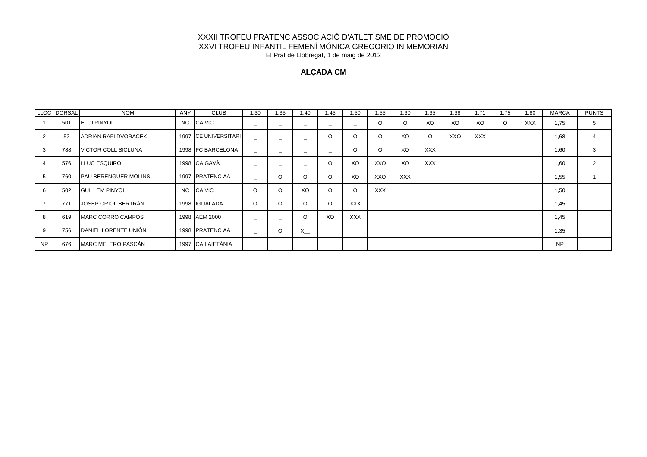#### **ALÇADA CM**

|           | LLOC DORSAL | <b>NOM</b>                  | ANY | <b>CLUB</b>             | 1.30                     | 1,35                     | 1.40                     | 1,45                     | 1.50       | 1,55       | 1.60       | 1,65       | 1,68 | 1.71       | .75<br>-1 | 1.80       | <b>MARCA</b> | <b>PUNTS</b>   |
|-----------|-------------|-----------------------------|-----|-------------------------|--------------------------|--------------------------|--------------------------|--------------------------|------------|------------|------------|------------|------|------------|-----------|------------|--------------|----------------|
|           | 501         | <b>ELOI PINYOL</b>          | NC. | <b>CA VIC</b>           | $\overline{\phantom{a}}$ | -                        | -                        | $\overline{\phantom{a}}$ | -          | $\circ$    | O          | XO         | XO   | XO         | O         | <b>XXX</b> | 1,75         | 5              |
|           | 52          | ADRIÁN RAFI DVORACEK        |     | 1997 CE UNIVERSITARI    |                          | $\overline{\phantom{a}}$ | $\overline{\phantom{a}}$ | O                        | $\Omega$   | $\Omega$   | XO         | $\circ$    | XXO  | <b>XXX</b> |           |            | 1,68         | $\overline{4}$ |
|           | 788         | VÍCTOR COLL SICLUNA         |     | 1998 IFC BARCELONA      | -                        | -                        | -                        | $\overline{\phantom{a}}$ | $\Omega$   | $\circ$    | XO         | <b>XXX</b> |      |            |           |            | 1,60         | 3              |
|           | 576         | <b>LLUC ESQUIROL</b>        |     | 1998 CA GAVÀ            | $\overline{\phantom{a}}$ | $\overline{\phantom{0}}$ | $\overline{\phantom{a}}$ | O                        | XO         | XXO        | XO         | <b>XXX</b> |      |            |           |            | 1,60         | $\overline{2}$ |
|           | 760         | <b>PAU BERENGUER MOLINS</b> |     | 1997 <b>IPRATENC AA</b> | -                        | O                        | $\Omega$                 | O                        | XO         | XXO        | <b>XXX</b> |            |      |            |           |            | 1,55         |                |
|           | 502         | <b>IGUILLEM PINYOL</b>      | NC. | <b>CA VIC</b>           | $\circ$                  | O                        | XO                       | O                        | $\Omega$   | <b>XXX</b> |            |            |      |            |           |            | 1,50         |                |
|           | 771         | JOSEP ORIOL BERTRÁN         |     | 1998 <b>IGUALADA</b>    | O                        | $\Omega$                 | O                        | O                        | <b>XXX</b> |            |            |            |      |            |           |            | 1,45         |                |
|           | 619         | <b>IMARC CORRO CAMPOS</b>   |     | 1998 AEM 2000           | $\overline{\phantom{a}}$ | $\overline{\phantom{m}}$ | O                        | XO                       | <b>XXX</b> |            |            |            |      |            |           |            | 1,45         |                |
| 9         | 756         | DANIEL LORENTE UNIÓN        |     | 1998 PRATENC AA         | $\overline{\phantom{a}}$ | O                        | $X_{-}$                  |                          |            |            |            |            |      |            |           |            | 1,35         |                |
| <b>NP</b> | 676         | <b>MARC MELERO PASCÁN</b>   |     | 1997 CA LAIETÀNIA       |                          |                          |                          |                          |            |            |            |            |      |            |           |            | <b>NP</b>    |                |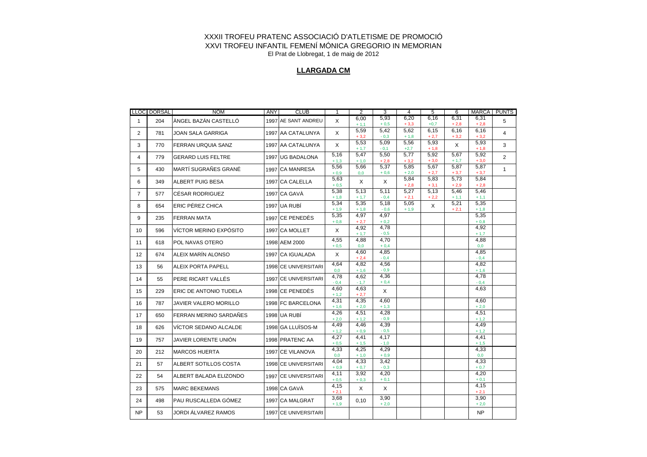#### **LLARGADA CM**

|                | LLOC DORSAL | <b>NOM</b>                   | ANY | <b>CLUB</b>          | 1               | 2              | 3              | 4              | 5              | 6              | MARCA          | <b>PUNTS</b>   |
|----------------|-------------|------------------------------|-----|----------------------|-----------------|----------------|----------------|----------------|----------------|----------------|----------------|----------------|
| $\mathbf{1}$   | 204         | ÀNGEL BAZÁN CASTELLÓ         |     | 1997 AE SANT ANDREU  | X               | 6,00<br>$+1,1$ | 5,93<br>$+0,5$ | 6,20<br>$+3,3$ | 6,16<br>$+0,7$ | 6,31<br>$+2,8$ | 6,31<br>$+2,8$ | 5              |
| $\overline{2}$ | 781         | JOAN SALA GARRIGA            |     | 1997 AA CATALUNYA    | X               | 5,59           | 5,42           | 5,62           | 6,15           | 6,16           | 6,16           | $\overline{4}$ |
| 3              | 770         | <b>FERRAN URQUIA SANZ</b>    |     | 1997 AA CATALUNYA    | X               | $+3,2$<br>5,53 | $-0,3$<br>5,09 | $+1,8$<br>5.56 | $+2,7$<br>5,93 | $+3,2$<br>X    | $+3,2$<br>5,93 | 3              |
|                |             |                              |     |                      | 5,16            | $+1,7$<br>5,47 | $-0,1$<br>5,50 | $+2,7$<br>5,77 | $+1,8$<br>5,92 | 5,67           | $+1,8$<br>5,92 |                |
| 4              | 779         | <b>GERARD LUIS FELTRE</b>    |     | 1997 UG BADALONA     | $+1,3$          | $+1,0$         | $+2,8$         | $+3,2$         | $+3,0$         | $+1,7$         | $+3,0$         | $\overline{2}$ |
| 5              | 430         | MARTÍ SUGRAÑES GRANÉ         |     | 1997 ICA MANRESA     | 5,56<br>$+0.9$  | 5,66<br>0,0    | 5,37<br>$+0,6$ | 5,85<br>$+2,0$ | 5,67<br>$+2,7$ | 5,87<br>$+3,7$ | 5,87<br>$+3,7$ | $\mathbf{1}$   |
| 6              | 349         | <b>ALBERT PUIG BESA</b>      |     | 1997 CA CALELLA      | 5,63<br>$+0,5$  | X              | $\mathsf X$    | 5,84<br>$+2,8$ | 5,83<br>$+3,1$ | 5,73<br>$+2,9$ | 5,84<br>$+2,8$ |                |
| $\overline{7}$ | 577         | CÉSAR RODRIGUEZ              |     | 1997 CA GAVÀ         | 5,38<br>$+ 1,8$ | 5,13<br>$+1,7$ | 5,11<br>$-0.4$ | 5,27<br>$+2,1$ | 5,13<br>$+2,2$ | 5,46<br>$+1,1$ | 5,46<br>$+1,1$ |                |
| 8              | 654         | ERIC PÉREZ CHICA             |     | 1997 UA RUBÍ         | 5,34<br>$+1,9$  | 5,35           | 5,18<br>$-0,6$ | 5.05<br>$+1,9$ | $\mathsf{X}$   | 5,21<br>$+2,1$ | 5,35<br>$+1,8$ |                |
| 9              |             |                              |     | 1997 CE PENEDÈS      | 5,35            | $+1,8$<br>4,97 | 4,97           |                |                |                | 5,35           |                |
|                | 235         | <b>FERRAN MATA</b>           |     |                      | $+0.8$          | $+2,7$         | $+0,2$         |                |                |                | $+0,8$         |                |
| 10             | 596         | VÍCTOR MERINO EXPÓSITO       |     | 1997 CA MOLLET       | X               | 4,92<br>$+1,7$ | 4,78<br>$-0,5$ |                |                |                | 4,92<br>$+1,7$ |                |
| 11             | 618         | POL NAVAS OTERO              |     | 1998 AEM 2000        | 4.55<br>$+0,5$  | 4.88<br>0,0    | 4,70<br>$+0,4$ |                |                |                | 4,88<br>0,0    |                |
| 12             | 674         | ALEIX MARÍN ALONSO           |     | 1997 CA IGUALADA     | X               | 4,60           | 4,85           |                |                |                | 4,85           |                |
| 13             | 56          | <b>ALEIX PORTA PAPELL</b>    |     | 1998 CE UNIVERSITARI | 4,64            | $+2,4$<br>4,82 | $-0,4$<br>4,56 |                |                |                | $-0,4$<br>4,82 |                |
|                |             |                              |     |                      | 0,0<br>4,78     | $+1,6$<br>4,62 | $-0.9$<br>4,36 |                |                |                | $+1,6$<br>4,78 |                |
| 14             | 55          | PERE RICART VALLÉS           |     | 1997 CE UNIVERSITARI | $-0.4$          | $-1,7$         | $+0,4$         |                |                |                | $-0,4$         |                |
| 15             | 229         | ERIC DE ANTONIO TUDELA       |     | 1998 CE PENEDÈS      | 4,60<br>$+1,2$  | 4,63<br>$+2,7$ | $\mathsf{X}$   |                |                |                | 4,63           |                |
| 16             | 787         | <b>JAVIER VALERO MORILLO</b> |     | 1998 FC BARCELONA    | 4,31<br>$+1,6$  | 4,35<br>$+2,0$ | 4,60<br>$+1,3$ |                |                |                | 4,60<br>$+2,0$ |                |
| 17             | 650         | FERRAN MERINO SARDANES       |     | 1998 UA RUBÍ         | 4,26            | 4,51           | 4,28           |                |                |                | 4,51           |                |
|                |             |                              |     |                      | $+2,0$          | $+1,2$         | $-0.9$         |                |                |                | $+1,2$         |                |
| 18             | 626         | VICTOR SEDANO ALCALDE        |     | 1998 GA LLUÏSOS-M    | 4,49<br>$+1,2$  | 4,46<br>$+0,9$ | 4,39<br>$-0,5$ |                |                |                | 4,49<br>$+1,2$ |                |
| 19             | 757         | JAVIER LORENTE UNIÓN         |     | 1998 PRATENC AA      | 4,27<br>$+0,5$  | 4,41<br>$+1,5$ | 4,17<br>$-1,0$ |                |                |                | 4,41<br>$+1,5$ |                |
| 20             | 212         | <b>MARCOS HUERTA</b>         |     | 1997 ICE VILANOVA    | 4,33<br>0,0     | 4,25<br>$+1,0$ | 4,29<br>$+0,9$ |                |                |                | 4,33<br>0,0    |                |
| 21             | 57          | ALBERT SOTILLOS COSTA        |     | 1998 CE UNIVERSITARI | 4.04            | 4,33           | 3,42           |                |                |                | 4,33           |                |
|                |             |                              |     |                      | $+0,9$<br>4,11  | $+0,7$<br>3,92 | $-0,3$<br>4,20 |                |                |                | $+0,7$<br>4,20 |                |
| 22             | 54          | ALBERT BALADA ELIZONDO       |     | 1997 CE UNIVERSITARI | $+0,5$          | $+0,3$         | $+0,1$         |                |                |                | $+0,1$         |                |
| 23             | 575         | <b>MARC BEKEMANS</b>         |     | 1998 CA GAVA         | 4,15<br>$+2,1$  | X              | X              |                |                |                | 4,15<br>$+2,1$ |                |
| 24             | 498         | PAU RUSCALLEDA GÓMEZ         |     | 1997 CA MALGRAT      | 3,68<br>$+1,9$  | 0,10           | 3,90<br>$+2,0$ |                |                |                | 3,90<br>$+2,0$ |                |
| <b>NP</b>      | 53          | <b>JORDI ALVAREZ RAMOS</b>   |     | 1997 CE UNIVERSITARI |                 |                |                |                |                |                | N <sub>P</sub> |                |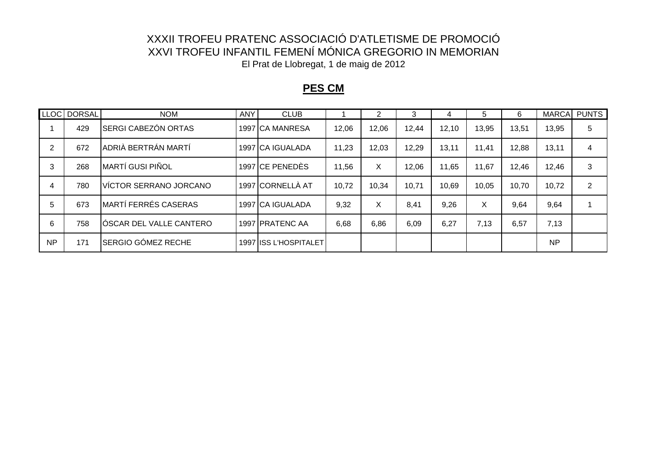### **PES CM**

|           | LLOC DORSAL | <b>NOM</b>                | ANY | <b>CLUB</b>            |       | 2     | 3     | 4     | 5     | 6     |           | MARCA PUNTS |
|-----------|-------------|---------------------------|-----|------------------------|-------|-------|-------|-------|-------|-------|-----------|-------------|
|           | 429         | SERGI CABEZÓN ORTAS       |     | 1997 CA MANRESA        | 12,06 | 12,06 | 12,44 | 12,10 | 13,95 | 13,51 | 13,95     | 5           |
| 2         | 672         | ADRIÀ BERTRÁN MARTÍ       |     | 1997 CA IGUALADA       | 11,23 | 12,03 | 12,29 | 13,11 | 11,41 | 12,88 | 13,11     | 4           |
| 3         | 268         | MARTÍ GUSI PIÑOL          |     | 1997 CE PENEDÈS        | 11,56 | X     | 12,06 | 11,65 | 11,67 | 12,46 | 12,46     | 3           |
| 4         | 780         | VÍCTOR SERRANO JORCANO    |     | 1997 CORNELLÀ AT       | 10,72 | 10,34 | 10,71 | 10,69 | 10,05 | 10,70 | 10,72     | 2           |
| 5         | 673         | MARTÍ FERRÉS CASERAS      |     | 1997 CA IGUALADA       | 9,32  | X     | 8,41  | 9,26  | X     | 9,64  | 9,64      |             |
| 6         | 758         | ÍÓSCAR DEL VALLE CANTERO  |     | 1997 <b>PRATENC AA</b> | 6,68  | 6,86  | 6,09  | 6,27  | 7,13  | 6,57  | 7,13      |             |
| <b>NP</b> | 171         | <b>SERGIO GÓMEZ RECHE</b> |     | 1997 ISS L'HOSPITALET  |       |       |       |       |       |       | <b>NP</b> |             |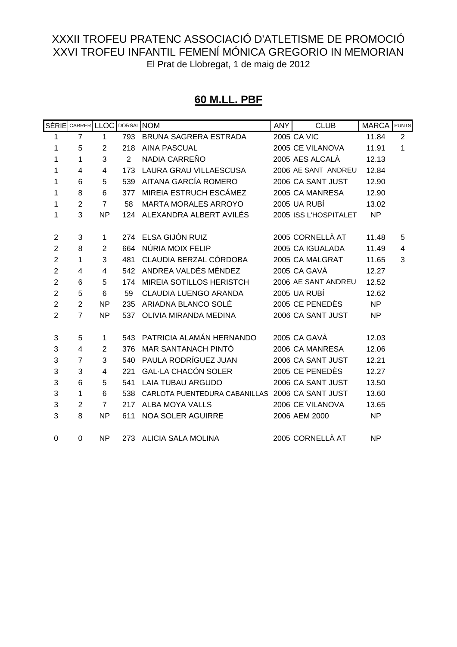# **60 M.LL. PBF**

|                | SÈRIE CARRER LLOC |                | DORSAL NOM     |                                                 | <b>ANY</b> | <b>CLUB</b>           | <b>MARCA</b> | <b>PUNTS</b> |
|----------------|-------------------|----------------|----------------|-------------------------------------------------|------------|-----------------------|--------------|--------------|
| 1              | $\overline{7}$    | 1              | 793            | BRUNA SAGRERA ESTRADA                           |            | 2005 CA VIC           | 11.84        | 2            |
| 1              | 5                 | $\overline{2}$ | 218            | <b>AINA PASCUAL</b>                             |            | 2005 CE VILANOVA      | 11.91        | 1            |
| 1              | 1                 | 3              | $\overline{2}$ | NADIA CARREÑO                                   |            | 2005 AES ALCALÀ       | 12.13        |              |
| 1              | 4                 | 4              | 173            | LAURA GRAU VILLAESCUSA                          |            | 2006 AE SANT ANDREU   | 12.84        |              |
| 1              | 6                 | 5              | 539            | AITANA GARCÍA ROMERO                            |            | 2006 CA SANT JUST     | 12.90        |              |
| 1              | 8                 | 6              | 377            | MIREIA ESTRUCH ESCÁMEZ                          |            | 2005 CA MANRESA       | 12.90        |              |
| 1              | $\overline{2}$    | $\overline{7}$ | 58             | <b>MARTA MORALES ARROYO</b>                     |            | 2005 UA RUBÍ          | 13.02        |              |
| 1              | 3                 | <b>NP</b>      | 124            | ALEXANDRA ALBERT AVILÉS                         |            | 2005 ISS L'HOSPITALET | <b>NP</b>    |              |
|                |                   |                |                |                                                 |            |                       |              |              |
| $\overline{2}$ | 3                 | 1              | 274            | ELSA GIJÓN RUIZ                                 |            | 2005 CORNELLÀ AT      | 11.48        | 5            |
| $\overline{2}$ | 8                 | $\overline{2}$ | 664            | NÚRIA MOIX FELIP                                |            | 2005 CA IGUALADA      | 11.49        | 4            |
| $\overline{2}$ | 1                 | 3              | 481            | CLAUDIA BERZAL CÓRDOBA                          |            | 2005 CA MALGRAT       | 11.65        | 3            |
| $\overline{2}$ | 4                 | 4              | 542            | ANDREA VALDÉS MÉNDEZ                            |            | 2005 CA GAVÀ          | 12.27        |              |
| $\overline{2}$ | 6                 | 5              | 174            | MIREIA SOTILLOS HERISTCH                        |            | 2006 AE SANT ANDREU   | 12.52        |              |
| $\overline{2}$ | 5                 | 6              | 59             | <b>CLAUDIA LUENGO ARANDA</b>                    |            | 2005 UA RUBÍ          | 12.62        |              |
| $\overline{2}$ | $\overline{2}$    | <b>NP</b>      | 235            | ARIADNA BLANCO SOLÉ                             |            | 2005 CE PENEDÈS       | <b>NP</b>    |              |
| $\overline{2}$ | $\overline{7}$    | <b>NP</b>      | 537            | OLIVIA MIRANDA MEDINA                           |            | 2006 CA SANT JUST     | <b>NP</b>    |              |
|                |                   |                |                |                                                 |            |                       |              |              |
| 3              | 5                 | 1              | 543            | PATRICIA ALAMÁN HERNANDO                        |            | 2005 CA GAVÀ          | 12.03        |              |
| 3              | $\overline{4}$    | $\overline{2}$ | 376            | MAR SANTANACH PINTÓ                             |            | 2006 CA MANRESA       | 12.06        |              |
| 3              | $\overline{7}$    | 3              | 540            | PAULA RODRÍGUEZ JUAN                            |            | 2006 CA SANT JUST     | 12.21        |              |
| 3              | 3                 | 4              | 221            | <b>GAL-LA CHACÓN SOLER</b>                      |            | 2005 CE PENEDÈS       | 12.27        |              |
| 3              | 6                 | 5              | 541            | <b>LAIA TUBAU ARGUDO</b>                        |            | 2006 CA SANT JUST     | 13.50        |              |
| 3              | 1                 | 6              | 538            | CARLOTA PUENTEDURA CABANILLAS 2006 CA SANT JUST |            |                       | 13.60        |              |
| 3              | $\overline{2}$    | $\overline{7}$ | 217            | <b>ALBA MOYA VALLS</b>                          |            | 2006 CE VILANOVA      | 13.65        |              |
| 3              | 8                 | <b>NP</b>      | 611            | <b>NOA SOLER AGUIRRE</b>                        |            | 2006 AEM 2000         | <b>NP</b>    |              |
|                |                   |                |                |                                                 |            |                       |              |              |
| 0              | 0                 | <b>NP</b>      |                | 273 ALICIA SALA MOLINA                          |            | 2005 CORNELLÀ AT      | <b>NP</b>    |              |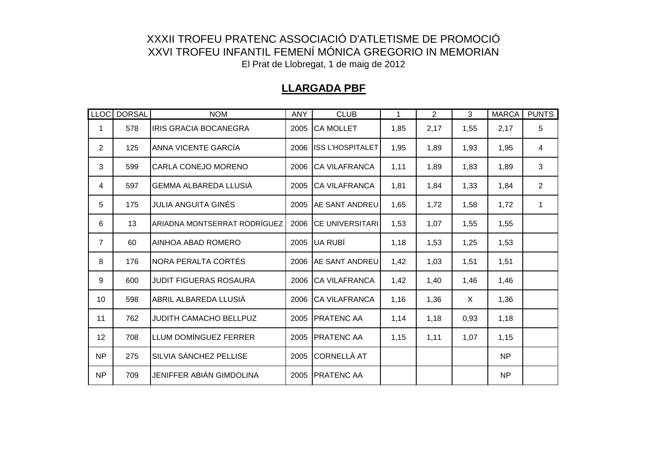#### **LLARGADA PBF**

|                | LLOC DORSAL | <b>NOM</b>                      | <b>ANY</b> | <b>CLUB</b>             | 1    | $\overline{2}$ | 3    | <b>MARCA</b> | <b>PUNTS</b>   |
|----------------|-------------|---------------------------------|------------|-------------------------|------|----------------|------|--------------|----------------|
| 1              | 578         | IRIS GRACIA BOCANEGRA           | 2005       | <b>CA MOLLET</b>        | 1,85 | 2,17           | 1,55 | 2,17         | 5              |
| $\overline{2}$ | 125         | ANNA VICENTE GARCÍA             | 2006       | <b>ISS L'HOSPITALET</b> | 1,95 | 1,89           | 1,93 | 1,95         | 4              |
| 3              | 599         | CARLA CONEJO MORENO             | 2006       | <b>ICA VILAFRANCA</b>   | 1,11 | 1,89           | 1,83 | 1,89         | 3              |
| 4              | 597         | <b>GEMMA ALBAREDA LLUSIA</b>    | 2005       | <b>ICA VILAFRANCA</b>   | 1,81 | 1,84           | 1,33 | 1,84         | $\overline{2}$ |
| 5              | 175         | JULIA ANGUITA GINÉS             | 2005       | <b>AE SANT ANDREU</b>   | 1,65 | 1,72           | 1,58 | 1,72         |                |
| 6              | 13          | ARIADNA MONTSERRAT RODRÍGUEZ    | 2006       | <b>CE UNIVERSITARI</b>  | 1,53 | 1,07           | 1,55 | 1,55         |                |
| $\overline{7}$ | 60          | AINHOA ABAD ROMERO              | 2005       | UA RUBÍ                 | 1,18 | 1,53           | 1,25 | 1,53         |                |
| 8              | 176         | NORA PERALTA CORTÉS             | 2006       | <b>AE SANT ANDREU</b>   | 1,42 | 1,03           | 1,51 | 1,51         |                |
| 9              | 600         | <b>JUDIT FIGUERAS ROSAURA</b>   | 2006       | <b>CA VILAFRANCA</b>    | 1,42 | 1,40           | 1,46 | 1,46         |                |
| 10             | 598         | ABRIL ALBAREDA LLUSIÀ           | 2006       | <b>CA VILAFRANCA</b>    | 1,16 | 1,36           | X    | 1,36         |                |
| 11             | 762         | <b>JUDITH CAMACHO BELLPUZ</b>   | 2005       | <b>PRATENC AA</b>       | 1,14 | 1,18           | 0,93 | 1,18         |                |
| 12             | 708         | LLUM DOMÍNGUEZ FERRER           | 2005       | <b>PRATENC AA</b>       | 1,15 | 1,11           | 1,07 | 1,15         |                |
| <b>NP</b>      | 275         | SILVIA SÁNCHEZ PELLISE          | 2005       | CORNELLÀ AT             |      |                |      | <b>NP</b>    |                |
| <b>NP</b>      | 709         | <b>JENIFFER ABIÁN GIMDOLINA</b> | 2005       | <b>PRATENC AA</b>       |      |                |      | <b>NP</b>    |                |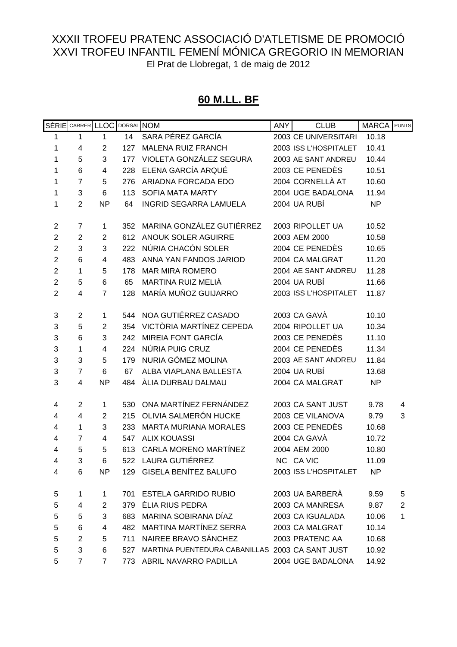#### **60 M.LL. BF**

|                | SÈRIE CARRER LLOC       |                | DORSAL NOM |                                                 | <b>ANY</b> | <b>CLUB</b>           | <b>MARCA</b> | <b>PUNTS</b>   |
|----------------|-------------------------|----------------|------------|-------------------------------------------------|------------|-----------------------|--------------|----------------|
| 1              | 1                       | 1              | 14         | SARA PÉREZ GARCÍA                               |            | 2003 CE UNIVERSITARI  | 10.18        |                |
| 1              | 4                       | $\overline{2}$ | 127        | <b>MALENA RUIZ FRANCH</b>                       |            | 2003 ISS L'HOSPITALET | 10.41        |                |
| 1              | 5                       | 3              | 177        | VIOLETA GONZÁLEZ SEGURA                         |            | 2003 AE SANT ANDREU   | 10.44        |                |
| 1              | 6                       | 4              | 228        | ELENA GARCÍA ARQUÉ                              |            | 2003 CE PENEDÈS       | 10.51        |                |
| 1              | $\overline{7}$          | 5              | 276        | ARIADNA FORCADA EDO                             |            | 2004 CORNELLÀ AT      | 10.60        |                |
| 1              | 3                       | 6              | 113        | <b>SOFIA MATA MARTY</b>                         |            | 2004 UGE BADALONA     | 11.94        |                |
| 1              | $\overline{2}$          | <b>NP</b>      | 64         | <b>INGRID SEGARRA LAMUELA</b>                   |            | 2004 UA RUBÍ          | <b>NP</b>    |                |
| $\overline{2}$ | 7                       |                | 352        | MARINA GONZÁLEZ GUTIÉRREZ                       |            | 2003 RIPOLLET UA      | 10.52        |                |
| $\overline{2}$ | $\overline{2}$          | 1              | 612        | ANOUK SOLER AGUIRRE                             |            | 2003 AEM 2000         | 10.58        |                |
| $\overline{2}$ | 3                       | 2              |            | NÚRIA CHACÓN SOLER                              |            | 2004 CE PENEDÈS       |              |                |
|                |                         | 3              | 222        |                                                 |            |                       | 10.65        |                |
| $\mathbf 2$    | 6                       | 4              | 483        | ANNA YAN FANDOS JARIOD                          |            | 2004 CA MALGRAT       | 11.20        |                |
| $\overline{2}$ | 1                       | 5              | 178        | <b>MAR MIRA ROMERO</b>                          |            | 2004 AE SANT ANDREU   | 11.28        |                |
| $\overline{c}$ | 5                       | 6              | 65         | MARTINA RUIZ MELIÀ                              |            | 2004 UA RUBÍ          | 11.66        |                |
| $\overline{2}$ | $\overline{\mathbf{4}}$ | $\overline{7}$ | 128        | MARÍA MUÑOZ GUIJARRO                            |            | 2003 ISS L'HOSPITALET | 11.87        |                |
| 3              | $\overline{2}$          | 1              |            | 544 NOA GUTIÉRREZ CASADO                        |            | 2003 CA GAVÀ          | 10.10        |                |
| 3              | 5                       | $\overline{2}$ | 354        | VICTÒRIA MARTÍNEZ CEPEDA                        |            | 2004 RIPOLLET UA      | 10.34        |                |
| 3              | 6                       | 3              | 242        | <b>MIREIA FONT GARCÍA</b>                       |            | 2003 CE PENEDÈS       | 11.10        |                |
| 3              | 1                       | 4              | 224        | NÚRIA PUIG CRUZ                                 |            | 2004 CE PENEDÈS       | 11.34        |                |
| 3              | 3                       | 5              | 179        | NURIA GÓMEZ MOLINA                              |            | 2003 AE SANT ANDREU   | 11.84        |                |
| 3              | $\overline{7}$          | 6              | 67         | ALBA VIAPLANA BALLESTA                          |            | 2004 UA RUBÍ          | 13.68        |                |
| 3              | 4                       | <b>NP</b>      | 484        | ÀLIA DURBAU DALMAU                              |            | 2004 CA MALGRAT       | <b>NP</b>    |                |
|                |                         |                |            |                                                 |            |                       |              |                |
| 4              | $\overline{2}$          | 1              | 530        | ONA MARTÍNEZ FERNÁNDEZ                          |            | 2003 CA SANT JUST     | 9.78         | 4              |
| 4              | 4                       | $\overline{2}$ | 215        | OLIVIA SALMERÓN HUCKE                           |            | 2003 CE VILANOVA      | 9.79         | 3              |
| 4              | 1                       | 3              | 233        | <b>MARTA MURIANA MORALES</b>                    |            | 2003 CE PENEDÈS       | 10.68        |                |
| 4              | $\overline{7}$          | 4              | 547        | <b>ALIX KOUASSI</b>                             |            | 2004 CA GAVÀ          | 10.72        |                |
| 4              | 5                       | 5              | 613        | CARLA MORENO MARTÍNEZ                           |            | 2004 AEM 2000         | 10.80        |                |
| 4              | 3                       | 6              | 522        | LAURA GUTIÉRREZ                                 |            | NC CA VIC             | 11.09        |                |
| 4              | 6                       | <b>NP</b>      |            | 129 GISELA BENÍTEZ BALUFO                       |            | 2003 ISS L'HOSPITALET | <b>NP</b>    |                |
| 5              | 1                       | 1              | 701        | ESTELA GARRIDO RUBIO                            |            | 2003 UA BARBERÀ       | 9.59         | 5              |
| 5              | 4                       | 2              |            | 379 ÈLIA RIUS PEDRA                             |            | 2003 CA MANRESA       | 9.87         | $\overline{2}$ |
| 5              | 5                       | 3              | 683        | MARINA SOBIRANA DÍAZ                            |            | 2003 CA IGUALADA      | 10.06        | 1              |
| 5              | 6                       | 4              |            | 482 MARTINA MARTÍNEZ SERRA                      |            | 2003 CA MALGRAT       | 10.14        |                |
| 5              | $\overline{2}$          | 5              | 711        | NAIREE BRAVO SÁNCHEZ                            |            | 2003 PRATENC AA       | 10.68        |                |
| 5              | 3                       | 6              | 527        | MARTINA PUENTEDURA CABANILLAS 2003 CA SANT JUST |            |                       | 10.92        |                |
| 5              | $\overline{7}$          | $\overline{7}$ |            | 773 ABRIL NAVARRO PADILLA                       |            | 2004 UGE BADALONA     | 14.92        |                |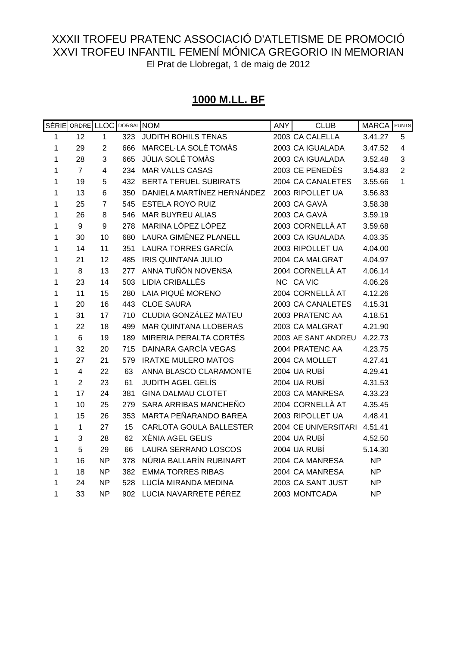# **1000 M.LL. BF**

|              | SÈRIE ORDRE LLOC |                  | DORSAL NOM |                              | <b>ANY</b> | <b>CLUB</b>          | <b>MARCA</b> | <b>PUNTS</b>            |
|--------------|------------------|------------------|------------|------------------------------|------------|----------------------|--------------|-------------------------|
| 1            | 12               | $\mathbf{1}$     | 323        | JUDITH BOHILS TENAS          |            | 2003 CA CALELLA      | 3.41.27      | 5                       |
| $\mathbf{1}$ | 29               | $\overline{2}$   | 666        | MARCEL·LA SOLÉ TOMÀS         |            | 2003 CA IGUALADA     | 3.47.52      | $\overline{\mathbf{4}}$ |
| $\mathbf{1}$ | 28               | 3                | 665        | JÚLIA SOLÉ TOMÀS             |            | 2003 CA IGUALADA     | 3.52.48      | 3                       |
| 1            | $\overline{7}$   | $\overline{4}$   | 234        | <b>MAR VALLS CASAS</b>       |            | 2003 CE PENEDÈS      | 3.54.83      | $\overline{2}$          |
| 1            | 19               | 5                | 432        | <b>BERTA TERUEL SUBIRATS</b> |            | 2004 CA CANALETES    | 3.55.66      | $\mathbf{1}$            |
| 1            | 13               | 6                | 350        | DANIELA MARTÍNEZ HERNÁNDEZ   |            | 2003 RIPOLLET UA     | 3.56.83      |                         |
| 1            | 25               | $\overline{7}$   | 545        | <b>ESTELA ROYO RUIZ</b>      |            | 2003 CA GAVÀ         | 3.58.38      |                         |
| 1            | 26               | 8                | 546        | <b>MAR BUYREU ALIAS</b>      |            | 2003 CA GAVÀ         | 3.59.19      |                         |
| 1            | $\boldsymbol{9}$ | $\boldsymbol{9}$ | 278        | MARINA LÓPEZ LÓPEZ           |            | 2003 CORNELLÀ AT     | 3.59.68      |                         |
| 1            | 30               | 10               | 680        | LAURA GIMÉNEZ PLANELL        |            | 2003 CA IGUALADA     | 4.03.35      |                         |
| 1            | 14               | 11               | 351        | <b>LAURA TORRES GARCÍA</b>   |            | 2003 RIPOLLET UA     | 4.04.00      |                         |
| 1            | 21               | 12               | 485        | <b>IRIS QUINTANA JULIO</b>   |            | 2004 CA MALGRAT      | 4.04.97      |                         |
| 1            | 8                | 13               | 277        | ANNA TUÑÓN NOVENSA           |            | 2004 CORNELLÀ AT     | 4.06.14      |                         |
| 1            | 23               | 14               | 503        | LIDIA CRIBALLÉS              |            | NC CA VIC            | 4.06.26      |                         |
| 1            | 11               | 15               | 280        | LAIA PIQUÉ MORENO            |            | 2004 CORNELLÀ AT     | 4.12.26      |                         |
| 1            | 20               | 16               | 443        | <b>CLOE SAURA</b>            |            | 2003 CA CANALETES    | 4.15.31      |                         |
| 1            | 31               | 17               | 710        | CLUDIA GONZÁLEZ MATEU        |            | 2003 PRATENC AA      | 4.18.51      |                         |
| 1            | 22               | 18               | 499        | <b>MAR QUINTANA LLOBERAS</b> |            | 2003 CA MALGRAT      | 4.21.90      |                         |
| 1            | $6\phantom{1}$   | 19               | 189        | MIRERIA PERALTA CORTÉS       |            | 2003 AE SANT ANDREU  | 4.22.73      |                         |
| 1            | 32               | 20               | 715        | <b>DAINARA GARCÍA VEGAS</b>  |            | 2004 PRATENC AA      | 4.23.75      |                         |
| 1            | 27               | 21               | 579        | <b>IRATXE MULERO MATOS</b>   |            | 2004 CA MOLLET       | 4.27.41      |                         |
| 1            | 4                | 22               | 63         | ANNA BLASCO CLARAMONTE       |            | 2004 UA RUBÍ         | 4.29.41      |                         |
| 1            | $\overline{2}$   | 23               | 61         | <b>JUDITH AGEL GELÍS</b>     |            | 2004 UA RUBÍ         | 4.31.53      |                         |
| 1            | 17               | 24               | 381        | <b>GINA DALMAU CLOTET</b>    |            | 2003 CA MANRESA      | 4.33.23      |                         |
| 1            | 10               | 25               | 279        | SARA ARRIBAS MANCHEÑO        |            | 2004 CORNELLÀ AT     | 4.35.45      |                         |
| 1            | 15               | 26               | 353        | MARTA PEÑARANDO BAREA        |            | 2003 RIPOLLET UA     | 4.48.41      |                         |
| 1            | 1                | 27               | 15         | CARLOTA GOULA BALLESTER      |            | 2004 CE UNIVERSITARI | 4.51.41      |                         |
| 1            | 3                | 28               | 62         | <b>XÈNIA AGEL GELIS</b>      |            | 2004 UA RUBÍ         | 4.52.50      |                         |
| 1            | 5                | 29               | 66         | LAURA SERRANO LOSCOS         |            | 2004 UA RUBÍ         | 5.14.30      |                         |
| 1            | 16               | <b>NP</b>        | 378        | NÚRIA BALLARÍN RUBINART      |            | 2004 CA MANRESA      | <b>NP</b>    |                         |
| 1            | 18               | <b>NP</b>        | 382        | <b>EMMA TORRES RIBAS</b>     |            | 2004 CA MANRESA      | <b>NP</b>    |                         |
| 1            | 24               | <b>NP</b>        | 528        | LUCÍA MIRANDA MEDINA         |            | 2003 CA SANT JUST    | <b>NP</b>    |                         |
| 1            | 33               | <b>NP</b>        |            | 902 LUCIA NAVARRETE PÉREZ    |            | 2003 MONTCADA        | <b>NP</b>    |                         |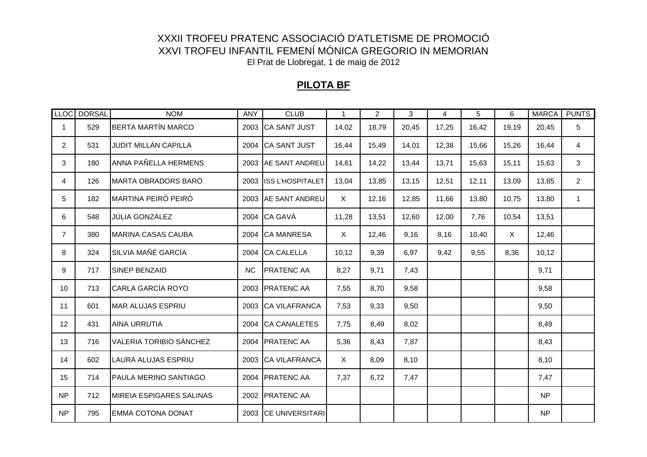#### **PILOTA BF**

| <b>LLOC</b>    | <b>DORSAL</b> | <b>NOM</b>                      | <b>ANY</b> | <b>CLUB</b>            | $\mathbf{1}$ | $\overline{2}$ | 3     | 4     | 5     | 6     | <b>MARCA</b> | <b>PUNTS</b>   |
|----------------|---------------|---------------------------------|------------|------------------------|--------------|----------------|-------|-------|-------|-------|--------------|----------------|
| $\mathbf 1$    | 529           | <b>BERTA MARTÍN MARCO</b>       | 2003       | CA SANT JUST           | 14,02        | 18,79          | 20,45 | 17,25 | 16,42 | 19,19 | 20,45        | 5              |
| $\overline{2}$ | 531           | JUDIT MILLÁN CAPILLA            | 2004       | <b>CA SANT JUST</b>    | 16,44        | 15,49          | 14,01 | 12,38 | 15,66 | 15,26 | 16,44        | 4              |
| 3              | 180           | ANNA PAÑELLA HERMENS            |            | 2003 AE SANT ANDREU    | 14,61        | 14,22          | 13,44 | 13,71 | 15,63 | 15,11 | 15,63        | 3              |
| 4              | 126           | <b>MARTA OBRADORS BARÓ</b>      |            | 2003 ISS L'HOSPITALET  | 13,04        | 13,85          | 13,15 | 12,51 | 12,11 | 13,09 | 13,85        | $\overline{2}$ |
| 5              | 182           | <b>MARTINA PEIRÓ PEIRÓ</b>      |            | 2003 AE SANT ANDREU    | X            | 12,16          | 12,85 | 11,66 | 13,80 | 10,75 | 13,80        | $\mathbf{1}$   |
| 6              | 548           | JÚLIA GONZÁLEZ                  |            | 2004 CA GAVA           | 11,28        | 13,51          | 12,60 | 12,00 | 7,76  | 10,54 | 13,51        |                |
| $\overline{7}$ | 380           | <b>MARINA CASAS CAUBA</b>       | 2004       | <b>CA MANRESA</b>      | X            | 12,46          | 9,16  | 8,16  | 10,40 | X     | 12,46        |                |
| 8              | 324           | SILVIA MAÑÉ GARCÍA              | 2004       | <b>CA CALELLA</b>      | 10,12        | 9,39           | 6,97  | 9,42  | 9,55  | 8,36  | 10,12        |                |
| 9              | 717           | <b>SINEP BENZAID</b>            | <b>NC</b>  | <b>PRATENC AA</b>      | 8,27         | 9,71           | 7,43  |       |       |       | 9,71         |                |
| 10             | 713           | CARLA GARCÍA ROYO               |            | 2003 PRATENC AA        | 7,55         | 8,70           | 9,58  |       |       |       | 9,58         |                |
| 11             | 601           | <b>MAR ALUJAS ESPRIU</b>        |            | 2003 CA VILAFRANCA     | 7,53         | 9,33           | 9,50  |       |       |       | 9,50         |                |
| 12             | 431           | <b>AINA URRUTIA</b>             | 2004       | <b>CA CANALETES</b>    | 7,75         | 8,49           | 8,02  |       |       |       | 8,49         |                |
| 13             | 716           | <b>VALERIA TORIBIO SÁNCHEZ</b>  |            | 2004 PRATENC AA        | 5,36         | 8,43           | 7,87  |       |       |       | 8,43         |                |
| 14             | 602           | LAURA ALUJAS ESPRIU             |            | 2003 CA VILAFRANCA     | X            | 8,09           | 8,10  |       |       |       | 8,10         |                |
| 15             | 714           | <b>PAULA MERINO SANTIAGO</b>    |            | 2004 PRATENC AA        | 7,37         | 6,72           | 7,47  |       |       |       | 7,47         |                |
| <b>NP</b>      | 712           | <b>MIREIA ESPIGARES SALINAS</b> | 2002       | <b>PRATENC AA</b>      |              |                |       |       |       |       | <b>NP</b>    |                |
| <b>NP</b>      | 795           | <b>EMMA COTONA DONAT</b>        | 2003       | <b>CE UNIVERSITARI</b> |              |                |       |       |       |       | <b>NP</b>    |                |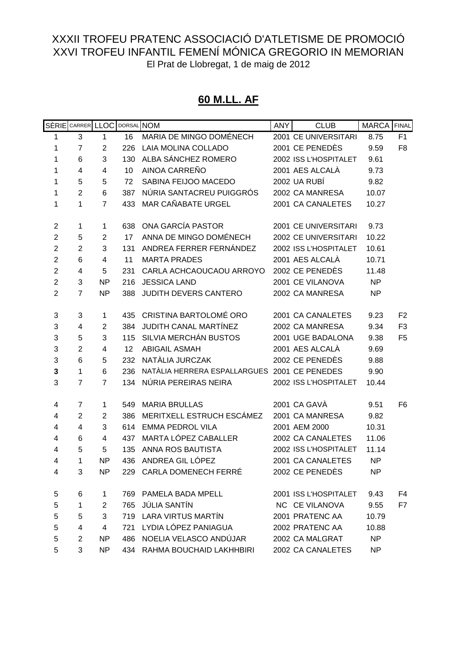#### **60 M.LL. AF**

|                | SÈRIE CARRER LLOC |                | DORSAL NOM |                                              | <b>ANY</b> | <b>CLUB</b>           | MARCA FINAL |                |
|----------------|-------------------|----------------|------------|----------------------------------------------|------------|-----------------------|-------------|----------------|
| 1              | 3                 | 1              | 16         | MARIA DE MINGO DOMÉNECH                      |            | 2001 CE UNIVERSITARI  | 8.75        | F <sub>1</sub> |
| 1              | $\overline{7}$    | 2              | 226        | LAIA MOLINA COLLADO                          |            | 2001 CE PENEDÈS       | 9.59        | F <sub>8</sub> |
| 1              | 6                 | 3              | 130        | ALBA SÁNCHEZ ROMERO                          |            | 2002 ISS L'HOSPITALET | 9.61        |                |
| 1              | 4                 | 4              | 10         | AINOA CARREÑO                                |            | 2001 AES ALCALÀ       | 9.73        |                |
| 1              | 5                 | 5              | 72         | SABINA FEIJOO MACEDO                         |            | 2002 UA RUBÍ          | 9.82        |                |
| 1              | $\overline{2}$    | 6              | 387        | NÚRIA SANTACREU PUIGGRÓS                     |            | 2002 CA MANRESA       | 10.07       |                |
| 1              | 1                 | $\overline{7}$ | 433        | MAR CAÑABATE URGEL                           |            | 2001 CA CANALETES     | 10.27       |                |
| $\overline{c}$ | 1                 | 1              | 638        | ONA GARCÍA PASTOR                            |            | 2001 CE UNIVERSITARI  | 9.73        |                |
| $\overline{2}$ | 5                 | $\overline{c}$ | 17         | ANNA DE MINGO DOMÉNECH                       |            | 2002 CE UNIVERSITARI  | 10.22       |                |
| $\overline{2}$ | $\overline{2}$    | 3              | 131        | ANDREA FERRER FERNÁNDEZ                      |            | 2002 ISS L'HOSPITALET | 10.61       |                |
| $\overline{2}$ | 6                 | 4              | 11         | <b>MARTA PRADES</b>                          |            | 2001 AES ALCALÀ       | 10.71       |                |
| $\overline{2}$ | 4                 | 5              | 231        | CARLA ACHCAOUCAOU ARROYO                     |            | 2002 CE PENEDÈS       | 11.48       |                |
| $\overline{2}$ | 3                 | NP             | 216        | <b>JESSICA LAND</b>                          |            | 2001 CE VILANOVA      | <b>NP</b>   |                |
| $\overline{2}$ | $\overline{7}$    | <b>NP</b>      | 388        | JUDITH DEVERS CANTERO                        |            | 2002 CA MANRESA       | <b>NP</b>   |                |
| 3              | 3                 | 1              |            | 435 CRISTINA BARTOLOMÉ ORO                   |            | 2001 CA CANALETES     | 9.23        | F <sub>2</sub> |
| 3              | 4                 | 2              | 384        | JUDITH CANAL MARTÍNEZ                        |            | 2002 CA MANRESA       | 9.34        | F <sub>3</sub> |
| 3              | 5                 | 3              | 115        | SILVIA MERCHÁN BUSTOS                        |            | 2001 UGE BADALONA     | 9.38        | F <sub>5</sub> |
| 3              | $\overline{2}$    | 4              | 12         | <b>ABIGAIL ASMAH</b>                         |            | 2001 AES ALCALÀ       | 9.69        |                |
| 3              | 6                 | 5              | 232        | NATÀLIA JURCZAK                              |            | 2002 CE PENEDÈS       | 9.88        |                |
| 3              | 1                 | 6              | 236        | NATÀLIA HERRERA ESPALLARGUES 2001 CE PENEDES |            |                       | 9.90        |                |
| 3              | $\overline{7}$    | $\overline{7}$ | 134        | NÚRIA PEREIRAS NEIRA                         |            | 2002 ISS L'HOSPITALET | 10.44       |                |
| 4              | 7                 | 1              | 549        | <b>MARIA BRULLAS</b>                         |            | 2001 CA GAVÀ          | 9.51        | F <sub>6</sub> |
| 4              | $\overline{2}$    | $\overline{c}$ | 386        | MERITXELL ESTRUCH ESCÁMEZ                    |            | 2001 CA MANRESA       | 9.82        |                |
| 4              | $\overline{4}$    | 3              | 614        | <b>EMMA PEDROL VILA</b>                      |            | 2001 AEM 2000         | 10.31       |                |
| 4              | 6                 | 4              | 437        | MARTA LÓPEZ CABALLER                         |            | 2002 CA CANALETES     | 11.06       |                |
| 4              | 5                 | 5              | 135        | ANNA ROS BAUTISTA                            |            | 2002 ISS L'HOSPITALET | 11.14       |                |
| 4              | 1                 | ΝP             | 436        | ANDREA GIL LÓPEZ                             |            | 2001 CA CANALETES     | <b>NP</b>   |                |
| 4              | 3                 | NP             |            | 229 CARLA DOMENECH FERRÉ                     |            | 2002 CE PENEDÈS       | <b>NP</b>   |                |
| 5              | 6                 | 1              |            | 769 PAMELA BADA MPELL                        |            | 2001 ISS L'HOSPITALET | 9.43        | F4             |
| 5              | $\mathbf{1}$      | $\overline{2}$ |            | 765 JÚLIA SANTÍN                             |            | NC CE VILANOVA        | 9.55        | F7             |
| 5              | 5                 | 3 <sup>1</sup> |            | 719 LARA VIRTUS MARTÍN                       |            | 2001 PRATENC AA       | 10.79       |                |
| 5              | 4                 | $\overline{4}$ |            | 721 LYDIA LÓPEZ PANIAGUA                     |            | 2002 PRATENC AA       | 10.88       |                |
| 5              | $\overline{2}$    | NP             |            | 486 NOELIA VELASCO ANDÚJAR                   |            | 2002 CA MALGRAT       | <b>NP</b>   |                |
| 5              | 3                 | NP             |            | 434 RAHMA BOUCHAID LAKHHBIRI                 |            | 2002 CA CANALETES     | <b>NP</b>   |                |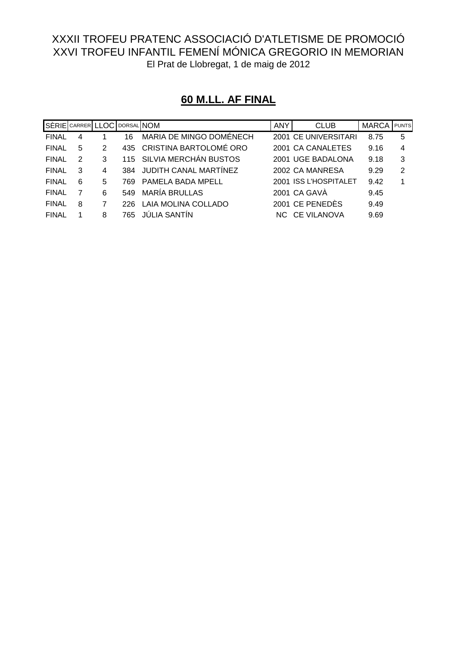|              | SÈRIE CARRER LLOC DORSAL NOM |   |      |                            | <b>ANY</b> | <b>CLUB</b>           | <b>MARCA</b> | <b>PUNTS</b> |
|--------------|------------------------------|---|------|----------------------------|------------|-----------------------|--------------|--------------|
| <b>FINAL</b> | 4                            |   | 16   | MARIA DE MINGO DOMÉNECH    |            | 2001 CE UNIVERSITARI  | 8.75         | 5            |
| <b>FINAL</b> | 5                            | 2 |      | 435 CRISTINA BARTOLOMÉ ORO |            | 2001 CA CANALETES     | 9.16         | 4            |
| <b>FINAL</b> | 2                            | 3 |      | 115 SILVIA MERCHÂN BUSTOS  |            | 2001 UGE BADALONA     | 9.18         | 3            |
| <b>FINAL</b> | 3                            | 4 |      | 384 JUDITH CANAL MARTINEZ  |            | 2002 CA MANRESA       | 9.29         | 2            |
| <b>FINAL</b> | 6                            | 5 | 769. | PAMELA BADA MPELL          |            | 2001 ISS L'HOSPITALET | 9.42         |              |
| <b>FINAL</b> |                              | 6 | 549  | <b>MARÍA BRULLAS</b>       |            | 2001 CA GAVA          | 9.45         |              |
| <b>FINAL</b> | 8                            |   | 226. | LAIA MOLINA COLLADO        |            | 2001 CE PENEDÈS       | 9.49         |              |
| <b>FINAL</b> |                              | 8 | 765. | <b>JULIA SANTIN</b>        |            | NC CE VILANOVA        | 9.69         |              |

# **60 M.LL. AF FINAL**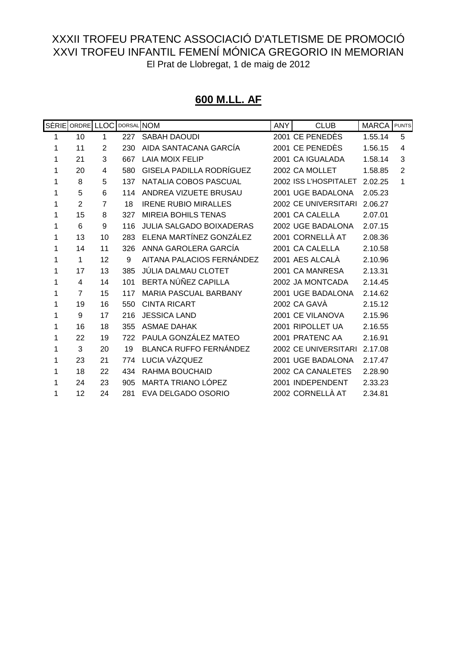#### **600 M.LL. AF**

|   | SÈRIE ORDRE LLOC |                |     | DORSAL NOM                      | <b>ANY</b> | <b>CLUB</b>           | <b>MARCA</b> | <b>PUNTS</b>   |
|---|------------------|----------------|-----|---------------------------------|------------|-----------------------|--------------|----------------|
| 1 | 10               | 1              | 227 | <b>SABAH DAOUDI</b>             |            | 2001 CE PENEDÈS       | 1.55.14      | 5              |
| 1 | 11               | $\overline{2}$ | 230 | AIDA SANTACANA GARCÍA           |            | 2001 CE PENEDÈS       | 1.56.15      | 4              |
| 1 | 21               | 3              | 667 | <b>LAIA MOIX FELIP</b>          |            | 2001 CA IGUALADA      | 1.58.14      | 3              |
| 1 | 20               | 4              | 580 | GISELA PADILLA RODRÍGUEZ        |            | 2002 CA MOLLET        | 1.58.85      | $\overline{2}$ |
| 1 | 8                | 5              | 137 | NATALIA COBOS PASCUAL           |            | 2002 ISS L'HOSPITALET | 2.02.25      | 1              |
| 1 | 5                | 6              | 114 | ANDREA VIZUETE BRUSAU           |            | 2001 UGE BADALONA     | 2.05.23      |                |
| 1 | $\overline{2}$   | $\overline{7}$ | 18  | <b>IRENE RUBIO MIRALLES</b>     |            | 2002 CE UNIVERSITARI  | 2.06.27      |                |
| 1 | 15               | 8              | 327 | <b>MIREIA BOHILS TENAS</b>      |            | 2001 CA CALELLA       | 2.07.01      |                |
| 1 | 6                | 9              | 116 | <b>JULIA SALGADO BOIXADERAS</b> |            | 2002 UGE BADALONA     | 2.07.15      |                |
| 1 | 13               | 10             | 283 | ELENA MARTÍNEZ GONZÁLEZ         |            | 2001 CORNELLÀ AT      | 2.08.36      |                |
| 1 | 14               | 11             | 326 | ANNA GAROLERA GARCÍA            |            | 2001 CA CALELLA       | 2.10.58      |                |
| 1 | $\mathbf{1}$     | 12             | 9   | AITANA PALACIOS FERNÁNDEZ       |            | 2001 AES ALCALÀ       | 2.10.96      |                |
| 1 | 17               | 13             | 385 | JÚLIA DALMAU CLOTET             |            | 2001 CA MANRESA       | 2.13.31      |                |
| 1 | 4                | 14             | 101 | BERTA NÚÑEZ CAPILLA             |            | 2002 JA MONTCADA      | 2.14.45      |                |
| 1 | $\overline{7}$   | 15             | 117 | MARIA PASCUAL BARBANY           |            | 2001 UGE BADALONA     | 2.14.62      |                |
| 1 | 19               | 16             | 550 | <b>CINTA RICART</b>             |            | 2002 CA GAVÀ          | 2.15.12      |                |
| 1 | 9                | 17             | 216 | <b>JESSICA LAND</b>             |            | 2001 CE VILANOVA      | 2.15.96      |                |
| 1 | 16               | 18             | 355 | <b>ASMAE DAHAK</b>              |            | 2001 RIPOLLET UA      | 2.16.55      |                |
| 1 | 22               | 19             | 722 | PAULA GONZÁLEZ MATEO            |            | 2001 PRATENC AA       | 2.16.91      |                |
| 1 | 3                | 20             | 19  | BLANCA RUFFO FERNÁNDEZ          |            | 2002 CE UNIVERSITARI  | 2.17.08      |                |
| 1 | 23               | 21             | 774 | LUCIA VÁZQUEZ                   |            | 2001 UGE BADALONA     | 2.17.47      |                |
| 1 | 18               | 22             | 434 | RAHMA BOUCHAID                  |            | 2002 CA CANALETES     | 2.28.90      |                |
|   | 24               | 23             | 905 | MARTA TRIANO LÓPEZ              |            | 2001 INDEPENDENT      | 2.33.23      |                |
| 1 | 12               | 24             | 281 | EVA DELGADO OSORIO              |            | 2002 CORNELLÀ AT      | 2.34.81      |                |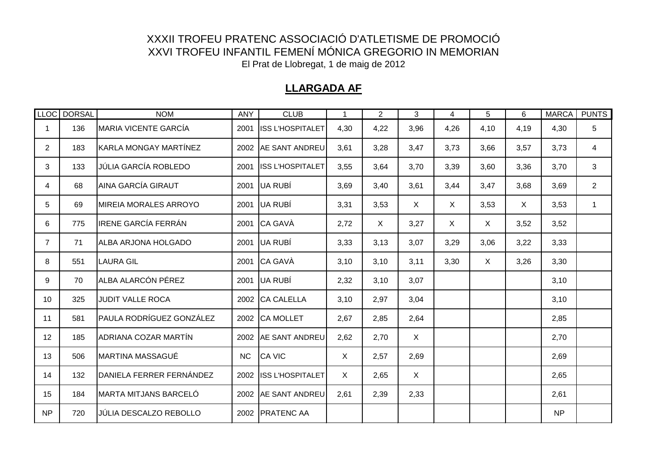### **LLARGADA AF**

|                       | LLOC DORSAL | <b>NOM</b>                        | <b>ANY</b> | <b>CLUB</b>             | 1    | 2    | 3            | 4       | 5            | 6            | <b>MARCA</b> | <b>PUNTS</b>   |
|-----------------------|-------------|-----------------------------------|------------|-------------------------|------|------|--------------|---------|--------------|--------------|--------------|----------------|
| 1                     | 136         | <b>MARIA VICENTE GARCÍA</b>       | 2001       | <b>ISS L'HOSPITALET</b> | 4,30 | 4,22 | 3,96         | 4,26    | 4,10         | 4,19         | 4,30         | 5              |
| $\mathbf{2}^{\prime}$ | 183         | KARLA MONGAY MARTÍNEZ             |            | 2002 AE SANT ANDREU     | 3,61 | 3,28 | 3,47         | 3,73    | 3,66         | 3,57         | 3,73         | 4              |
| 3                     | 133         | <b>JÚLIA GARCÍA ROBLEDO</b>       | 2001       | <b>ISS L'HOSPITALET</b> | 3,55 | 3,64 | 3,70         | 3,39    | 3,60         | 3,36         | 3,70         | 3              |
| 4                     | 68          | <b>AINA GARCÍA GIRAUT</b>         | 2001       | UA RUBÍ                 | 3,69 | 3,40 | 3,61         | 3,44    | 3,47         | 3,68         | 3,69         | $\overline{2}$ |
| 5                     | 69          | <b>MIREIA MORALES ARROYO</b>      | 2001       | UA RUBÍ                 | 3,31 | 3,53 | $\mathsf{X}$ | $\sf X$ | 3,53         | $\mathsf{X}$ | 3,53         | $\mathbf{1}$   |
| 6                     | 775         | <b>IRENE GARCÍA FERRÁN</b>        | 2001       | CA GAVÀ                 | 2,72 | X    | 3,27         | X       | X            | 3,52         | 3,52         |                |
| $\overline{7}$        | 71          | ALBA ARJONA HOLGADO               | 2001       | UA RUBÍ                 | 3,33 | 3,13 | 3,07         | 3,29    | 3,06         | 3,22         | 3,33         |                |
| 8                     | 551         | <b>LAURA GIL</b>                  | 2001       | <b>CA GAVÀ</b>          | 3,10 | 3,10 | 3,11         | 3,30    | $\mathsf{X}$ | 3,26         | 3,30         |                |
| 9                     | 70          | ALBA ALARCÓN PÉREZ                | 2001       | UA RUBÍ                 | 2,32 | 3,10 | 3,07         |         |              |              | 3,10         |                |
| 10                    | 325         | <b>JUDIT VALLE ROCA</b>           |            | 2002 CA CALELLA         | 3,10 | 2,97 | 3,04         |         |              |              | 3,10         |                |
| 11                    | 581         | <b>I</b> PAULA RODRÍGUEZ GONZÁLEZ |            | 2002 CA MOLLET          | 2,67 | 2,85 | 2,64         |         |              |              | 2,85         |                |
| 12 <sup>°</sup>       | 185         | ADRIANA COZAR MARTÍN              |            | 2002 AE SANT ANDREU     | 2,62 | 2,70 | $\mathsf{X}$ |         |              |              | 2,70         |                |
| 13                    | 506         | <b>MARTINA MASSAGUÉ</b>           | NC         | <b>CA VIC</b>           | X    | 2,57 | 2,69         |         |              |              | 2,69         |                |
| 14                    | 132         | DANIELA FERRER FERNÁNDEZ          |            | 2002 ISS L'HOSPITALET   | X    | 2,65 | $\mathsf{X}$ |         |              |              | 2,65         |                |
| 15                    | 184         | <b>MARTA MITJANS BARCELÓ</b>      |            | 2002 AE SANT ANDREU     | 2,61 | 2,39 | 2,33         |         |              |              | 2,61         |                |
| <b>NP</b>             | 720         | <b>JÚLIA DESCALZO REBOLLO</b>     |            | 2002 PRATENC AA         |      |      |              |         |              |              | <b>NP</b>    |                |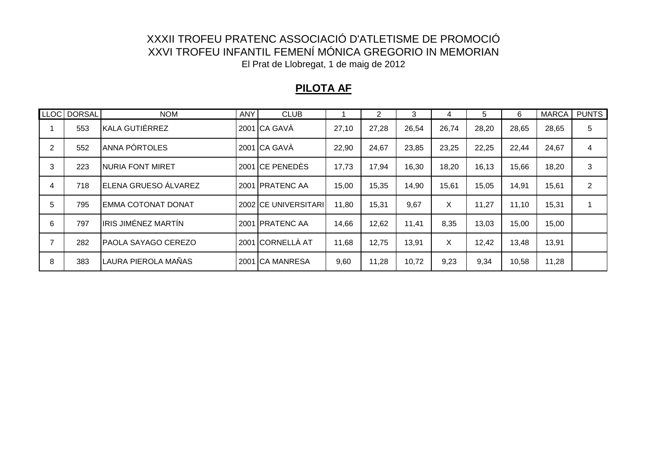### **PILOTA AF**

|   | LLOC   DORSAL | <b>NOM</b>                | ANY | <b>CLUB</b>          |       | 2     | 3     | 4     | 5     | 6     | <b>MARCA</b> | <b>PUNTS</b>   |
|---|---------------|---------------------------|-----|----------------------|-------|-------|-------|-------|-------|-------|--------------|----------------|
|   | 553           | KALA GUTIÉRREZ            |     | 2001 CA GAVÀ         | 27,10 | 27,28 | 26,54 | 26,74 | 28,20 | 28,65 | 28,65        | 5              |
| 2 | 552           | ANNA PÓRTOLES             |     | 2001 CA GAVÀ         | 22,90 | 24,67 | 23,85 | 23,25 | 22,25 | 22,44 | 24,67        | $\overline{4}$ |
| 3 | 223           | <b>NURIA FONT MIRET</b>   |     | 2001 CE PENEDÈS      | 17,73 | 17,94 | 16,30 | 18,20 | 16,13 | 15,66 | 18,20        | 3              |
| 4 | 718           | ELENA GRUESO ÁLVAREZ      |     | 2001 PRATENC AA      | 15,00 | 15,35 | 14,90 | 15,61 | 15,05 | 14,91 | 15,61        | 2              |
| 5 | 795           | <b>EMMA COTONAT DONAT</b> |     | 2002 CE UNIVERSITARI | 11,80 | 15,31 | 9,67  | X     | 11,27 | 11,10 | 15,31        |                |
| 6 | 797           | IRIS JIMÉNEZ MARTÍN       |     | 2001 PRATENC AA      | 14,66 | 12,62 | 11,41 | 8,35  | 13,03 | 15,00 | 15,00        |                |
|   | 282           | PAOLA SAYAGO CEREZO       |     | 2001 CORNELLÀ AT     | 11,68 | 12,75 | 13,91 | X     | 12,42 | 13,48 | 13,91        |                |
| 8 | 383           | LAURA PIEROLA MAÑAS       |     | 2001 ICA MANRESA     | 9,60  | 11,28 | 10,72 | 9,23  | 9,34  | 10,58 | 11,28        |                |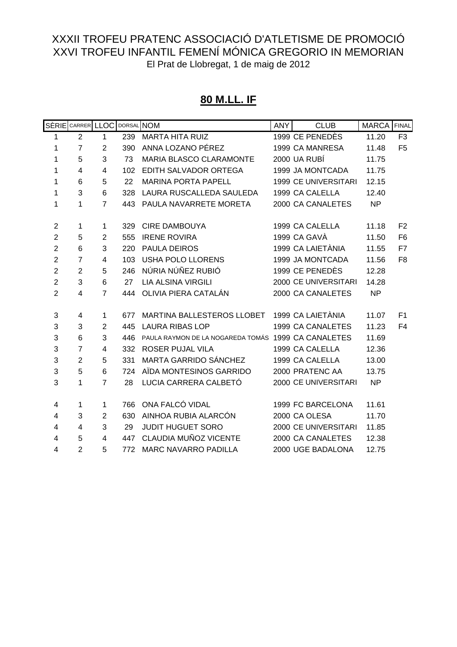#### **80 M.LL. IF**

|                           | SÈRIE CARRER LLOC |                | DORSAL NOM |                                                     | <b>ANY</b> | <b>CLUB</b>                 | MARCA FINAL |                |
|---------------------------|-------------------|----------------|------------|-----------------------------------------------------|------------|-----------------------------|-------------|----------------|
| 1                         | $\overline{2}$    | 1              | 239        | <b>MARTA HITA RUIZ</b>                              |            | 1999 CE PENEDÈS             | 11.20       | F <sub>3</sub> |
| 1                         | $\overline{7}$    | $\overline{2}$ | 390        | ANNA LOZANO PÉREZ                                   |            | 1999 CA MANRESA             | 11.48       | F <sub>5</sub> |
| 1                         | 5                 | 3              | 73         | MARIA BLASCO CLARAMONTE                             |            | 2000 UA RUBÍ                | 11.75       |                |
| 1                         | $\overline{4}$    | $\overline{4}$ | 102        | EDITH SALVADOR ORTEGA                               |            | 1999 JA MONTCADA            | 11.75       |                |
| 1                         | 6                 | 5              | 22         | <b>MARINA PORTA PAPELL</b>                          |            | <b>1999 CE UNIVERSITARI</b> | 12.15       |                |
| 1                         | 3                 | 6              | 328        | LAURA RUSCALLEDA SAULEDA                            |            | 1999 CA CALELLA             | 12.40       |                |
| 1                         | 1                 | $\overline{7}$ | 443        | PAULA NAVARRETE MORETA                              |            | 2000 CA CANALETES           | <b>NP</b>   |                |
|                           |                   |                |            |                                                     |            |                             |             |                |
| $\overline{2}$            | 1                 | 1              | 329        | <b>CIRE DAMBOUYA</b>                                |            | 1999 CA CALELLA             | 11.18       | F <sub>2</sub> |
| $\overline{2}$            | 5                 | $\overline{2}$ | 555        | <b>IRENE ROVIRA</b>                                 |            | 1999 CA GAVÀ                | 11.50       | F <sub>6</sub> |
| $\overline{2}$            | 6                 | 3              | 220        | <b>PAULA DEIROS</b>                                 |            | 1999 CA LAIETÀNIA           | 11.55       | F7             |
| $\overline{c}$            | $\overline{7}$    | 4              | 103        | <b>USHA POLO LLORENS</b>                            |            | 1999 JA MONTCADA            | 11.56       | F <sub>8</sub> |
| $\overline{2}$            | $\overline{2}$    | 5              | 246        | NÚRIA NÚÑEZ RUBIÓ                                   |            | 1999 CE PENEDÈS             | 12.28       |                |
| $\overline{2}$            | 3                 | 6              | 27         | <b>LIA ALSINA VIRGILI</b>                           |            | 2000 CE UNIVERSITARI        | 14.28       |                |
| $\overline{2}$            | $\overline{4}$    | $\overline{7}$ | 444        | OLIVIA PIERA CATALÁN                                |            | 2000 CA CANALETES           | <b>NP</b>   |                |
|                           |                   |                |            |                                                     |            |                             |             |                |
| $\ensuremath{\mathsf{3}}$ | 4                 | 1              | 677        | MARTINA BALLESTEROS LLOBET                          |            | 1999 CA LAIETÀNIA           | 11.07       | F <sub>1</sub> |
| 3                         | 3                 | $\overline{2}$ | 445        | <b>LAURA RIBAS LOP</b>                              |            | 1999 CA CANALETES           | 11.23       | F <sub>4</sub> |
| 3                         | 6                 | 3              | 446        | PAULA RAYMON DE LA NOGAREDA TOMÁS 1999 CA CANALETES |            |                             | 11.69       |                |
| 3                         | $\overline{7}$    | 4              | 332        | <b>ROSER PUJAL VILA</b>                             |            | 1999 CA CALELLA             | 12.36       |                |
| 3                         | $\overline{2}$    | 5              | 331        | MARTA GARRIDO SÁNCHEZ                               |            | 1999 CA CALELLA             | 13.00       |                |
| 3                         | 5                 | 6              | 724        | AÏDA MONTESINOS GARRIDO                             |            | 2000 PRATENC AA             | 13.75       |                |
| 3                         | 1                 | $\overline{7}$ | 28         | LUCIA CARRERA CALBETÓ                               |            | 2000 CE UNIVERSITARI        | <b>NP</b>   |                |
|                           |                   |                |            |                                                     |            |                             |             |                |
| 4                         | 1                 | 1              | 766        | ONA FALCÓ VIDAL                                     |            | 1999 FC BARCELONA           | 11.61       |                |
| $\overline{\mathbf{4}}$   | 3                 | $\overline{2}$ | 630        | AINHOA RUBIA ALARCÓN                                |            | 2000 CA OLESA               | 11.70       |                |
| 4                         | 4                 | 3              | 29         | <b>JUDIT HUGUET SORO</b>                            |            | 2000 CE UNIVERSITARI        | 11.85       |                |
| 4                         | 5                 | 4              | 447        | CLAUDIA MUÑOZ VICENTE                               |            | 2000 CA CANALETES           | 12.38       |                |
| 4                         | $\overline{2}$    | 5              | 772        | <b>MARC NAVARRO PADILLA</b>                         |            | 2000 UGE BADALONA           | 12.75       |                |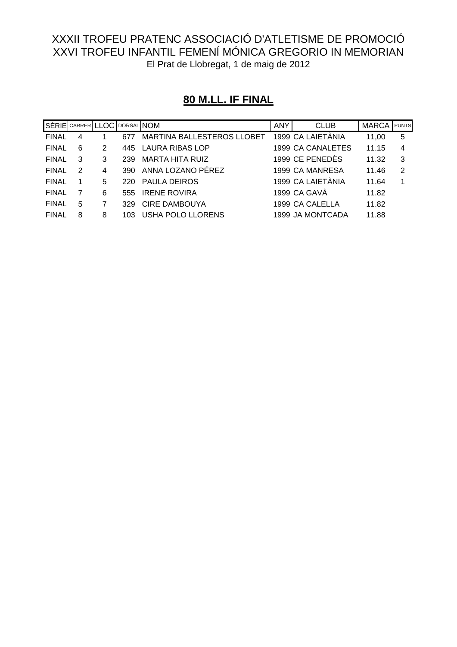# **80 M.LL. IF FINAL**

| SÈRIE CARRER LLOC DORSAL NOM |   |   |      |                                   | <b>ANY</b> | <b>CLUB</b>       | <b>MARCA</b> PUNTS |                |
|------------------------------|---|---|------|-----------------------------------|------------|-------------------|--------------------|----------------|
| <b>FINAL</b>                 | 4 |   | 677  | <b>MARTINA BALLESTEROS LLOBET</b> |            | 1999 CA LAIETÀNIA | 11,00              | -5             |
| <b>FINAL</b>                 | 6 | 2 |      | 445 LAURA RIBAS LOP               |            | 1999 CA CANALETES | 11.15              | $\overline{4}$ |
| <b>FINAL</b>                 | 3 | 3 | 239  | MARTA HITA RUIZ                   |            | 1999 CE PENEDÈS   | 11.32              | 3              |
| <b>FINAL</b>                 | 2 | 4 | 390  | ANNA LOZANO PÉREZ                 |            | 1999 CA MANRESA   | 11.46              | 2              |
| <b>FINAL</b>                 |   | 5 | 220. | <b>PAULA DEIROS</b>               |            | 1999 CA LAIETÀNIA | 11.64              | 1              |
| <b>FINAL</b>                 |   | 6 | 555  | <b>IRENE ROVIRA</b>               |            | 1999 CA GAVÀ      | 11.82              |                |
| <b>FINAL</b>                 | 5 |   | 329  | <b>CIRE DAMBOUYA</b>              |            | 1999 CA CALELLA   | 11.82              |                |
| <b>FINAL</b>                 | 8 | 8 |      | USHA POLO LLORENS                 |            | 1999 JA MONTCADA  | 11.88              |                |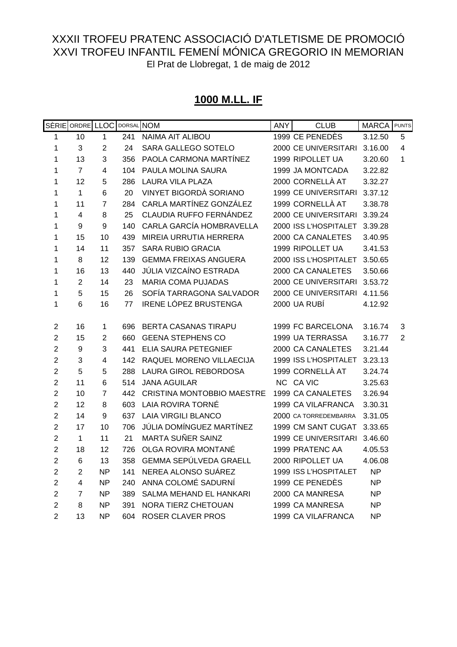# **1000 M.LL. IF**

|                         | SÈRIE ORDRE LLOC |                |     | DORSAL NOM                        | <b>ANY</b> | <b>CLUB</b>           | <b>MARCA</b> | <b>PUNTS</b> |
|-------------------------|------------------|----------------|-----|-----------------------------------|------------|-----------------------|--------------|--------------|
| 1                       | 10               | $\mathbf 1$    | 241 | <b>NAIMA AIT ALIBOU</b>           |            | 1999 CE PENEDÈS       | 3.12.50      | 5            |
| 1                       | 3                | $\overline{2}$ | 24  | SARA GALLEGO SOTELO               |            | 2000 CE UNIVERSITARI  | 3.16.00      | 4            |
| 1                       | 13               | 3              | 356 | PAOLA CARMONA MARTÍNEZ            |            | 1999 RIPOLLET UA      | 3.20.60      | 1            |
| 1                       | $\overline{7}$   | 4              | 104 | PAULA MOLINA SAURA                |            | 1999 JA MONTCADA      | 3.22.82      |              |
| 1                       | 12               | 5              | 286 | <b>LAURA VILA PLAZA</b>           |            | 2000 CORNELLÀ AT      | 3.32.27      |              |
| 1                       | $\mathbf{1}$     | 6              | 20  | VINYET BIGORDÀ SORIANO            |            | 1999 CE UNIVERSITARI  | 3.37.12      |              |
| 1                       | 11               | 7              | 284 | CARLA MARTÍNEZ GONZÁLEZ           |            | 1999 CORNELLÀ AT      | 3.38.78      |              |
| 1                       | 4                | 8              | 25  | CLAUDIA RUFFO FERNÁNDEZ           |            | 2000 CE UNIVERSITARI  | 3.39.24      |              |
| 1                       | 9                | 9              | 140 | CARLA GARCÍA HOMBRAVELLA          |            | 2000 ISS L'HOSPITALET | 3.39.28      |              |
| 1                       | 15               | 10             | 439 | MIREIA URRUTIA HERRERA            |            | 2000 CA CANALETES     | 3.40.95      |              |
| 1                       | 14               | 11             | 357 | <b>SARA RUBIO GRACIA</b>          |            | 1999 RIPOLLET UA      | 3.41.53      |              |
| 1                       | 8                | 12             | 139 | <b>GEMMA FREIXAS ANGUERA</b>      |            | 2000 ISS L'HOSPITALET | 3.50.65      |              |
| 1                       | 16               | 13             | 440 | JÚLIA VIZCAÍNO ESTRADA            |            | 2000 CA CANALETES     | 3.50.66      |              |
| 1                       | $\sqrt{2}$       | 14             | 23  | <b>MARIA COMA PUJADAS</b>         |            | 2000 CE UNIVERSITARI  | 3.53.72      |              |
| 1                       | 5                | 15             | 26  | SOFÍA TARRAGONA SALVADOR          |            | 2000 CE UNIVERSITARI  | 4.11.56      |              |
| 1                       | $\,6$            | 16             | 77  | <b>IRENE LÓPEZ BRUSTENGA</b>      |            | 2000 UA RUBÍ          | 4.12.92      |              |
|                         |                  |                |     |                                   |            |                       |              |              |
| $\overline{2}$          | 16               | 1              | 696 | BERTA CASANAS TIRAPU              |            | 1999 FC BARCELONA     | 3.16.74      | 3            |
| $\overline{2}$          | 15               | $\overline{2}$ | 660 | <b>GEENA STEPHENS CO</b>          |            | 1999 UA TERRASSA      | 3.16.77      | 2            |
| $\overline{2}$          | $\boldsymbol{9}$ | 3              | 441 | ELIA SAURA PETEGNIEF              |            | 2000 CA CANALETES     | 3.21.44      |              |
| $\overline{2}$          | 3                | 4              | 142 | RAQUEL MORENO VILLAECIJA          |            | 1999 ISS L'HOSPITALET | 3.23.13      |              |
| $\overline{2}$          | 5                | 5              | 288 | LAURA GIROL REBORDOSA             |            | 1999 CORNELLÀ AT      | 3.24.74      |              |
| $\overline{\mathbf{c}}$ | 11               | 6              | 514 | <b>JANA AGUILAR</b>               |            | NC CA VIC             | 3.25.63      |              |
| $\overline{2}$          | 10               | 7              | 442 | <b>CRISTINA MONTOBBIO MAESTRE</b> |            | 1999 CA CANALETES     | 3.26.94      |              |
| $\overline{2}$          | 12               | 8              | 603 | LAIA ROVIRA TORNÉ                 |            | 1999 CA VILAFRANCA    | 3.30.31      |              |
| $\overline{2}$          | 14               | 9              | 637 | <b>LAIA VIRGILI BLANCO</b>        |            | 2000 CA TORREDEMBARRA | 3.31.05      |              |
| $\overline{2}$          | 17               | 10             | 706 | JÚLIA DOMÍNGUEZ MARTÍNEZ          |            | 1999 CM SANT CUGAT    | 3.33.65      |              |
| $\overline{2}$          | 1                | 11             | 21  | <b>MARTA SUÑER SAINZ</b>          |            | 1999 CE UNIVERSITARI  | 3.46.60      |              |
| $\overline{2}$          | 18               | 12             | 726 | OLGA ROVIRA MONTANÉ               |            | 1999 PRATENC AA       | 4.05.53      |              |
| $\overline{2}$          | $\,6$            | 13             | 358 | <b>GEMMA SEPÚLVEDA GRAELL</b>     |            | 2000 RIPOLLET UA      | 4.06.08      |              |
| $\overline{2}$          | $\overline{2}$   | <b>NP</b>      | 141 | NEREA ALONSO SUÁREZ               |            | 1999 ISS L'HOSPITALET | <b>NP</b>    |              |
| $\overline{2}$          | 4                | <b>NP</b>      | 240 | ANNA COLOMÉ SADURNÍ               |            | 1999 CE PENEDÈS       | <b>NP</b>    |              |
| $\overline{2}$          | 7                | <b>NP</b>      | 389 | SALMA MEHAND EL HANKARI           |            | 2000 CA MANRESA       | <b>NP</b>    |              |
| $\overline{2}$          | 8                | <b>NP</b>      | 391 | NORA TIERZ CHETOUAN               |            | 1999 CA MANRESA       | <b>NP</b>    |              |
| $\overline{2}$          | 13               | ΝP             | 604 | <b>ROSER CLAVER PROS</b>          |            | 1999 CA VILAFRANCA    | <b>NP</b>    |              |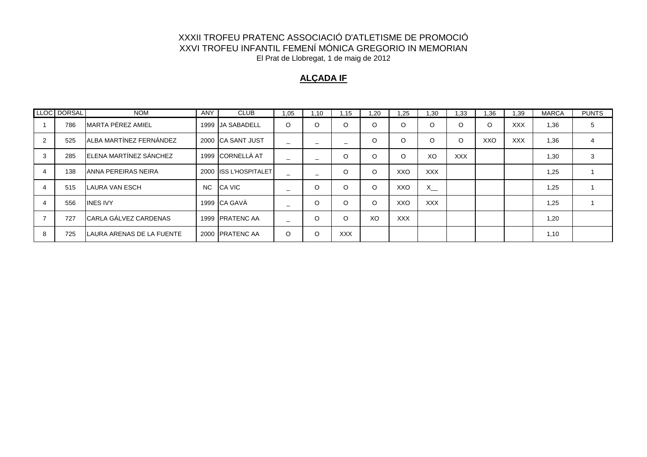#### **ALÇADA IF**

|   | LLOC DORSAL | <b>NOM</b>                   | <b>ANY</b> | <b>CLUB</b>           | 1,05    | 1,10    | .15        | .20     | .25        | 1.30       | .33        | 1.36 | 1.39       | <b>MARCA</b> | <b>PUNTS</b> |
|---|-------------|------------------------------|------------|-----------------------|---------|---------|------------|---------|------------|------------|------------|------|------------|--------------|--------------|
|   | 786         | <b>MARTA PÉREZ AMIEL</b>     |            | 1999 JA SABADELL      | $\circ$ | $\circ$ | $\circ$    | O       | $\circ$    | O          | $\circ$    | O    | <b>XXX</b> | 1,36         | 5            |
|   | 525         | ALBA MARTÍNEZ FERNÁNDEZ      |            | 2000 ICA SANT JUST    |         |         |            | O       | $\circ$    | $\Omega$   | $\circ$    | XXO  | <b>XXX</b> | 1,36         |              |
|   | 285         | ELENA MARTÍNEZ SÁNCHEZ       |            | 1999 CORNELLÀ AT      |         |         | $\circ$    | $\circ$ | $\Omega$   | XO         | <b>XXX</b> |      |            | 1,30         | 3            |
|   | 138         | IANNA PEREIRAS NEIRA         |            | 2000 ISS L'HOSPITALET |         |         | $\circ$    | $\circ$ | XXO        | <b>XXX</b> |            |      |            | 1,25         |              |
|   | 515         | LAURA VAN ESCH               | NC.        | CA VIC                | -       | O       | $\circ$    | $\circ$ | XXO        | $X -$      |            |      |            | 1,25         |              |
|   | 556         | <b>INES IVY</b>              |            | 1999 CA GAVÀ          |         | $\circ$ | $\circ$    | $\circ$ | XXO        | <b>XXX</b> |            |      |            | 1,25         |              |
|   | 727         | <b>CARLA GÁLVEZ CARDENAS</b> |            | 1999 PRATENC AA       |         | $\circ$ | $\circ$    | XO      | <b>XXX</b> |            |            |      |            | 1,20         |              |
| 8 | 725         | LAURA ARENAS DE LA FUENTE    |            | 2000 PRATENC AA       | $\circ$ | $\circ$ | <b>XXX</b> |         |            |            |            |      |            | 1,10         |              |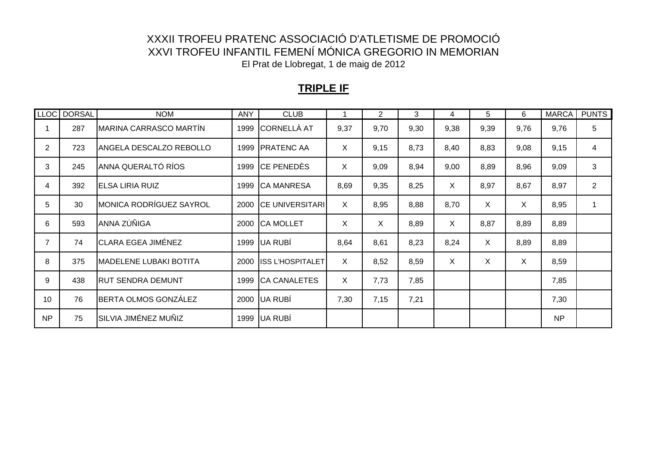### **TRIPLE IF**

|                | LLOC DORSAL | <b>NOM</b>                     | ANY  | <b>CLUB</b>             |              | $\overline{2}$ | 3    | 4    | 5       | 6    | <b>MARCA</b> | <b>PUNTS</b>   |
|----------------|-------------|--------------------------------|------|-------------------------|--------------|----------------|------|------|---------|------|--------------|----------------|
|                | 287         | MARINA CARRASCO MARTÍN         | 1999 | CORNELLÀ AT             | 9,37         | 9,70           | 9,30 | 9,38 | 9,39    | 9,76 | 9,76         | 5              |
| $\overline{2}$ | 723         | ANGELA DESCALZO REBOLLO        | 1999 | <b>PRATENC AA</b>       | X            | 9,15           | 8,73 | 8,40 | 8,83    | 9,08 | 9,15         | 4              |
| 3              | 245         | ANNA QUERALTÓ RÍOS             | 1999 | <b>CE PENEDÈS</b>       | X            | 9,09           | 8,94 | 9,00 | 8,89    | 8,96 | 9,09         | 3              |
| 4              | 392         | <b>IELSA LIRIA RUIZ</b>        | 1999 | <b>CA MANRESA</b>       | 8,69         | 9,35           | 8,25 | X.   | 8,97    | 8,67 | 8,97         | $\overline{2}$ |
| 5              | 30          | <b>MONICA RODRÍGUEZ SAYROL</b> | 2000 | <b>CE UNIVERSITARI</b>  | X.           | 8,95           | 8,88 | 8,70 | $\sf X$ | X    | 8,95         |                |
| 6              | 593         | ANNA ZÚÑIGA                    | 2000 | <b>CA MOLLET</b>        | X            | X              | 8,89 | X    | 8,87    | 8,89 | 8,89         |                |
| $\overline{7}$ | 74          | <b>CLARA EGEA JIMÉNEZ</b>      | 1999 | UA RUBÍ                 | 8,64         | 8,61           | 8,23 | 8,24 | $\sf X$ | 8,89 | 8,89         |                |
| 8              | 375         | MADELENE LUBAKI BOTITA         | 2000 | <b>ISS L'HOSPITALET</b> | X            | 8,52           | 8,59 | X.   | $\sf X$ | X    | 8,59         |                |
| 9              | 438         | <b>RUT SENDRA DEMUNT</b>       | 1999 | <b>CA CANALETES</b>     | $\mathsf{X}$ | 7,73           | 7,85 |      |         |      | 7,85         |                |
| 10             | 76          | BERTA OLMOS GONZÁLEZ           |      | 2000 UA RUBÍ            | 7,30         | 7,15           | 7,21 |      |         |      | 7,30         |                |
| <b>NP</b>      | 75          | SILVIA JIMÉNEZ MUÑIZ           | 1999 | UA RUBÍ                 |              |                |      |      |         |      | <b>NP</b>    |                |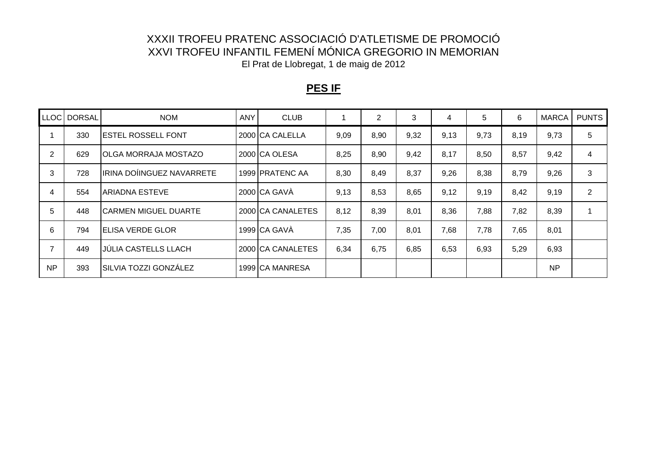### **PES IF**

| LLOC <sup>1</sup> | <b>DORSAL</b> | <b>NOM</b>                  | <b>ANY</b> | <b>CLUB</b>            |      | $\overline{2}$ | 3    | 4    | 5    | 6    | <b>MARCA</b> | <b>PUNTS</b>   |
|-------------------|---------------|-----------------------------|------------|------------------------|------|----------------|------|------|------|------|--------------|----------------|
|                   | 330           | <b>ESTEL ROSSELL FONT</b>   |            | 2000 CA CALELLA        | 9,09 | 8,90           | 9,32 | 9,13 | 9,73 | 8,19 | 9,73         | 5              |
| $\overline{2}$    | 629           | <b>OLGA MORRAJA MOSTAZO</b> |            | 2000 CA OLESA          | 8,25 | 8,90           | 9,42 | 8,17 | 8,50 | 8,57 | 9,42         | 4              |
| 3                 | 728           | IRINA DOÍINGUEZ NAVARRETE   |            | 1999 <b>PRATENC AA</b> | 8,30 | 8,49           | 8,37 | 9,26 | 8,38 | 8,79 | 9,26         | 3              |
| 4                 | 554           | ARIADNA ESTEVE              |            | 2000 CA GAVÀ           | 9,13 | 8,53           | 8,65 | 9,12 | 9,19 | 8,42 | 9,19         | $\overline{2}$ |
| 5                 | 448           | <b>CARMEN MIGUEL DUARTE</b> |            | 2000 CA CANALETES      | 8,12 | 8,39           | 8,01 | 8,36 | 7,88 | 7,82 | 8,39         |                |
| 6                 | 794           | <b>ELISA VERDE GLOR</b>     |            | 1999 CA GAVÀ           | 7,35 | 7,00           | 8,01 | 7,68 | 7,78 | 7,65 | 8,01         |                |
|                   | 449           | <b>JÚLIA CASTELLS LLACH</b> |            | 2000 CA CANALETES      | 6,34 | 6,75           | 6,85 | 6,53 | 6,93 | 5,29 | 6,93         |                |
| <b>NP</b>         | 393           | SILVIA TOZZI GONZÁLEZ       |            | 1999 CA MANRESA        |      |                |      |      |      |      | <b>NP</b>    |                |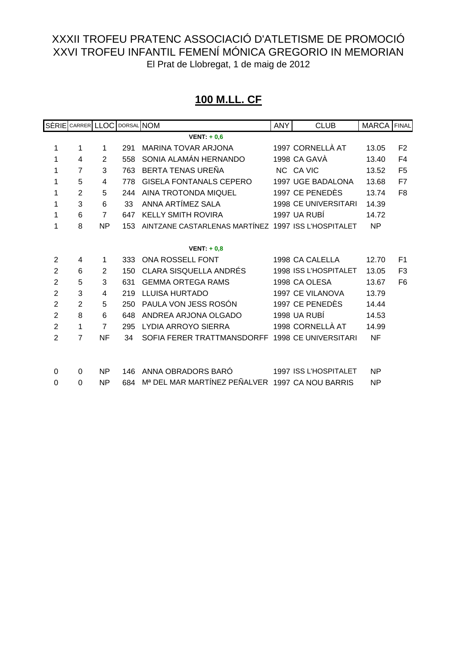# **100 M.LL. CF**

|                | SÈRIE CARRER LLOC |                | DORSAL NOM |                                                     | <b>ANY</b> | <b>CLUB</b>                 | <b>MARCA</b> FINAL |                |
|----------------|-------------------|----------------|------------|-----------------------------------------------------|------------|-----------------------------|--------------------|----------------|
|                |                   |                |            | VENT: $+0.6$                                        |            |                             |                    |                |
| 1              | 1                 | 1              | 291        | <b>MARINA TOVAR ARJONA</b>                          |            | 1997 CORNELLÀ AT            | 13.05              | F <sub>2</sub> |
| 1              | 4                 | $\overline{2}$ | 558        | SONIA ALAMÁN HERNANDO                               |            | 1998 CA GAVÀ                | 13.40              | F <sub>4</sub> |
| 1              | $\overline{7}$    | 3              | 763        | BERTA TENAS UREÑA                                   |            | NC CA VIC                   | 13.52              | F <sub>5</sub> |
| 1              | 5                 | 4              | 778        | <b>GISELA FONTANALS CEPERO</b>                      |            | 1997 UGE BADALONA           | 13.68              | F7             |
| 1              | $\overline{2}$    | 5              | 244        | <b>AINA TROTONDA MIQUEL</b>                         |            | 1997 CE PENEDÈS             | 13.74              | F <sub>8</sub> |
| 1              | 3                 | 6              | 33         | ANNA ARTÍMEZ SALA                                   |            | <b>1998 CE UNIVERSITARI</b> | 14.39              |                |
| 1              | $6\phantom{1}6$   | $\overline{7}$ | 647        | <b>KELLY SMITH ROVIRA</b>                           |            | 1997 UA RUBÍ                | 14.72              |                |
| 1              | 8                 | <b>NP</b>      | 153        | AINTZANE CASTARLENAS MARTÍNEZ 1997 ISS L'HOSPITALET |            |                             | <b>NP</b>          |                |
|                |                   |                |            |                                                     |            |                             |                    |                |
|                |                   |                |            | VENT: $+0,8$                                        |            |                             |                    |                |
| $\overline{2}$ | 4                 | 1              | 333        | ONA ROSSELL FONT                                    |            | 1998 CA CALELLA             | 12.70              | F <sub>1</sub> |
| $\overline{2}$ | 6                 | $\overline{2}$ | 150        | <b>CLARA SISQUELLA ANDRÉS</b>                       |            | 1998 ISS L'HOSPITALET       | 13.05              | F <sub>3</sub> |
| $\overline{2}$ | 5                 | 3              | 631        | <b>GEMMA ORTEGA RAMS</b>                            |            | 1998 CA OLESA               | 13.67              | F <sub>6</sub> |
| $\overline{2}$ | 3                 | 4              | 219        | <b>LLUISA HURTADO</b>                               |            | 1997 CE VILANOVA            | 13.79              |                |
| $\overline{2}$ | $\overline{2}$    | 5              | 250        | PAULA VON JESS ROSÓN                                |            | 1997 CE PENEDÈS             | 14.44              |                |
| $\overline{2}$ | 8                 | 6              | 648        | ANDREA ARJONA OLGADO                                |            | 1998 UA RUBÍ                | 14.53              |                |
| $\overline{2}$ | 1                 | $\overline{7}$ | 295        | LYDIA ARROYO SIERRA                                 |            | 1998 CORNELLÀ AT            | 14.99              |                |
| $\overline{2}$ | $\overline{7}$    | <b>NF</b>      | 34         | SOFIA FERER TRATTMANSDORFF 1998 CE UNIVERSITARI     |            |                             | <b>NF</b>          |                |
|                |                   |                |            |                                                     |            |                             |                    |                |
|                |                   |                |            |                                                     |            |                             |                    |                |
| 0              | $\Omega$          | <b>NP</b>      | 146        | ANNA OBRADORS BARÓ                                  |            | 1997 ISS L'HOSPITALET       | <b>NP</b>          |                |
| 0              | 0                 | <b>NP</b>      | 684        | Mª DEL MAR MARTÍNEZ PEÑALVER 1997 CA NOU BARRIS     |            |                             | <b>NP</b>          |                |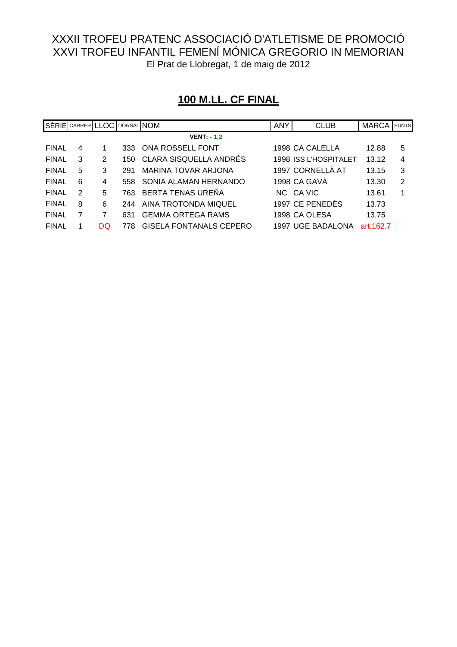| <b>100 M.LL. CF FINAL</b> |
|---------------------------|
|---------------------------|

|              | SÈRIE CARRER LLOC DORSAL NOM |    |     |                                | <b>ANY</b> | <b>CLUB</b>           | <b>MARCA</b> | <b>PUNTS</b> |
|--------------|------------------------------|----|-----|--------------------------------|------------|-----------------------|--------------|--------------|
|              |                              |    |     | $VENT. - 1,2$                  |            |                       |              |              |
| <b>FINAL</b> | 4                            |    | 333 | ONA ROSSELL FONT               |            | 1998 CA CALELLA       | 12.88        | 5            |
| <b>FINAL</b> | 3                            | 2  | 150 | <b>CLARA SISQUELLA ANDRÉS</b>  |            | 1998 ISS L'HOSPITALET | 13.12        | 4            |
| <b>FINAL</b> | 5                            | 3  | 291 | <b>MARINA TOVAR ARJONA</b>     |            | 1997 CORNELLÀ AT      | 13.15        | 3            |
| <b>FINAL</b> | 6                            | 4  | 558 | SONIA ALAMAN HERNANDO          |            | 1998 CA GAVA          | 13.30        | 2            |
| <b>FINAL</b> | $\mathcal{P}$                | 5  | 763 | BERTA TENAS UREÑA              |            | NC CA VIC             | 13.61        | 1            |
| <b>FINAL</b> | 8                            | 6  | 244 | AINA TROTONDA MIQUEL           |            | 1997 CE PENEDÈS       | 13.73        |              |
| <b>FINAL</b> |                              |    | 631 | <b>GEMMA ORTEGA RAMS</b>       |            | 1998 CA OLESA         | 13.75        |              |
| <b>FINAL</b> |                              | DQ | 778 | <b>GISELA FONTANALS CEPERO</b> |            | 1997 UGE BADALONA     | art.162.7    |              |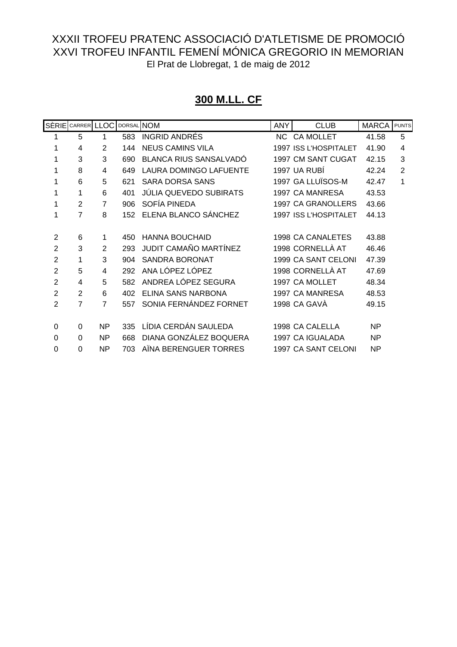# **300 M.LL. CF**

|                | SÈRIE CARRER LLOC |                | DORSAL NOM |                               | <b>ANY</b> | <b>CLUB</b>           | <b>MARCA</b> | <b>PUNTS</b>   |
|----------------|-------------------|----------------|------------|-------------------------------|------------|-----------------------|--------------|----------------|
|                | 5                 | 1              | 583        | <b>INGRID ANDRES</b>          |            | NC CA MOLLET          | 41.58        | 5              |
| 1              | 4                 | $\overline{2}$ | 144        | <b>NEUS CAMINS VILA</b>       |            | 1997 ISS L'HOSPITALET | 41.90        | $\overline{4}$ |
|                | 3                 | 3              | 690        | <b>BLANCA RIUS SANSALVADO</b> |            | 1997 CM SANT CUGAT    | 42.15        | 3              |
|                | 8                 | 4              | 649        | <b>LAURA DOMINGO LAFUENTE</b> |            | 1997 UA RUBI          | 42.24        | $\overline{2}$ |
|                | 6                 | 5              | 621        | <b>SARA DORSA SANS</b>        |            | 1997 GA LLUÏSOS-M     | 42.47        | 1              |
| 1              | 1                 | 6              | 401        | JÚLIA QUEVEDO SUBIRATS        |            | 1997 CA MANRESA       | 43.53        |                |
| 1              | $\overline{2}$    | $\overline{7}$ | 906        | SOFÍA PINEDA                  |            | 1997 CA GRANOLLERS    | 43.66        |                |
|                | $\overline{7}$    | 8              | 152        | ELENA BLANCO SÁNCHEZ          |            | 1997 ISS L'HOSPITALET | 44.13        |                |
|                |                   |                |            |                               |            |                       |              |                |
| 2              | 6                 | 1              | 450        | <b>HANNA BOUCHAID</b>         |            | 1998 CA CANALETES     | 43.88        |                |
| $\overline{2}$ | 3                 | $\mathfrak{p}$ | 293        | JUDIT CAMAÑO MARTÍNEZ         |            | 1998 CORNELLÀ AT      | 46.46        |                |
| $\overline{2}$ | 1                 | 3              | 904        | <b>SANDRA BORONAT</b>         |            | 1999 CA SANT CELONI   | 47.39        |                |
| $\overline{2}$ | 5                 | 4              | 292        | ANA LÓPEZ LÓPEZ               |            | 1998 CORNELLÀ AT      | 47.69        |                |
| 2              | 4                 | 5              | 582        | ANDREA LÓPEZ SEGURA           |            | 1997 CA MOLLET        | 48.34        |                |
| $\overline{2}$ | $\overline{2}$    | 6              | 402        | ELINA SANS NARBONA            |            | 1997 CA MANRESA       | 48.53        |                |
| 2              | 7                 | $\overline{7}$ | 557        | SONIA FERNÁNDEZ FORNET        |            | 1998 CA GAVA          | 49.15        |                |
|                |                   |                |            |                               |            |                       |              |                |
| 0              | $\Omega$          | <b>NP</b>      | 335        | LÍDIA CERDÁN SAULEDA          |            | 1998 CA CALELLA       | <b>NP</b>    |                |
| 0              | $\Omega$          | ΝP             | 668        | DIANA GONZÁLEZ BOQUERA        |            | 1997 CA IGUALADA      | <b>NP</b>    |                |
| 0              | $\Omega$          | ΝP             | 703        | AINA BERENGUER TORRES         |            | 1997 CA SANT CELONI   | NP           |                |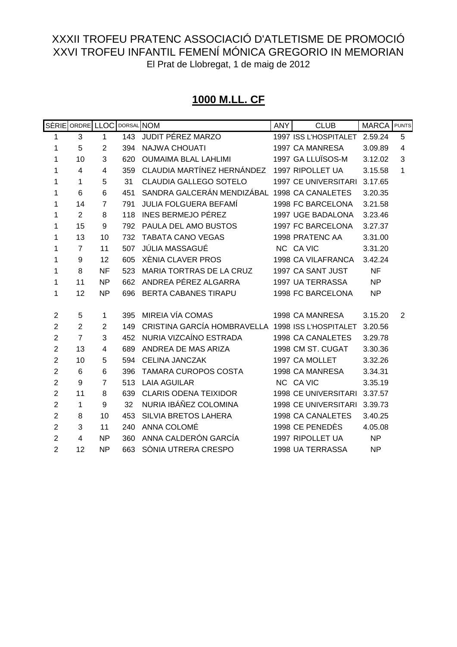# **1000 M.LL. CF**

|                | SÈRIE ORDRE LLOC DORSAL NOM |                |     |                                                   | <b>ANY</b> | <b>CLUB</b>                 | <b>MARCA</b> PUNTS |                |
|----------------|-----------------------------|----------------|-----|---------------------------------------------------|------------|-----------------------------|--------------------|----------------|
| 1              | 3                           | 1              | 143 | JUDIT PÉREZ MARZO                                 |            | 1997 ISS L'HOSPITALET       | 2.59.24            | 5              |
| 1              | 5                           | 2              | 394 | <b>NAJWA CHOUATI</b>                              |            | 1997 CA MANRESA             | 3.09.89            | $\overline{4}$ |
| 1              | 10                          | 3              | 620 | <b>OUMAIMA BLAL LAHLIMI</b>                       |            | 1997 GA LLUÏSOS-M           | 3.12.02            | 3              |
| 1              | 4                           | 4              | 359 | CLAUDIA MARTÍNEZ HERNÁNDEZ                        |            | 1997 RIPOLLET UA            | 3.15.58            | 1              |
| 1              | 1                           | 5              | 31  | CLAUDIA GALLEGO SOTELO                            |            | 1997 CE UNIVERSITARI        | 3.17.65            |                |
| 1              | 6                           | 6              | 451 | SANDRA GALCERÁN MENDIZÁBAL 1998 CA CANALETES      |            |                             | 3.20.35            |                |
| 1              | 14                          | $\overline{7}$ | 791 | <b>JULIA FOLGUERA BEFAMÍ</b>                      |            | 1998 FC BARCELONA           | 3.21.58            |                |
| 1              | $\overline{2}$              | 8              | 118 | <b>INES BERMEJO PÉREZ</b>                         |            | 1997 UGE BADALONA           | 3.23.46            |                |
| 1              | 15                          | 9              | 792 | PAULA DEL AMO BUSTOS                              |            | 1997 FC BARCELONA           | 3.27.37            |                |
| 1              | 13                          | 10             | 732 | <b>TABATA CANO VEGAS</b>                          |            | 1998 PRATENC AA             | 3.31.00            |                |
| 1              | $\overline{7}$              | 11             | 507 | JÚLIA MASSAGUÉ                                    |            | NC CA VIC                   | 3.31.20            |                |
| 1              | 9                           | 12             | 605 | XÈNIA CLAVER PROS                                 |            | 1998 CA VILAFRANCA          | 3.42.24            |                |
| 1              | 8                           | <b>NF</b>      | 523 | MARIA TORTRAS DE LA CRUZ                          |            | 1997 CA SANT JUST           | <b>NF</b>          |                |
| 1              | 11                          | <b>NP</b>      | 662 | ANDREA PÉREZ ALGARRA                              |            | 1997 UA TERRASSA            | <b>NP</b>          |                |
| 1              | 12                          | <b>NP</b>      | 696 | BERTA CABANES TIRAPU                              |            | 1998 FC BARCELONA           | <b>NP</b>          |                |
|                |                             |                |     |                                                   |            |                             |                    |                |
| $\overline{2}$ | 5                           | 1              | 395 | MIREIA VÍA COMAS                                  |            | 1998 CA MANRESA             | 3.15.20            | 2              |
| $\overline{2}$ | $\overline{2}$              | $\overline{2}$ | 149 | CRISTINA GARCÍA HOMBRAVELLA 1998 ISS L'HOSPITALET |            |                             | 3.20.56            |                |
| $\overline{2}$ | $\overline{7}$              | 3              | 452 | NURIA VIZCAÍNO ESTRADA                            |            | 1998 CA CANALETES           | 3.29.78            |                |
| $\overline{2}$ | 13                          | 4              | 689 | ANDREA DE MAS ARIZA                               |            | 1998 CM ST. CUGAT           | 3.30.36            |                |
| $\overline{2}$ | 10                          | 5              | 594 | <b>CELINA JANCZAK</b>                             |            | 1997 CA MOLLET              | 3.32.26            |                |
| $\overline{c}$ | 6                           | 6              | 396 | <b>TAMARA CUROPOS COSTA</b>                       |            | 1998 CA MANRESA             | 3.34.31            |                |
| $\overline{2}$ | 9                           | $\overline{7}$ | 513 | <b>LAIA AGUILAR</b>                               |            | NC CA VIC                   | 3.35.19            |                |
| $\overline{2}$ | 11                          | 8              | 639 | <b>CLARIS ODENA TEIXIDOR</b>                      |            | <b>1998 CE UNIVERSITARI</b> | 3.37.57            |                |
| $\overline{2}$ | 1                           | 9              | 32  | NURIA IBÁÑEZ COLOMINA                             |            | <b>1998 CE UNIVERSITARI</b> | 3.39.73            |                |
| $\overline{2}$ | 8                           | 10             | 453 | SILVIA BRETOS LAHERA                              |            | 1998 CA CANALETES           | 3.40.25            |                |
| $\overline{2}$ | 3                           | 11             | 240 | ANNA COLOMÉ                                       |            | 1998 CE PENEDÈS             | 4.05.08            |                |
| $\overline{2}$ | 4                           | <b>NP</b>      | 360 | ANNA CALDERÓN GARCÍA                              |            | 1997 RIPOLLET UA            | <b>NP</b>          |                |
| $\overline{2}$ | 12                          | <b>NP</b>      | 663 | SÒNIA UTRERA CRESPO                               |            | 1998 UA TERRASSA            | <b>NP</b>          |                |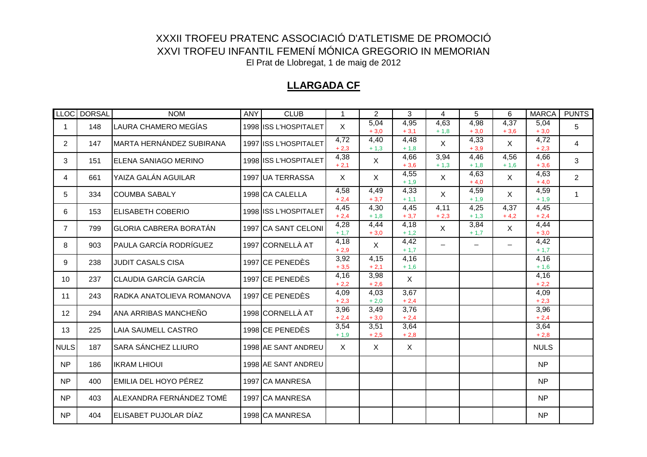#### **LLARGADA CF**

|                | LLOC DORSAL | <b>NOM</b>                    | <b>ANY</b> | <b>CLUB</b>           | $\mathbf 1$    | $\overline{2}$ | 3              | 4              | 5                 | 6                        | <b>MARCA</b>    | <b>PUNTS</b>   |
|----------------|-------------|-------------------------------|------------|-----------------------|----------------|----------------|----------------|----------------|-------------------|--------------------------|-----------------|----------------|
| 1              | 148         | LAURA CHAMERO MEGÍAS          |            | 1998 ISS L'HOSPITALET | $\mathsf{X}$   | 5,04<br>$+3,0$ | 4,95<br>$+3,1$ | 4,63<br>$+1,8$ | 4,98<br>$+3.0$    | 4,37<br>$+3,6$           | 5,04<br>$+3.0$  | 5              |
| $\overline{2}$ | 147         | MARTA HERNÁNDEZ SUBIRANA      |            | 1997 ISS L'HOSPITALET | 4,72<br>$+2,3$ | 4,40<br>$+1,3$ | 4,48<br>$+1,8$ | X              | 4,33<br>$+3.9$    | X                        | 4,72<br>$+2,3$  | 4              |
| 3              | 151         | ELENA SANIAGO MERINO          |            | 1998 ISS L'HOSPITALET | 4,38<br>$+2,1$ | $\mathsf{X}$   | 4,66<br>$+3,6$ | 3,94<br>$+1,3$ | 4,46<br>$+1,8$    | 4,56<br>$+1,6$           | 4,66<br>$+3,6$  | 3              |
| 4              | 661         | YAIZA GALÁN AGUILAR           |            | 1997 UA TERRASSA      | X              | $\sf X$        | 4,55<br>$+1,9$ | X              | 4,63<br>$+4,0$    | $\mathsf{X}$             | 4,63<br>$+4,0$  | $\overline{2}$ |
| 5              | 334         | <b>COUMBA SABALY</b>          |            | 1998 CA CALELLA       | 4,58<br>$+2,4$ | 4,49<br>$+3,7$ | 4,33<br>$+1,1$ | $\mathsf{X}$   | 4,59<br>$+1,9$    | $\mathsf{X}$             | 4,59<br>$+1,9$  | $\mathbf{1}$   |
| 6              | 153         | <b>ELISABETH COBERIO</b>      |            | 1998 ISS L'HOSPITALET | 4,45<br>$+2,4$ | 4,30<br>$+1,8$ | 4,45<br>$+3,7$ | 4,11<br>$+2,3$ | 4,25<br>$+1,3$    | 4,37<br>$+4,2$           | 4,45<br>$+2,4$  |                |
| $\overline{7}$ | 799         | <b>GLORIA CABRERA BORATÁN</b> |            | 1997 CA SANT CELONI   | 4,28<br>$+1,7$ | 4,44<br>$+3,0$ | 4,18<br>$+1,2$ | X              | 3,84<br>$+1,7$    | $\mathsf{X}$             | 4,44<br>$+3.0$  |                |
| 8              | 903         | <b>PAULA GARCÍA RODRÍGUEZ</b> |            | 1997 CORNELLÀ AT      | 4,18<br>$+2.9$ | X              | 4,42<br>$+1,7$ | $-$            | $\qquad \qquad -$ | $\overline{\phantom{m}}$ | 4,42<br>$+1,7$  |                |
| 9              | 238         | <b>JUDIT CASALS CISA</b>      |            | 1997 CE PENEDÈS       | 3,92<br>$+3.5$ | 4,15<br>$+2,1$ | 4,16<br>$+1,6$ |                |                   |                          | 4,16<br>$+ 1,6$ |                |
| 10             | 237         | <b>CLAUDIA GARCÍA GARCÍA</b>  |            | 1997 CE PENEDÈS       | 4,16<br>$+2,2$ | 3,98<br>$+2,6$ | $\sf X$        |                |                   |                          | 4,16<br>$+2,2$  |                |
| 11             | 243         | RADKA ANATOLIEVA ROMANOVA     |            | 1997 CE PENEDÈS       | 4,09<br>$+2,3$ | 4,03<br>$+2,0$ | 3,67<br>$+2,4$ |                |                   |                          | 4,09<br>$+2,3$  |                |
| 12             | 294         | ANA ARRIBAS MANCHEÑO          |            | 1998 CORNELLÀ AT      | 3,96<br>$+2,4$ | 3,49<br>$+3,0$ | 3,76<br>$+2,4$ |                |                   |                          | 3,96<br>$+2,4$  |                |
| 13             | 225         | <b>LAIA SAUMELL CASTRO</b>    |            | 1998 CE PENEDÈS       | 3,54<br>$+1,9$ | 3,51<br>$+2,5$ | 3,64<br>$+2,8$ |                |                   |                          | 3,64<br>$+2,8$  |                |
| <b>NULS</b>    | 187         | <b>SARA SÁNCHEZ LLIURO</b>    |            | 1998 AE SANT ANDREU   | $\mathsf{X}$   | $\sf X$        | $\sf X$        |                |                   |                          | <b>NULS</b>     |                |
| <b>NP</b>      | 186         | <b>IKRAM LHIOUI</b>           |            | 1998 AE SANT ANDREU   |                |                |                |                |                   |                          | <b>NP</b>       |                |
| <b>NP</b>      | 400         | <b>EMILIA DEL HOYO PÉREZ</b>  |            | 1997 CA MANRESA       |                |                |                |                |                   |                          | <b>NP</b>       |                |
| <b>NP</b>      | 403         | ALEXANDRA FERNÁNDEZ TOMÉ      |            | 1997 CA MANRESA       |                |                |                |                |                   |                          | <b>NP</b>       |                |
| <b>NP</b>      | 404         | <b>IELISABET PUJOLAR DÍAZ</b> |            | 1998 CA MANRESA       |                |                |                |                |                   |                          | <b>NP</b>       |                |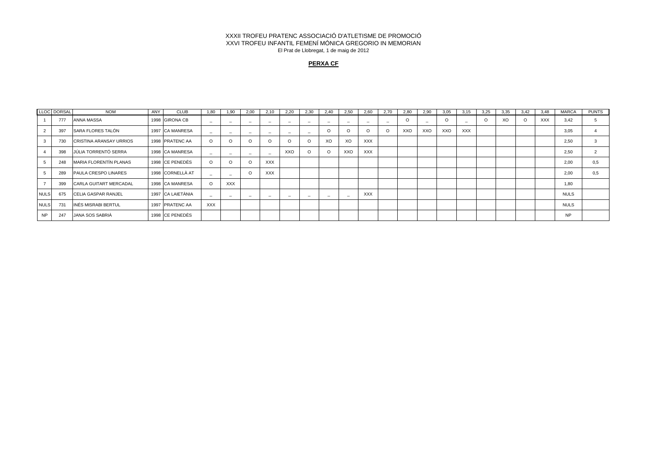#### **PERXA CF**

|             | LLOC DORSAL | <b>NOM</b>                     | ANY | <b>CLUB</b>       | 1.80                     | 1.90                     | 2.00                     | 2.10                     | 2.20                     | 2.30                     | 2.40     | 2.50                     | 2.60       | 2.70 | 2.80 | 2.90 | 3.05    | 3.15       | 3.25    | 3.35 | 3.42    | 3.48       | <b>MARCA</b> | <b>PUNTS</b> |
|-------------|-------------|--------------------------------|-----|-------------------|--------------------------|--------------------------|--------------------------|--------------------------|--------------------------|--------------------------|----------|--------------------------|------------|------|------|------|---------|------------|---------|------|---------|------------|--------------|--------------|
|             | 777         | ANNA MASSA                     |     | 1998 GIRONA CB    |                          | $\overline{\phantom{0}}$ | $\overline{\phantom{0}}$ | $\overline{\phantom{0}}$ | $\overline{\phantom{0}}$ |                          | -        | -                        |            |      |      |      | $\circ$ |            | $\circ$ | XO   | $\circ$ | <b>XXX</b> | 3.42         |              |
|             | 397         | <b>SARA FLORES TALÓN</b>       |     | 1997 ICA MANRESA  | $\overline{\phantom{0}}$ | $\overline{\phantom{0}}$ | $\overline{\phantom{0}}$ | $\overline{\phantom{0}}$ | $\overline{\phantom{0}}$ | $\overline{\phantom{0}}$ | O        |                          |            |      | XXO  | XXO  | XXO     | <b>XXX</b> |         |      |         |            | 3,05         |              |
|             | 730         | <b>CRISTINA ARANSAY URRIOS</b> |     | 1998 PRATENC AA   | $\Omega$                 | $\Omega$                 |                          | $\Omega$                 |                          | $\epsilon$               | XO       | XO                       | <b>XXX</b> |      |      |      |         |            |         |      |         |            | 2.50         |              |
|             | 398         | JÚLIA TORRENTÓ SERRA           |     | 1998 CA MANRESA   |                          | $\overline{\phantom{0}}$ | <b>__</b>                | $\sim$                   | XXO                      | O                        | $\Omega$ | XXO                      | <b>XXX</b> |      |      |      |         |            |         |      |         |            | 2.50         |              |
|             | 248         | <b>MARIA FLORENTÍN PLANAS</b>  |     | 1998 CE PENEDÈS   | $\Omega$                 | $\Omega$                 |                          | <b>XXX</b>               |                          |                          |          |                          |            |      |      |      |         |            |         |      |         |            | 2.00         | 0.5          |
|             | 289         | PAULA CRESPO LINARES           |     | 1998 CORNELLÀ AT  |                          | $\overline{\phantom{a}}$ |                          | <b>XXX</b>               |                          |                          |          |                          |            |      |      |      |         |            |         |      |         |            | 2,00         | 0,5          |
|             | 399         | <b>CARLA GUITART MERCADAL</b>  |     | 1998 CA MANRESA   |                          | <b>XXX</b>               |                          |                          |                          |                          |          |                          |            |      |      |      |         |            |         |      |         |            | 1,80         |              |
| <b>NULS</b> | 675         | <b>CELIA GASPAR RANJEL</b>     |     | 1997 CA LAIETÀNIA |                          | $\overline{\phantom{a}}$ | $\overline{\phantom{0}}$ | $\sim$                   | $\overline{\phantom{0}}$ | $\overline{\phantom{0}}$ | -        | $\overline{\phantom{0}}$ | <b>XXX</b> |      |      |      |         |            |         |      |         |            | <b>NULS</b>  |              |
| <b>NULS</b> | 731         | INÉS MISRABI BERTUL            |     | 1997 PRATENC AA   | <b>XXX</b>               |                          |                          |                          |                          |                          |          |                          |            |      |      |      |         |            |         |      |         |            | <b>NULS</b>  |              |
| NP          | 247         | JANA SOS SABRIÀ                |     | 1998 CE PENEDÈS   |                          |                          |                          |                          |                          |                          |          |                          |            |      |      |      |         |            |         |      |         |            | <b>NP</b>    |              |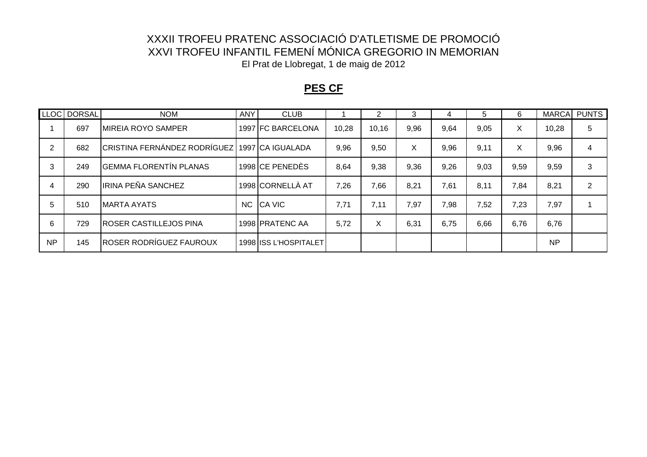### **PES CF**

|           | LLOC DORSAL | <b>NOM</b>                                    | ANY | <b>CLUB</b>           |       | 2     | 3    |      | 5    | 6    | <b>MARCA</b> | <b>PUNTS</b>   |
|-----------|-------------|-----------------------------------------------|-----|-----------------------|-------|-------|------|------|------|------|--------------|----------------|
|           | 697         | <b>IMIREIA ROYO SAMPER</b>                    |     | 1997 FC BARCELONA     | 10,28 | 10,16 | 9,96 | 9,64 | 9,05 | X.   | 10,28        | 5              |
|           | 682         | CRISTINA FERNÁNDEZ RODRÍGUEZ 1997 CA IGUALADA |     |                       | 9,96  | 9,50  | X    | 9,96 | 9,11 | X    | 9,96         | 4              |
|           | 249         | <b>GEMMA FLORENTÍN PLANAS</b>                 |     | 1998 CE PENEDÈS       | 8,64  | 9,38  | 9,36 | 9,26 | 9,03 | 9,59 | 9,59         | 3              |
| 4         | 290         | IRINA PEÑA SANCHEZ                            |     | 1998 CORNELLÀ AT      | 7,26  | 7,66  | 8,21 | 7,61 | 8,11 | 7,84 | 8,21         | $\overline{2}$ |
| 5         | 510         | IMARTA AYATS                                  | NC  | <b>CA VIC</b>         | 7,71  | 7,11  | 7,97 | 7,98 | 7,52 | 7,23 | 7,97         |                |
| 6         | 729         | <b>ROSER CASTILLEJOS PINA</b>                 |     | 1998 PRATENC AA       | 5,72  | X     | 6,31 | 6,75 | 6,66 | 6,76 | 6,76         |                |
| <b>NP</b> | 145         | ROSER RODRÍGUEZ FAUROUX                       |     | 1998 ISS L'HOSPITALET |       |       |      |      |      |      | <b>NP</b>    |                |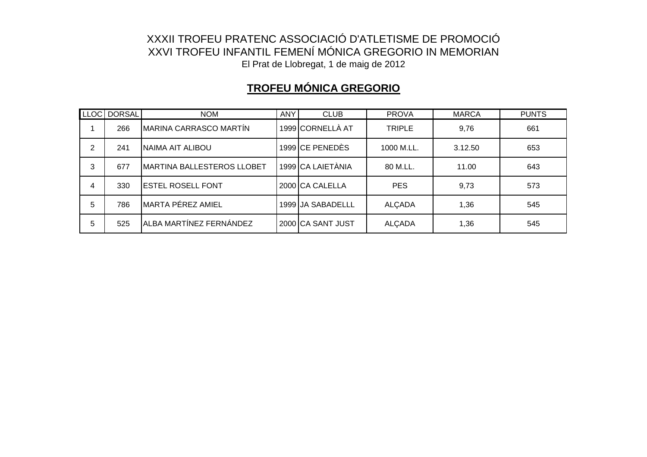# **TROFEU MÓNICA GREGORIO**

|   | LLOC DORSAL | <b>NOM</b>                        | <b>ANY</b> | <b>CLUB</b>        | <b>PROVA</b>  | <b>MARCA</b> | <b>PUNTS</b> |
|---|-------------|-----------------------------------|------------|--------------------|---------------|--------------|--------------|
|   | 266         | MARINA CARRASCO MARTÍN            |            | 1999 CORNELLÀ AT   | <b>TRIPLE</b> | 9,76         | 661          |
| 2 | 241         | NAIMA AIT ALIBOU                  |            | 1999 CE PENEDÈS    | 1000 M.LL.    | 3.12.50      | 653          |
| 3 | 677         | <b>MARTINA BALLESTEROS LLOBET</b> |            | 1999 CA LAIETÀNIA  | 80 M.LL.      | 11.00        | 643          |
| 4 | 330         | <b>ESTEL ROSELL FONT</b>          |            | 2000 CA CALELLA    | <b>PES</b>    | 9,73         | 573          |
| 5 | 786         | MARTA PÉREZ AMIEL                 |            | 1999 JJA SABADELLL | <b>ALÇADA</b> | 1,36         | 545          |
| 5 | 525         | ALBA MARTÍNEZ FERNÁNDEZ           |            | 2000 CA SANT JUST  | <b>ALÇADA</b> | 1,36         | 545          |